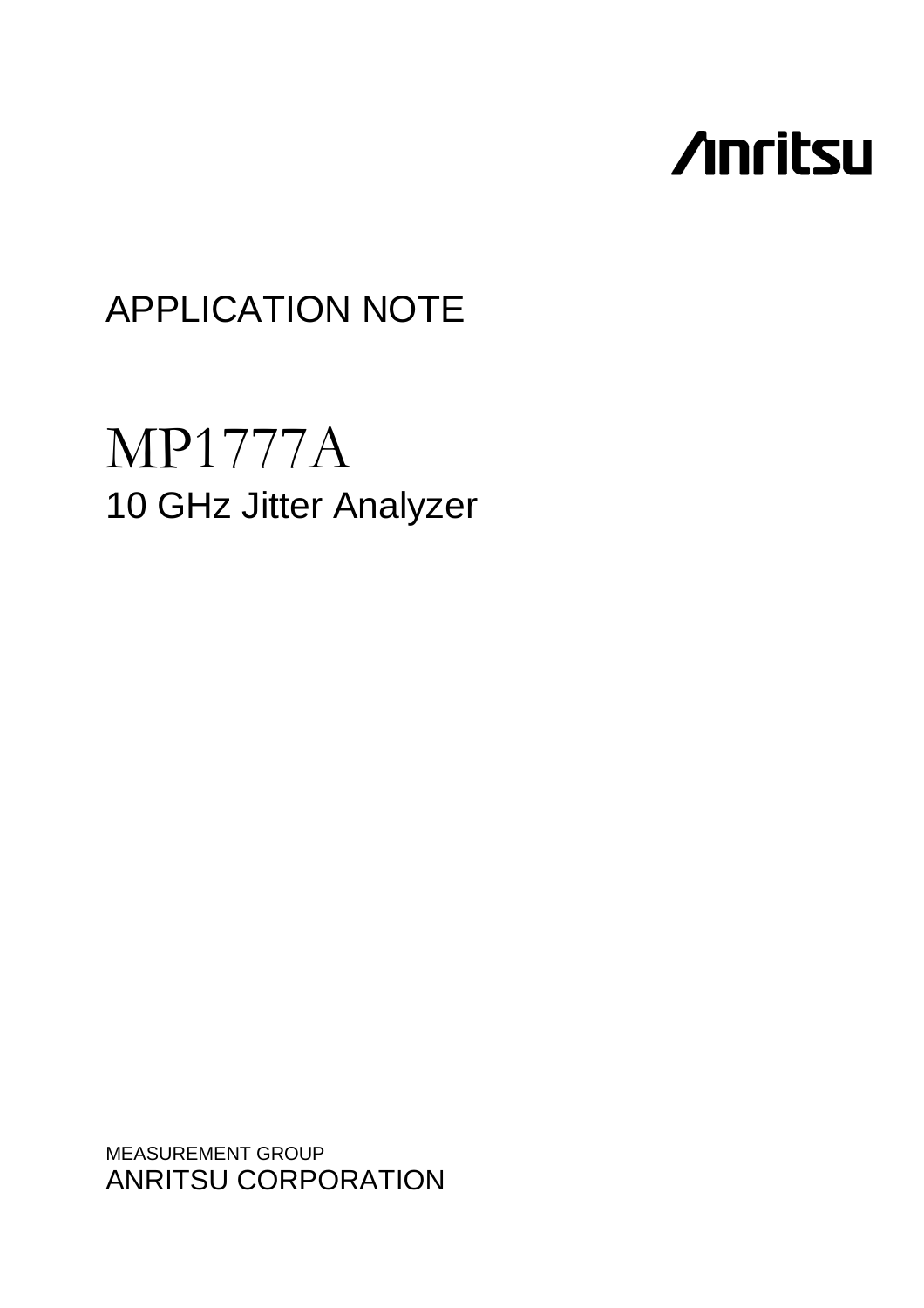# **Anritsu**

## APPLICATION NOTE

## MP1777A 10 GHz Jitter Analyzer

MEASUREMENT GROUP ANRITSU CORPORATION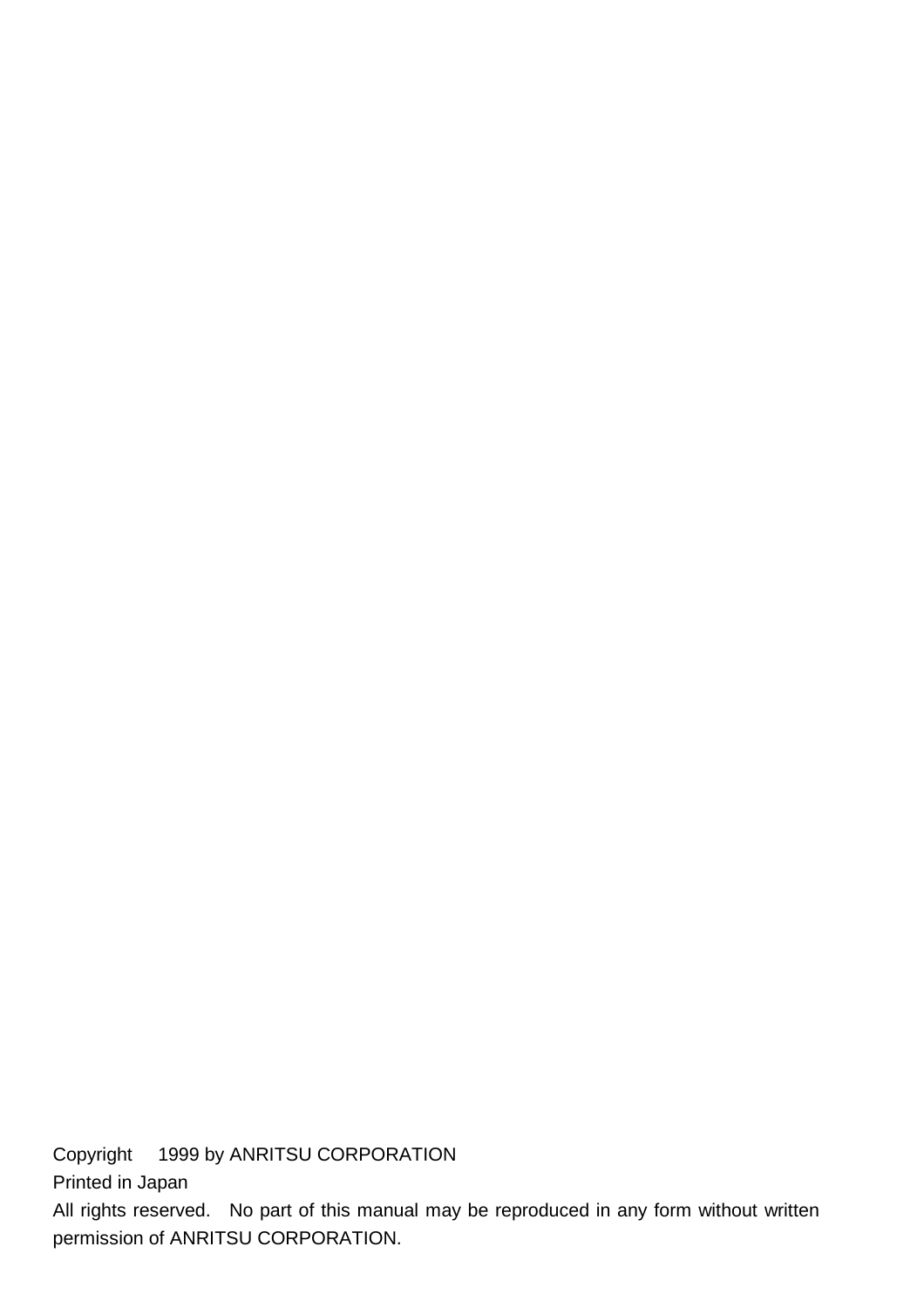Copyright © 1999 by ANRITSU CORPORATION

Printed in Japan

All rights reserved. No part of this manual may be reproduced in any form without written permission of ANRITSU CORPORATION.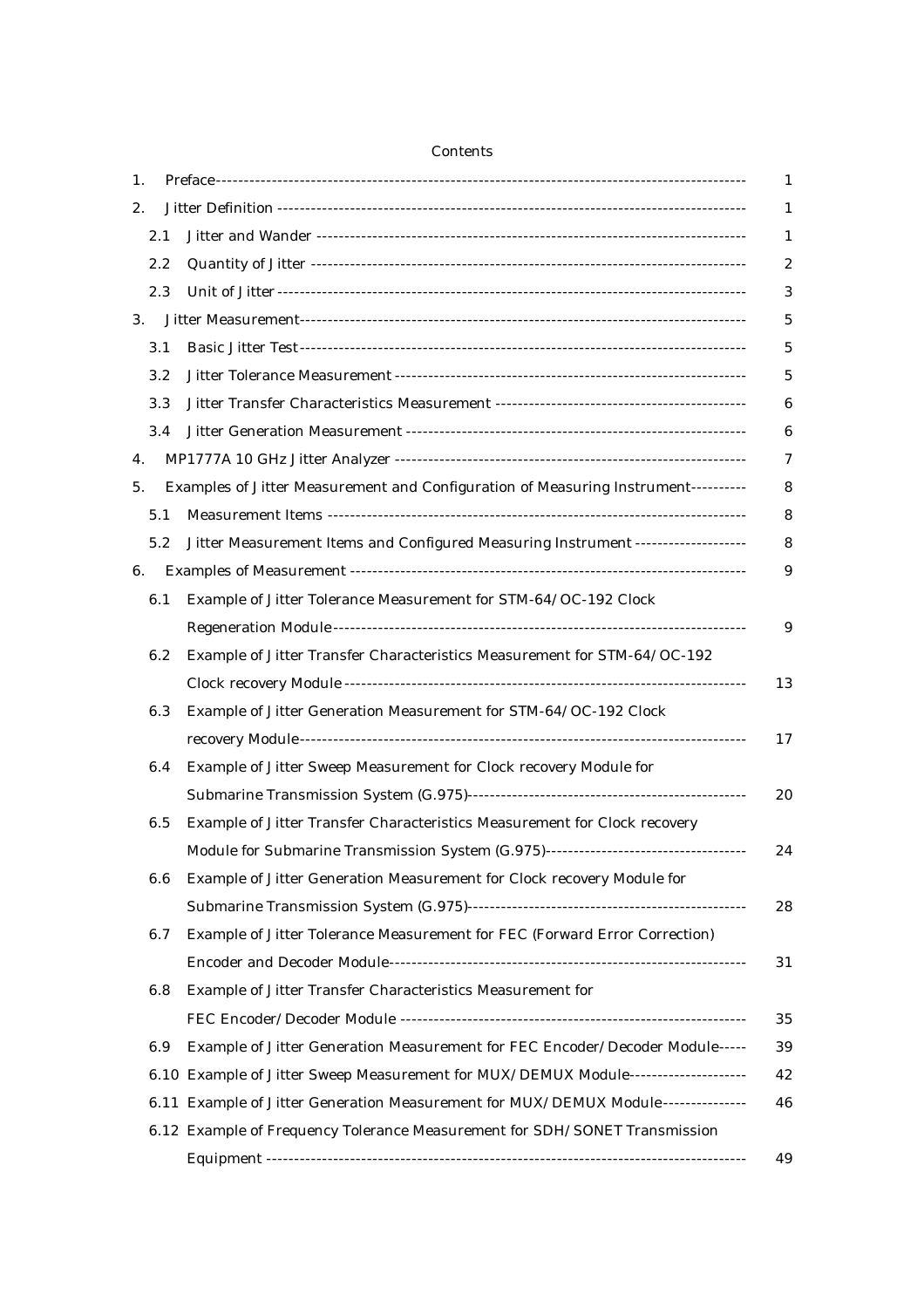| 1. |         | 1                                                                                        |
|----|---------|------------------------------------------------------------------------------------------|
| 2. |         | 1                                                                                        |
|    | 2.1     | 1                                                                                        |
|    | $2.2\,$ | 2                                                                                        |
|    | 2.3     | 3                                                                                        |
| 3. |         | 5                                                                                        |
|    | 3.1     | $\overline{5}$                                                                           |
|    | 3.2     | 5                                                                                        |
|    | 3.3     | 6                                                                                        |
|    | 3.4     | 6                                                                                        |
| 4. |         | 7                                                                                        |
| 5. |         | Examples of Jitter Measurement and Configuration of Measuring Instrument----------<br>8  |
|    | 5.1     | 8                                                                                        |
|    | 5.2     | Jitter Measurement Items and Configured Measuring Instrument -------------------<br>8    |
| 6. |         | 9                                                                                        |
|    | 6.1     | Example of Jitter Tolerance Measurement for STM-64/OC-192 Clock                          |
|    |         | 9                                                                                        |
|    | 6.2     | Example of Jitter Transfer Characteristics Measurement for STM-64/OC-192                 |
|    |         | 13                                                                                       |
|    | 6.3     | Example of Jitter Generation Measurement for STM-64/OC-192 Clock                         |
|    |         | 17                                                                                       |
|    | 6.4     | Example of Jitter Sweep Measurement for Clock recovery Module for                        |
|    |         | 20                                                                                       |
|    | 6.5     | Example of Jitter Transfer Characteristics Measurement for Clock recovery                |
|    |         | Module for Submarine Transmission System (G.975)----------------------------------<br>24 |
|    | 6.6     | Example of Jitter Generation Measurement for Clock recovery Module for                   |
|    |         | 28                                                                                       |
|    | 6.7     | Example of Jitter Tolerance Measurement for FEC (Forward Error Correction)               |
|    |         | 31                                                                                       |
|    | 6.8     | Example of Jitter Transfer Characteristics Measurement for                               |
|    |         | 35                                                                                       |
|    | 6.9     | Example of Jitter Generation Measurement for FEC Encoder/Decoder Module-----<br>39       |
|    |         | 6.10 Example of Jitter Sweep Measurement for MUX/DEMUX Module--------------------<br>42  |
|    |         | 6.11 Example of Jitter Generation Measurement for MUX/DEMUX Module --------------<br>46  |
|    |         | 6.12 Example of Frequency Tolerance Measurement for SDH/SONET Transmission               |
|    |         | 49                                                                                       |

## Contents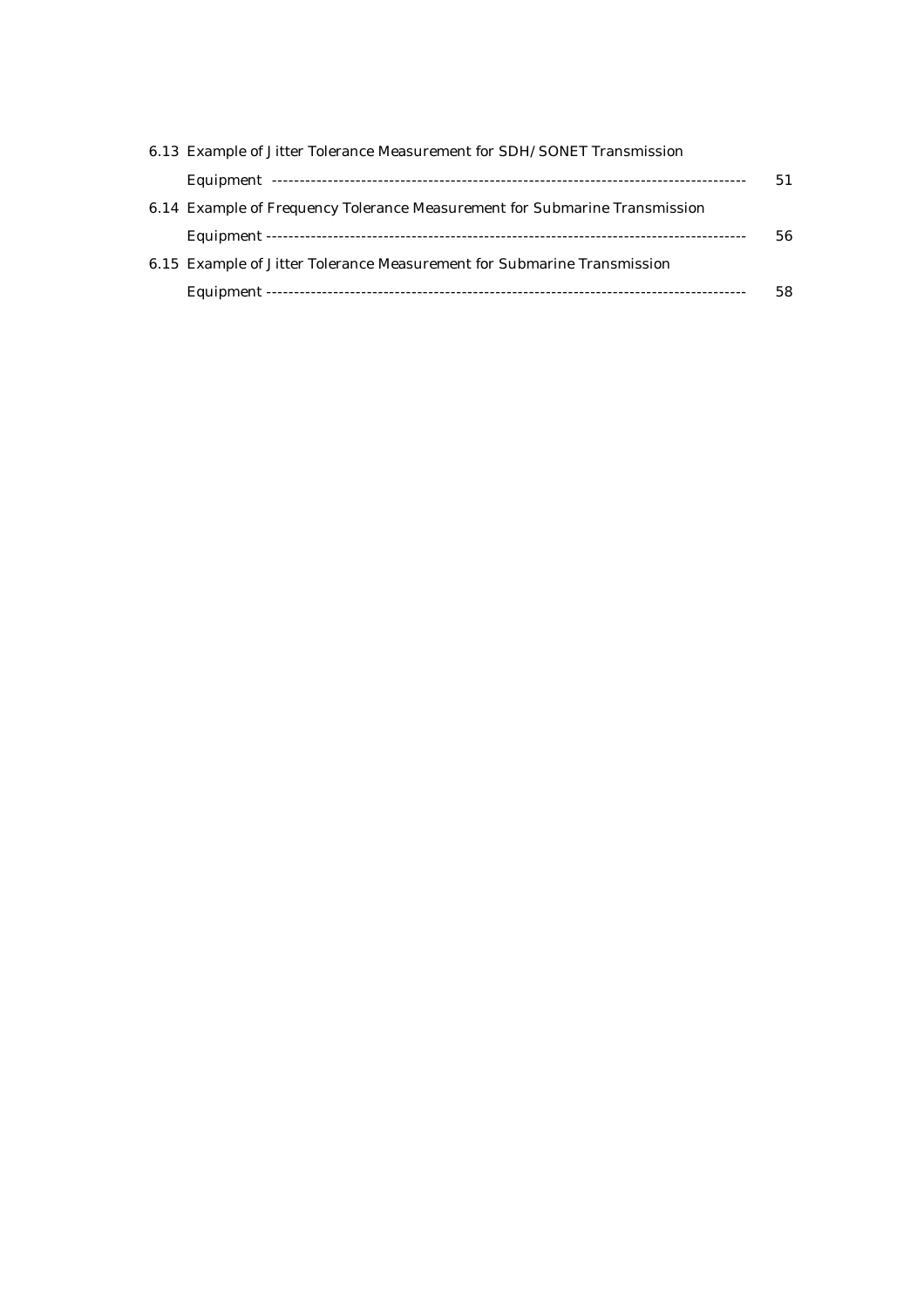| 6.13 Example of Jitter Tolerance Measurement for SDH/SONET Transmission    |    |
|----------------------------------------------------------------------------|----|
|                                                                            | 51 |
| 6.14 Example of Frequency Tolerance Measurement for Submarine Transmission |    |
|                                                                            | 56 |
| 6.15 Example of Jitter Tolerance Measurement for Submarine Transmission    |    |
|                                                                            | 58 |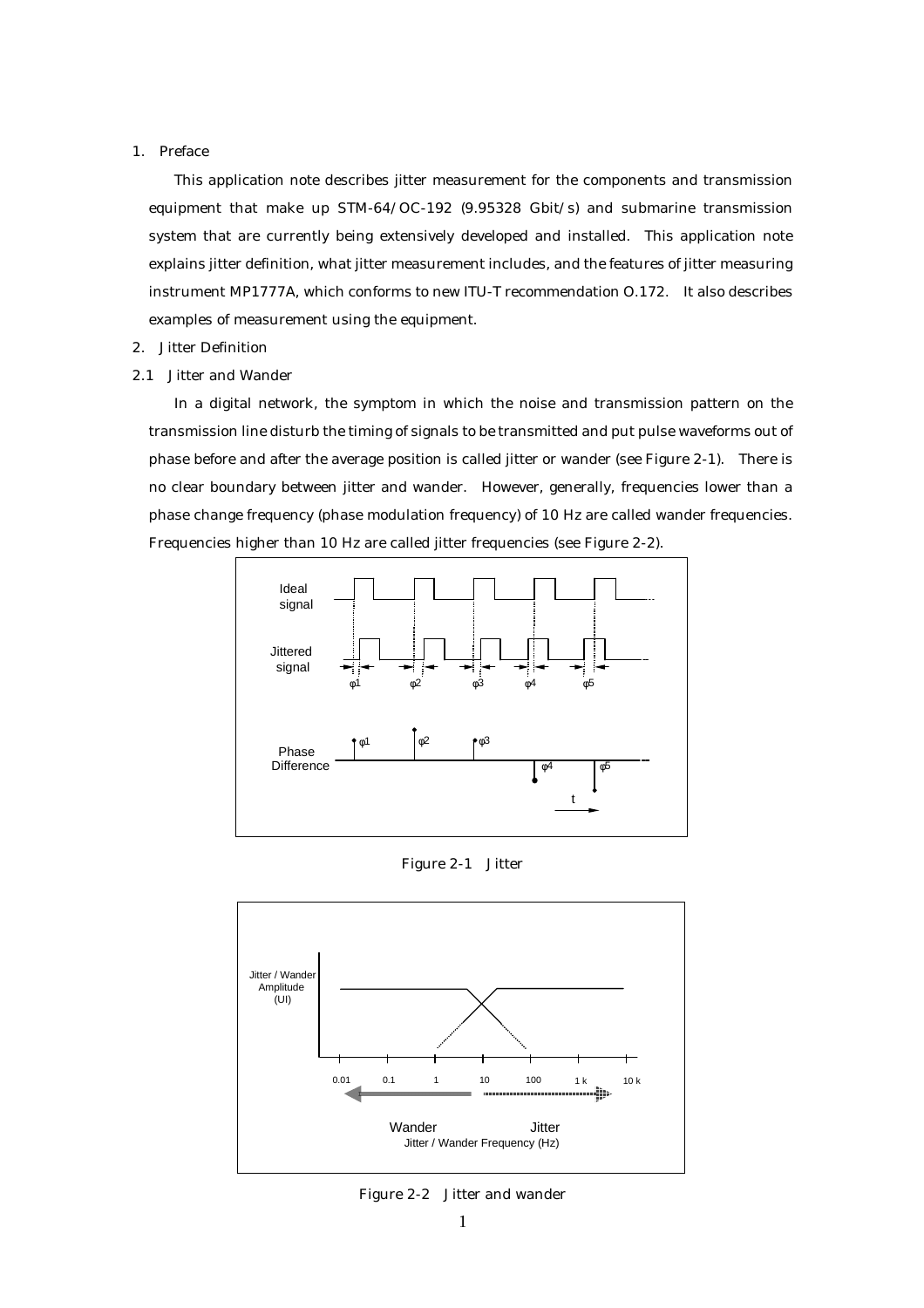#### 1. Preface

This application note describes jitter measurement for the components and transmission equipment that make up STM-64/OC-192 (9.95328 Gbit/s) and submarine transmission system that are currently being extensively developed and installed. This application note explains jitter definition, what jitter measurement includes, and the features of jitter measuring instrument MP1777A, which conforms to new ITU-T recommendation O.172. It also describes examples of measurement using the equipment.

#### 2. Jitter Definition

2.1 Jitter and Wander

In a digital network, the symptom in which the noise and transmission pattern on the transmission line disturb the timing of signals to be transmitted and put pulse waveforms out of phase before and after the average position is called jitter or wander (see Figure 2-1). There is no clear boundary between jitter and wander. However, generally, frequencies lower than a phase change frequency (phase modulation frequency) of 10 Hz are called wander frequencies. Frequencies higher than 10 Hz are called jitter frequencies (see Figure 2-2).



Figure 2-1 Jitter



Figure 2-2 Jitter and wander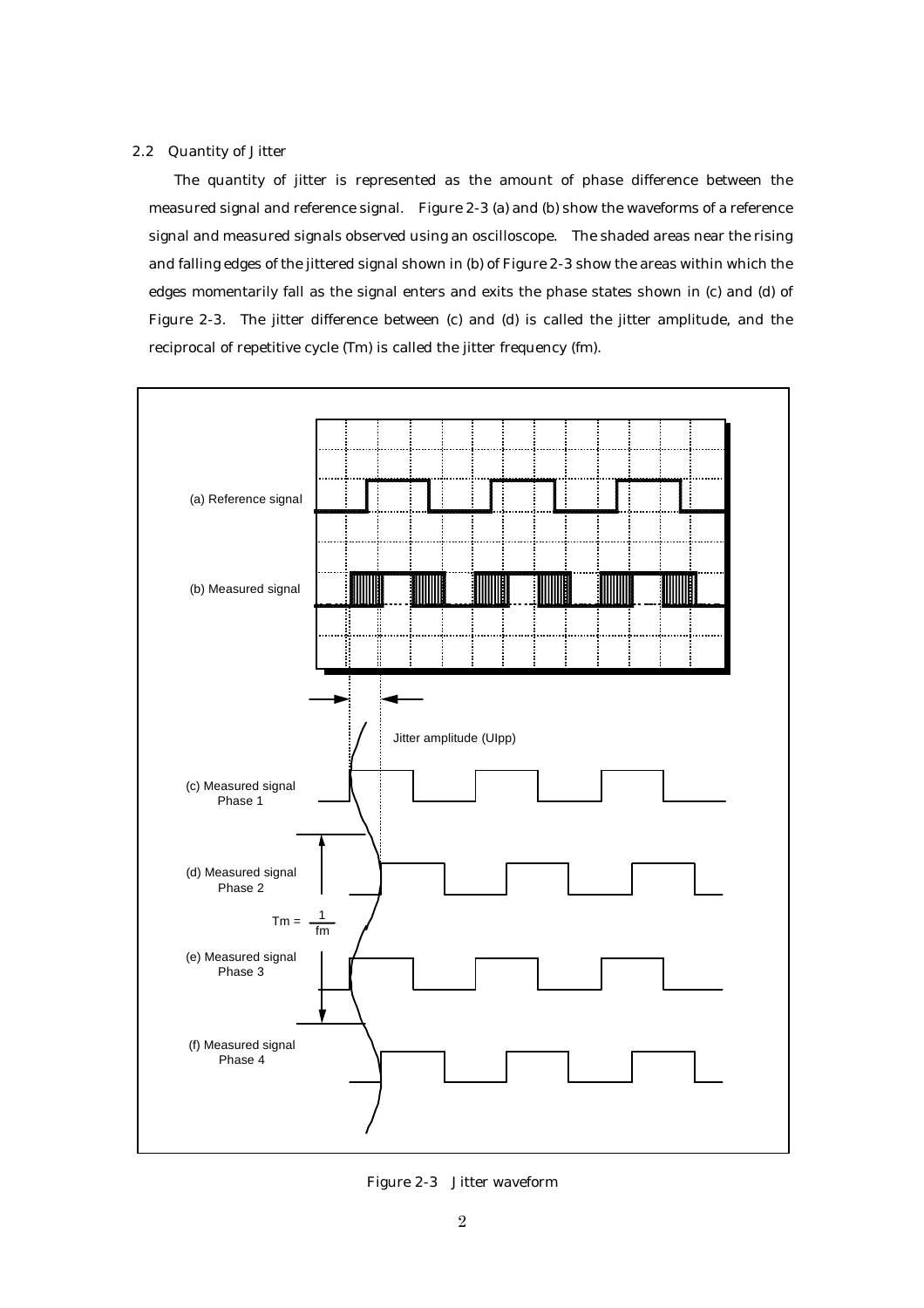#### 2.2 Quantity of Jitter

The quantity of jitter is represented as the amount of phase difference between the measured signal and reference signal. Figure 2-3 (a) and (b) show the waveforms of a reference signal and measured signals observed using an oscilloscope. The shaded areas near the rising and falling edges of the jittered signal shown in (b) of Figure 2-3 show the areas within which the edges momentarily fall as the signal enters and exits the phase states shown in (c) and (d) of Figure 2-3. The jitter difference between (c) and (d) is called the jitter amplitude, and the reciprocal of repetitive cycle (Tm) is called the jitter frequency (fm).



Figure 2-3 Jitter waveform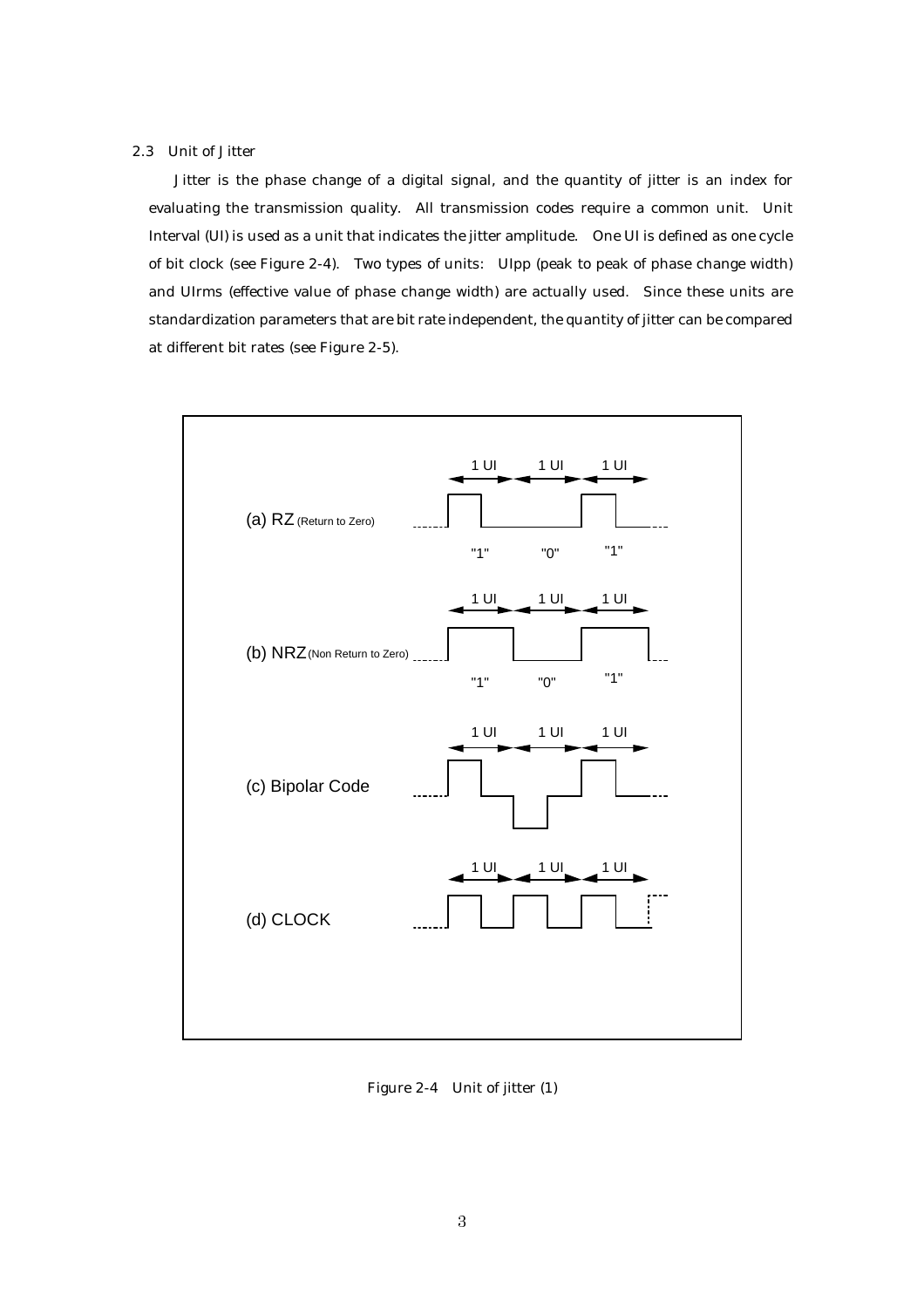### 2.3 Unit of Jitter

Jitter is the phase change of a digital signal, and the quantity of jitter is an index for evaluating the transmission quality. All transmission codes require a common unit. Unit Interval (UI) is used as a unit that indicates the jitter amplitude. One UI is defined as one cycle of bit clock (see Figure 2-4). Two types of units: UIpp (peak to peak of phase change width) and UIrms (effective value of phase change width) are actually used. Since these units are standardization parameters that are bit rate independent, the quantity of jitter can be compared at different bit rates (see Figure 2-5).



Figure 2-4 Unit of jitter (1)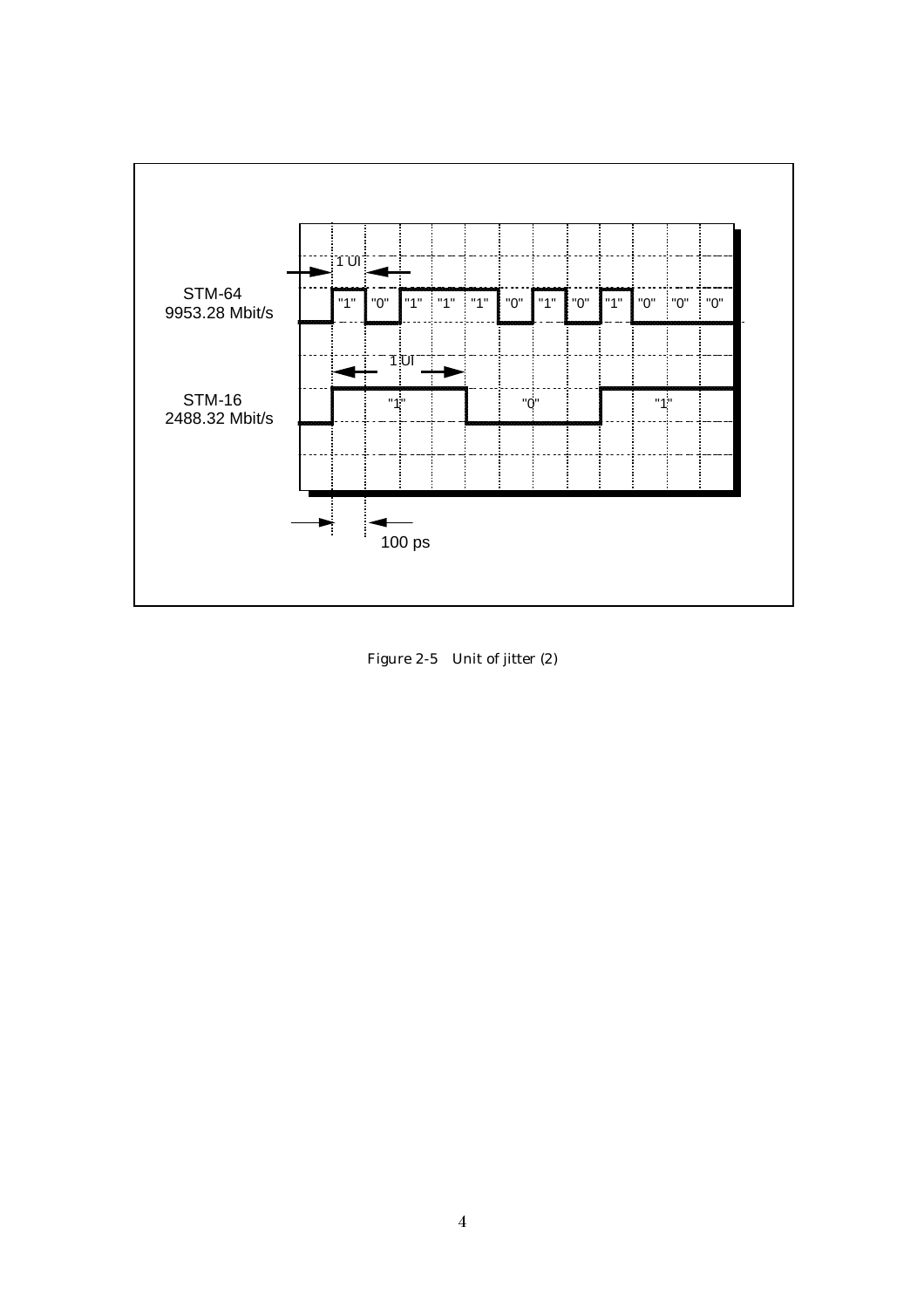

Figure 2-5 Unit of jitter (2)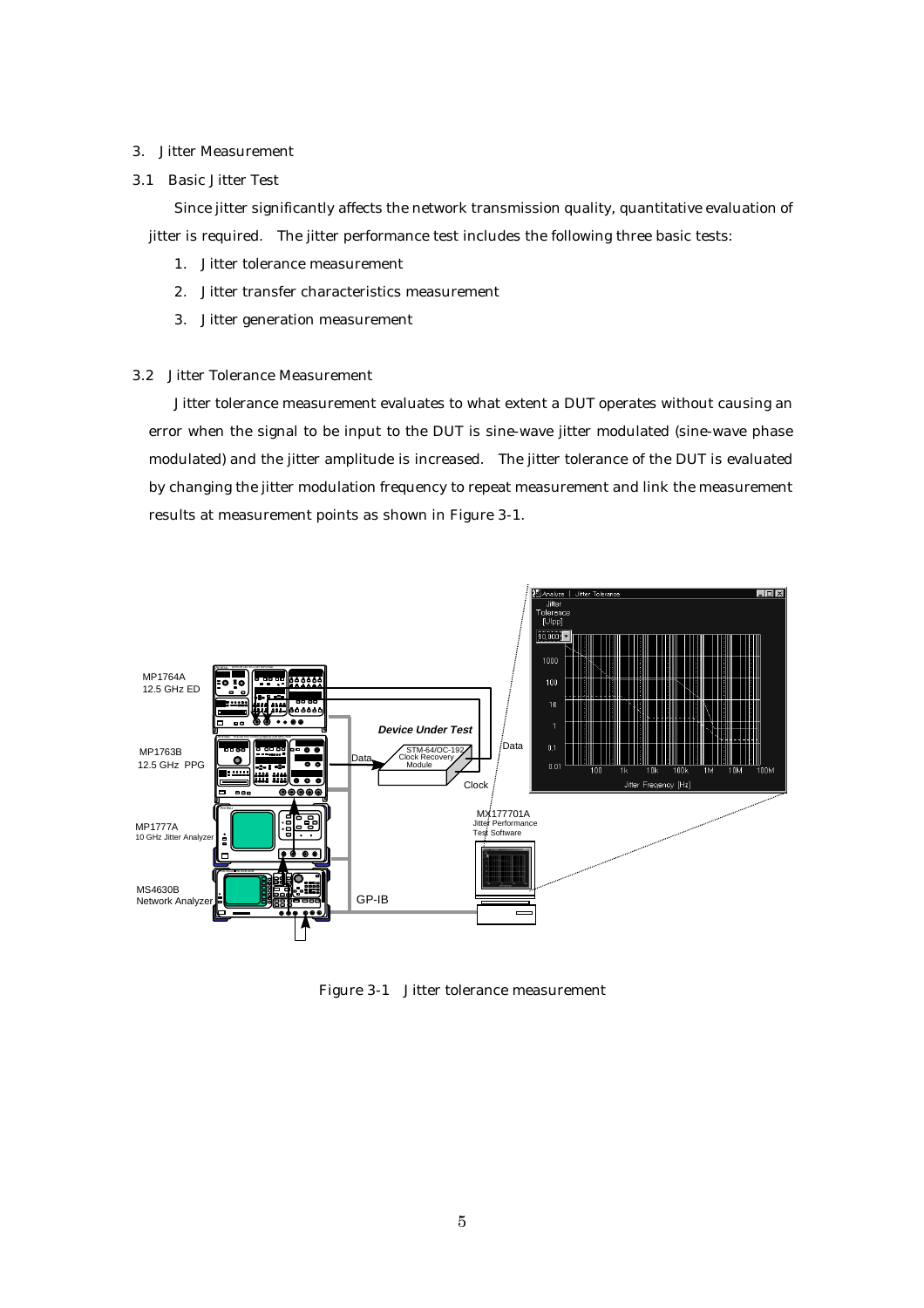#### 3. Jitter Measurement

3.1 Basic Jitter Test

Since jitter significantly affects the network transmission quality, quantitative evaluation of jitter is required. The jitter performance test includes the following three basic tests:

- 1. Jitter tolerance measurement
- 2. Jitter transfer characteristics measurement
- 3. Jitter generation measurement

#### 3.2 Jitter Tolerance Measurement

Jitter tolerance measurement evaluates to what extent a DUT operates without causing an error when the signal to be input to the DUT is sine-wave jitter modulated (sine-wave phase modulated) and the jitter amplitude is increased. The jitter tolerance of the DUT is evaluated by changing the jitter modulation frequency to repeat measurement and link the measurement results at measurement points as shown in Figure 3-1.



Figure 3-1 Jitter tolerance measurement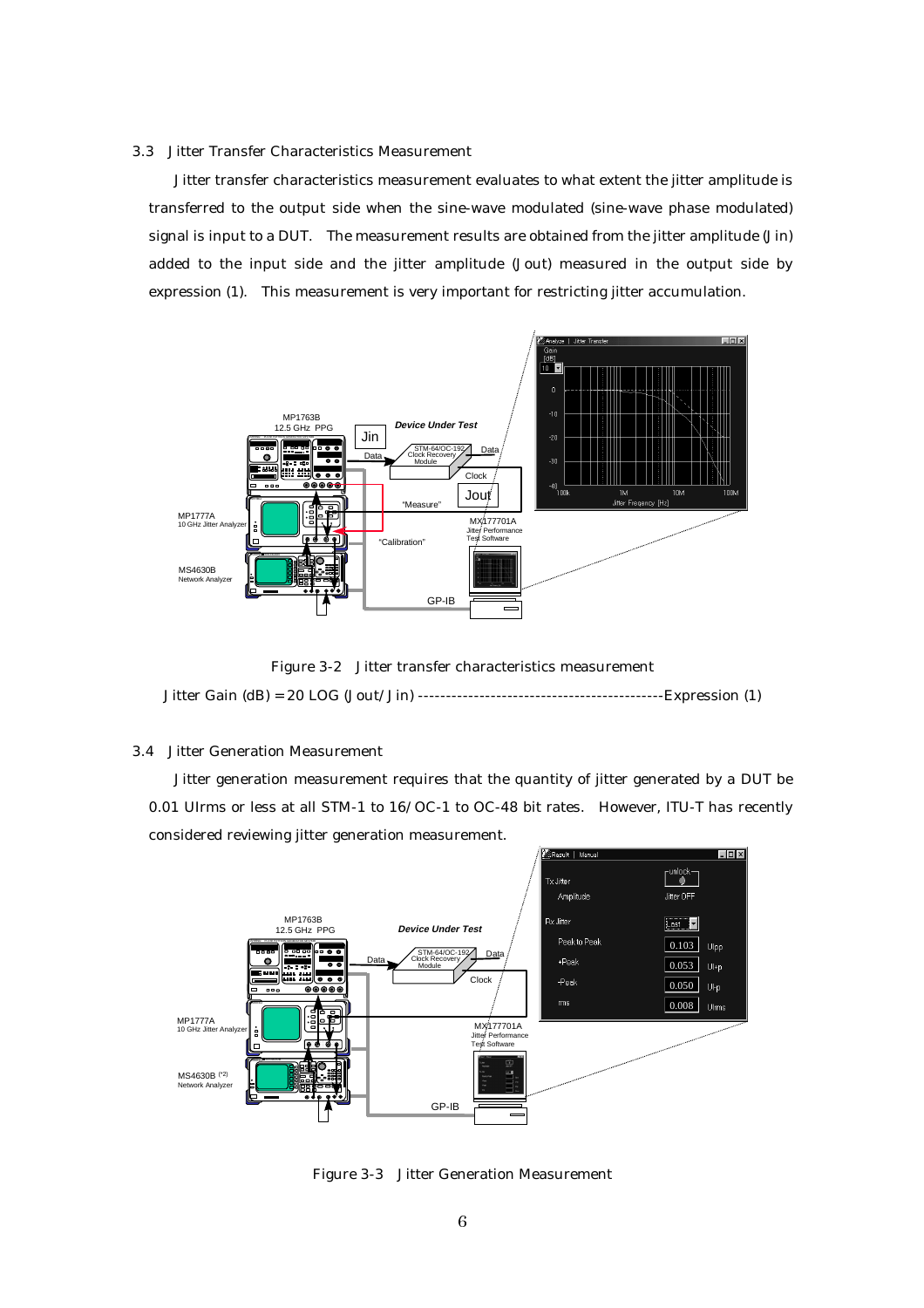#### 3.3 Jitter Transfer Characteristics Measurement

Jitter transfer characteristics measurement evaluates to what extent the jitter amplitude is transferred to the output side when the sine-wave modulated (sine-wave phase modulated) signal is input to a DUT. The measurement results are obtained from the jitter amplitude (Jin) added to the input side and the jitter amplitude (Jout) measured in the output side by expression (1). This measurement is very important for restricting jitter accumulation.



Figure 3-2 Jitter transfer characteristics measurement Jitter Gain (dB) = 20 LOG (Jout/Jin) --------------------------------------------Expression (1)

#### 3.4 Jitter Generation Measurement

Jitter generation measurement requires that the quantity of jitter generated by a DUT be 0.01 UIrms or less at all STM-1 to 16/OC-1 to OC-48 bit rates. However, ITU-T has recently considered reviewing jitter generation measurement.



Figure 3-3 Jitter Generation Measurement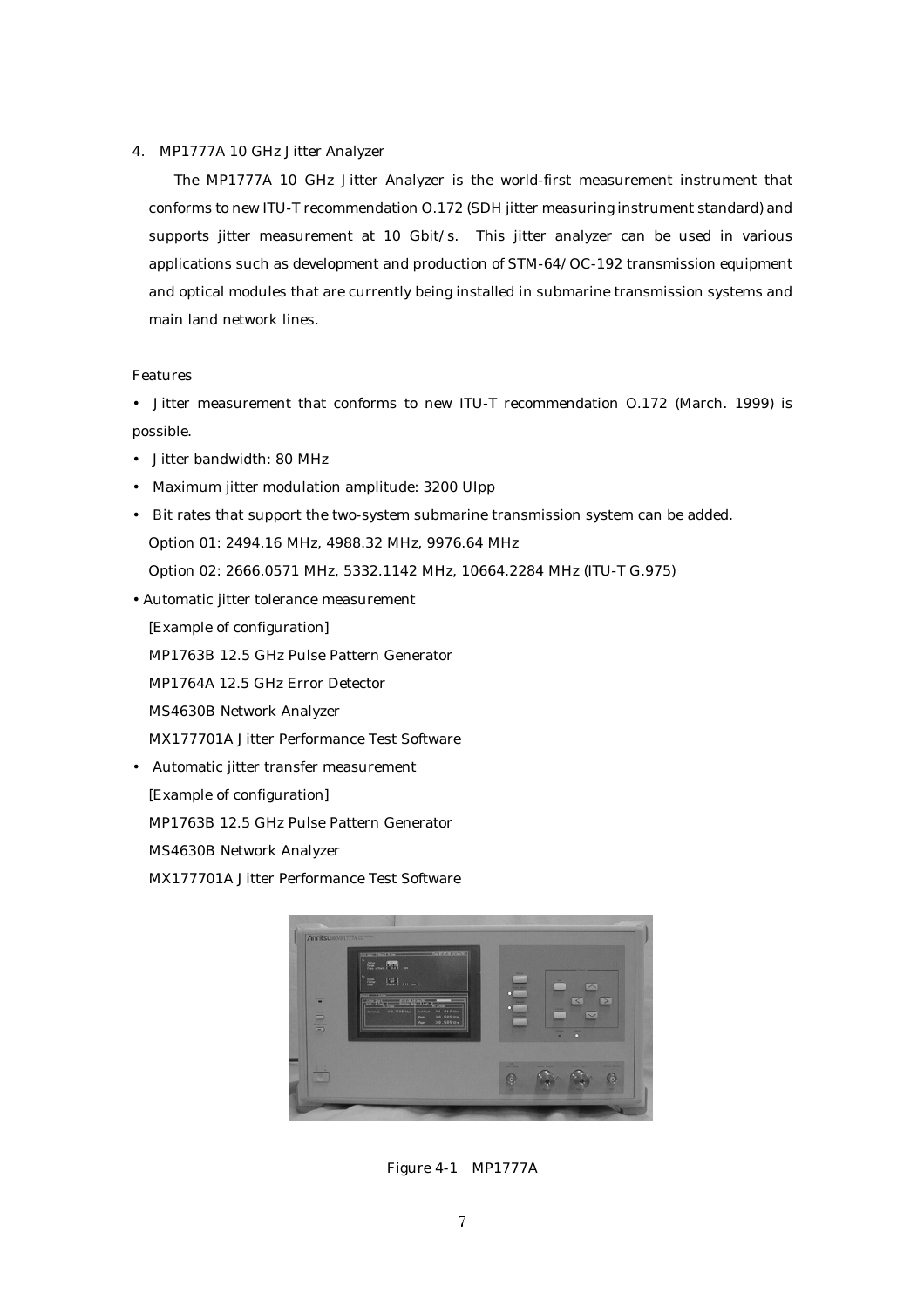#### 4. MP1777A 10 GHz Jitter Analyzer

The MP1777A 10 GHz Jitter Analyzer is the world-first measurement instrument that conforms to new ITU-T recommendation O.172 (SDH jitter measuring instrument standard) and supports jitter measurement at 10 Gbit/s. This jitter analyzer can be used in various applications such as development and production of STM-64/OC-192 transmission equipment and optical modules that are currently being installed in submarine transmission systems and main land network lines.

#### Features

• Jitter measurement that conforms to new ITU-T recommendation O.172 (March. 1999) is possible.

- Jitter bandwidth: 80 MHz
- Maximum jitter modulation amplitude: 3200 UIpp
- Bit rates that support the two-system submarine transmission system can be added. Option 01: 2494.16 MHz, 4988.32 MHz, 9976.64 MHz Option 02: 2666.0571 MHz, 5332.1142 MHz, 10664.2284 MHz (ITU-T G.975)
- Automatic jitter tolerance measurement

[Example of configuration]

MP1763B 12.5 GHz Pulse Pattern Generator

MP1764A 12.5 GHz Error Detector

MS4630B Network Analyzer

MX177701A Jitter Performance Test Software

• Automatic jitter transfer measurement

[Example of configuration]

MP1763B 12.5 GHz Pulse Pattern Generator

MS4630B Network Analyzer

MX177701A Jitter Performance Test Software



Figure 4-1 MP1777A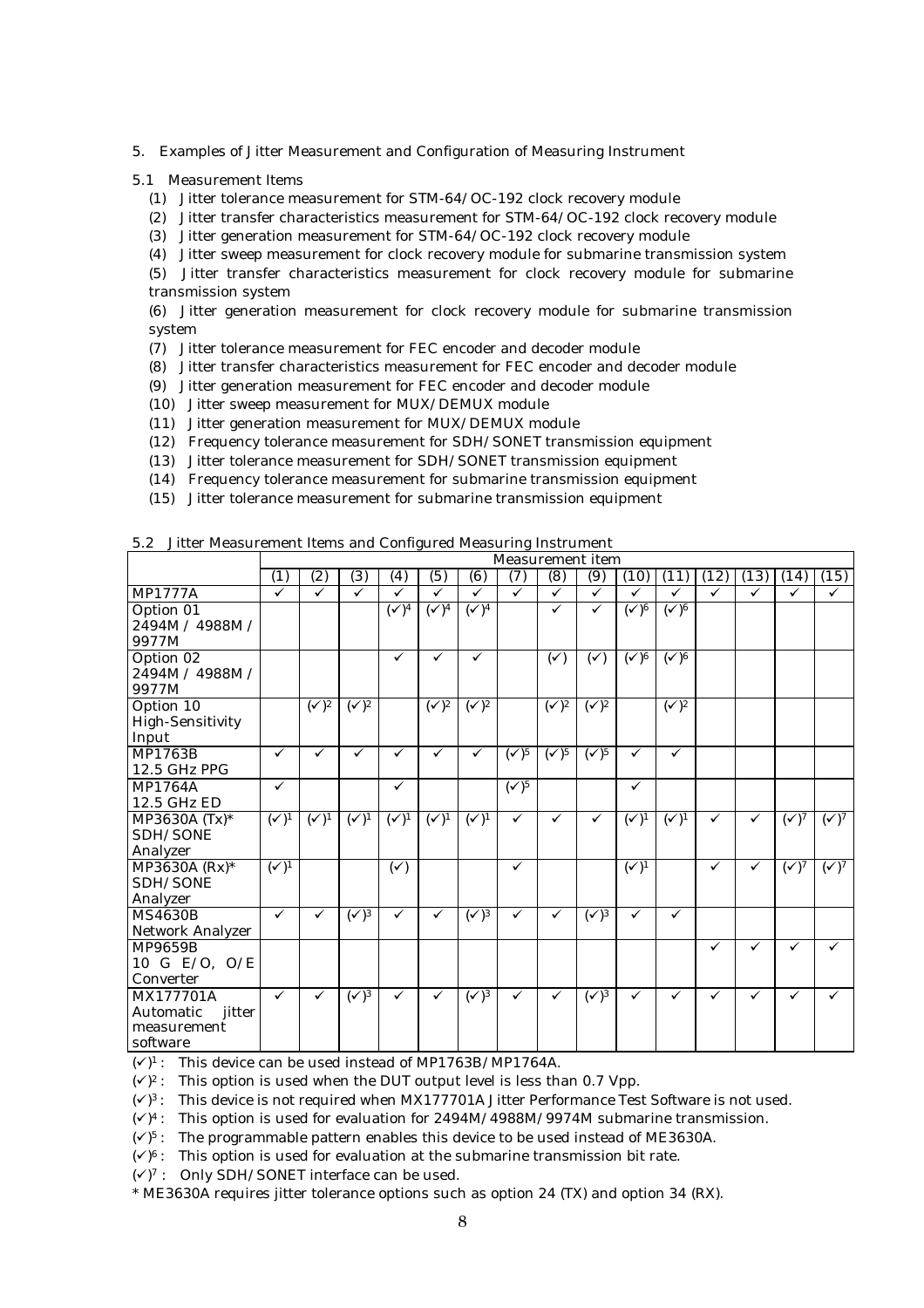- 5. Examples of Jitter Measurement and Configuration of Measuring Instrument
- 5.1 Measurement Items
	- (1) Jitter tolerance measurement for STM-64/OC-192 clock recovery module
	- (2) Jitter transfer characteristics measurement for STM-64/OC-192 clock recovery module
	- (3) Jitter generation measurement for STM-64/OC-192 clock recovery module
	- (4) Jitter sweep measurement for clock recovery module for submarine transmission system

(5) Jitter transfer characteristics measurement for clock recovery module for submarine transmission system

(6) Jitter generation measurement for clock recovery module for submarine transmission system

- (7) Jitter tolerance measurement for FEC encoder and decoder module
- (8) Jitter transfer characteristics measurement for FEC encoder and decoder module
- (9) Jitter generation measurement for FEC encoder and decoder module
- (10) Jitter sweep measurement for MUX/DEMUX module
- (11) Jitter generation measurement for MUX/DEMUX module
- (12) Frequency tolerance measurement for SDH/SONET transmission equipment
- (13) Jitter tolerance measurement for SDH/SONET transmission equipment
- (14) Frequency tolerance measurement for submarine transmission equipment
- (15) Jitter tolerance measurement for submarine transmission equipment

|                         |                          | <b>Measurement</b> item   |                           |                          |                           |                           |                           |                           |                           |                         |                           |              |              |                |                |
|-------------------------|--------------------------|---------------------------|---------------------------|--------------------------|---------------------------|---------------------------|---------------------------|---------------------------|---------------------------|-------------------------|---------------------------|--------------|--------------|----------------|----------------|
|                         | (1)                      | (2)                       | (3)                       | (4)                      | (5)                       | (6)                       | (7)                       | (8)                       | (9)                       | (10)                    | (11)                      | (12)         | (13)         | (14)           | (15)           |
| <b>MP1777A</b>          | ✓                        | ✓                         | ✓                         | ✓                        | ✓                         | $\checkmark$              | $\checkmark$              | $\checkmark$              | $\checkmark$              | ✓                       | ✓                         | $\checkmark$ | ✓            | ✓              | $\checkmark$   |
| Option 01               |                          |                           |                           | $\overline{(\sqrt{)^4}}$ | $\overline{(\sqrt{)^4}}$  | $\overline{(\sqrt{)^4}}$  |                           | ✓                         | ✓                         | $\overline{(\sqrt{6})}$ | $\overline{(\sqrt{6})}$   |              |              |                |                |
| 2494M / 4988M /         |                          |                           |                           |                          |                           |                           |                           |                           |                           |                         |                           |              |              |                |                |
| 9977M                   |                          |                           |                           |                          |                           |                           |                           |                           |                           |                         |                           |              |              |                |                |
| Option 02               |                          |                           |                           | ✓                        | ✓                         | $\checkmark$              |                           | $(\checkmark)$            | $(\checkmark)$            | $\overline{(\sqrt{6})}$ | $\overline{(\sqrt{6})}$   |              |              |                |                |
| 2494M / 4988M /         |                          |                           |                           |                          |                           |                           |                           |                           |                           |                         |                           |              |              |                |                |
| 9977M                   |                          |                           |                           |                          |                           |                           |                           |                           |                           |                         |                           |              |              |                |                |
| Option 10               |                          | $\overline{(\sqrt{2})^2}$ | $\overline{(\sqrt{2})^2}$ |                          | $\overline{(\sqrt{2})^2}$ | $\overline{(\sqrt{2})^2}$ |                           | $\overline{(\sqrt{2})^2}$ | $\overline{(\sqrt{2})^2}$ |                         | $\overline{(\sqrt{2})^2}$ |              |              |                |                |
| <b>High-Sensitivity</b> |                          |                           |                           |                          |                           |                           |                           |                           |                           |                         |                           |              |              |                |                |
| Input                   |                          |                           |                           |                          |                           |                           |                           |                           |                           |                         |                           |              |              |                |                |
| <b>MP1763B</b>          | $\checkmark$             | $\checkmark$              | $\checkmark$              | ✓                        | ✓                         | ✓                         | $\overline{(\sqrt{5})^5}$ | $\overline{(\sqrt{2})^5}$ | $\overline{(\sqrt{5})^5}$ | $\checkmark$            | $\checkmark$              |              |              |                |                |
| 12.5 GHz PPG            |                          |                           |                           |                          |                           |                           |                           |                           |                           |                         |                           |              |              |                |                |
| <b>MP1764A</b>          | $\checkmark$             |                           |                           | $\checkmark$             |                           |                           | $\overline{(\sqrt{5})}$   |                           |                           | $\checkmark$            |                           |              |              |                |                |
| 12.5 GHz ED             |                          |                           |                           |                          |                           |                           |                           |                           |                           |                         |                           |              |              |                |                |
| MP3630A (Tx)*           | $\overline{(\sqrt{)^1}}$ | $(\checkmark)^1$          | $(\sqrt{1})^1$            | $(\sqrt{1})^1$           | $(\sqrt{1})^1$            | $(\sqrt{1})^1$            | ✓                         | $\checkmark$              | $\checkmark$              | $(\sqrt{1})^1$          | $(\sqrt{1})^1$            | $\checkmark$ | $\checkmark$ | $(\sqrt{7})$   | $(\sqrt{2})^7$ |
| SDH/SONE                |                          |                           |                           |                          |                           |                           |                           |                           |                           |                         |                           |              |              |                |                |
| Analyzer                |                          |                           |                           |                          |                           |                           |                           |                           |                           |                         |                           |              |              |                |                |
| $MP3630A (Rx)*$         | $\overline{(\sqrt{)^1}}$ |                           |                           | $(\checkmark)$           |                           |                           | ✓                         |                           |                           | $(\sqrt{)^1}$           |                           | ✓            | ✓            | $(\sqrt{2})^7$ | $(\sqrt{2})^7$ |
| SDH/SONE                |                          |                           |                           |                          |                           |                           |                           |                           |                           |                         |                           |              |              |                |                |
| Analyzer                |                          |                           |                           |                          |                           |                           |                           |                           |                           |                         |                           |              |              |                |                |
| <b>MS4630B</b>          | $\checkmark$             | ✓                         | $(\sqrt{3})$              | ✓                        | $\checkmark$              | $(\sqrt{3})$              | ✓                         | ✓                         | $(\sqrt{3})$              | $\checkmark$            | $\checkmark$              |              |              |                |                |
| Network Analyzer        |                          |                           |                           |                          |                           |                           |                           |                           |                           |                         |                           |              |              |                |                |
| <b>MP9659B</b>          |                          |                           |                           |                          |                           |                           |                           |                           |                           |                         |                           | ✓            | ✓            | ✓              | ✓              |
| 10 G E/O, O/E           |                          |                           |                           |                          |                           |                           |                           |                           |                           |                         |                           |              |              |                |                |
| Converter               |                          |                           |                           |                          |                           |                           |                           |                           |                           |                         |                           |              |              |                |                |
| MX177701A               | $\checkmark$             | $\checkmark$              | $\overline{(\sqrt{)^3}}$  | ✓                        | $\checkmark$              | $\overline{(\sqrt{)^3}}$  | ✓                         | ✓                         | $\overline{(\sqrt{)^3}}$  | $\checkmark$            | $\checkmark$              | ✓            | ✓            | ✓              | $\checkmark$   |
| Automatic<br>jitter     |                          |                           |                           |                          |                           |                           |                           |                           |                           |                         |                           |              |              |                |                |
| measurement             |                          |                           |                           |                          |                           |                           |                           |                           |                           |                         |                           |              |              |                |                |
| software                |                          |                           |                           |                          |                           |                           |                           |                           |                           |                         |                           |              |              |                |                |

### 5.2 Jitter Measurement Items and Configured Measuring Instrument

 $({\checkmark})^1$ : This device can be used instead of MP1763B/MP1764A.

 $(\sqrt{2})^2$ : This option is used when the DUT output level is less than 0.7 Vpp.

 $(\sqrt{3})$ : This device is not required when MX177701A Jitter Performance Test Software is not used.

 $(\sqrt{9})^4$ : This option is used for evaluation for 2494M/4988M/9974M submarine transmission.

 $(\sqrt{2})^5$ : The programmable pattern enables this device to be used instead of ME3630A.

 $({\checkmark})^6$ : This option is used for evaluation at the submarine transmission bit rate.

 $({\checkmark})^7$  : Only SDH/SONET interface can be used.

\* ME3630A requires jitter tolerance options such as option 24 (TX) and option 34 (RX).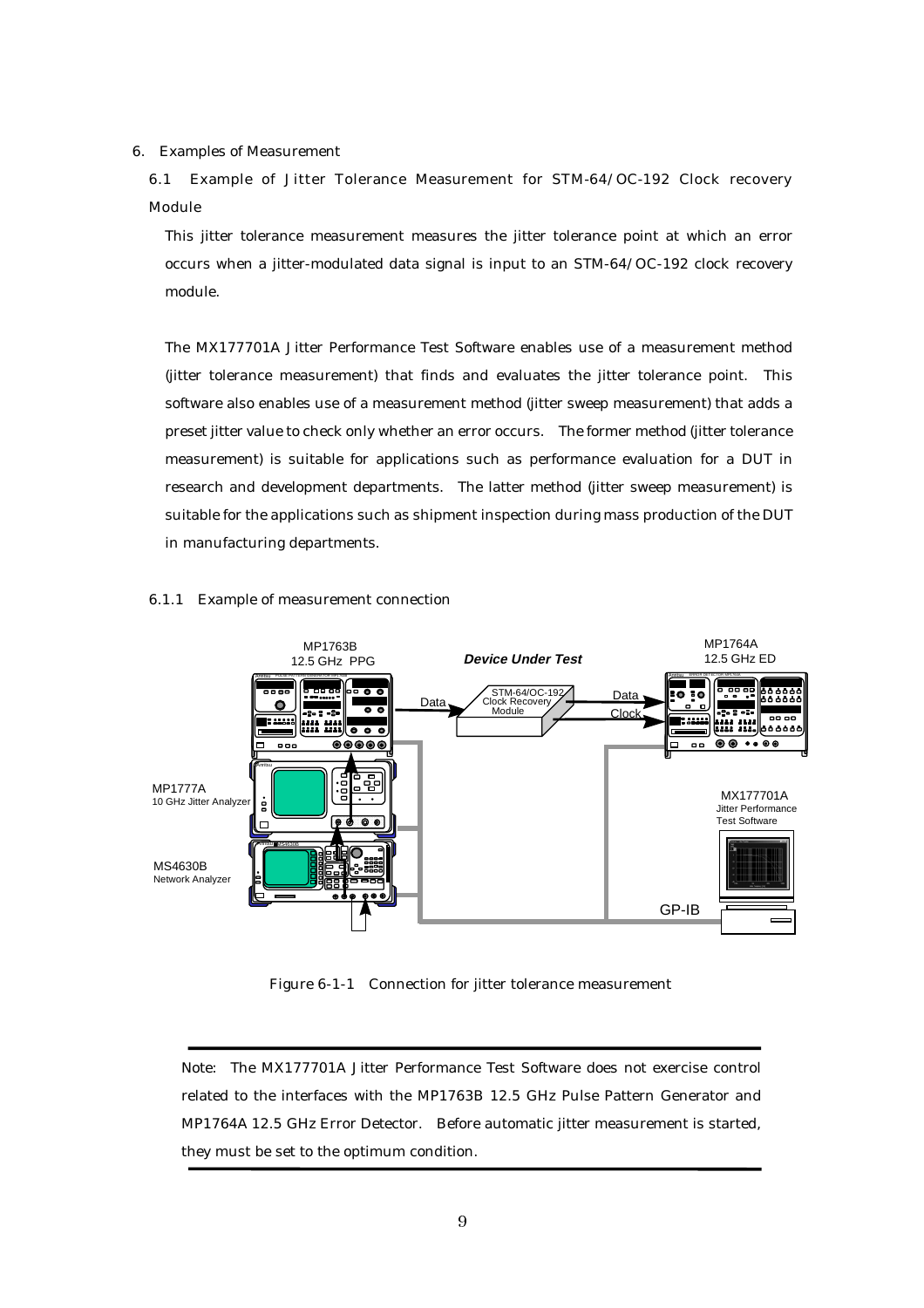6. Examples of Measurement

6.1 Example of Jitter Tolerance Measurement for STM-64/OC-192 Clock recovery Module

This jitter tolerance measurement measures the jitter tolerance point at which an error occurs when a jitter-modulated data signal is input to an STM-64/OC-192 clock recovery module.

The MX177701A Jitter Performance Test Software enables use of a measurement method (jitter tolerance measurement) that finds and evaluates the jitter tolerance point. This software also enables use of a measurement method (jitter sweep measurement) that adds a preset jitter value to check only whether an error occurs. The former method (jitter tolerance measurement) is suitable for applications such as performance evaluation for a DUT in research and development departments. The latter method (jitter sweep measurement) is suitable for the applications such as shipment inspection during mass production of the DUT in manufacturing departments.

#### 6.1.1 Example of measurement connection



Figure 6-1-1 Connection for jitter tolerance measurement

Note: The MX177701A Jitter Performance Test Software does not exercise control related to the interfaces with the MP1763B 12.5 GHz Pulse Pattern Generator and MP1764A 12.5 GHz Error Detector. Before automatic jitter measurement is started, they must be set to the optimum condition.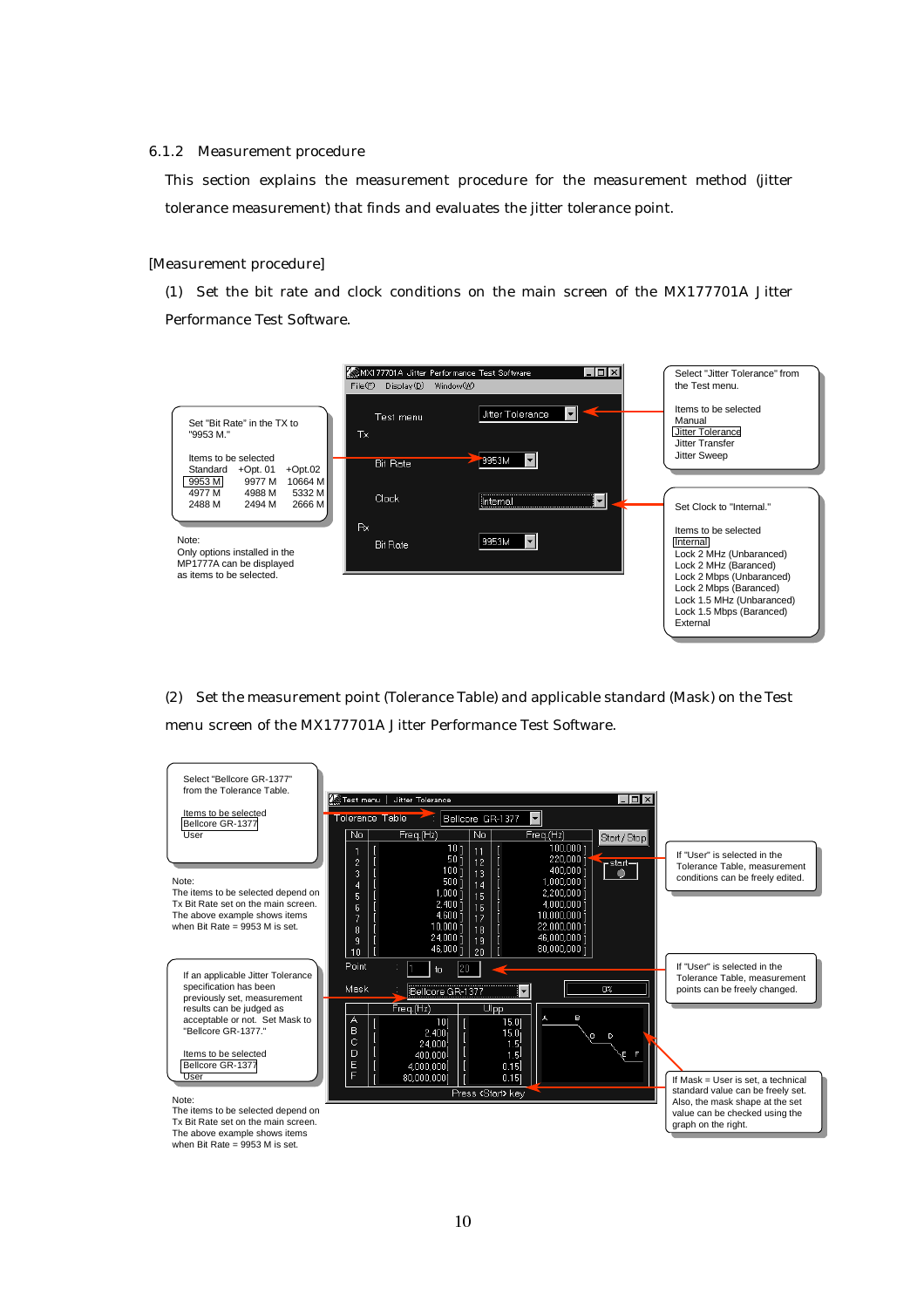#### 6.1.2 Measurement procedure

This section explains the measurement procedure for the measurement method (jitter tolerance measurement) that finds and evaluates the jitter tolerance point.

#### [Measurement procedure]

(1) Set the bit rate and clock conditions on the main screen of the MX177701A Jitter Performance Test Software.



(2) Set the measurement point (Tolerance Table) and applicable standard (Mask) on the Test menu screen of the MX177701A Jitter Performance Test Software.

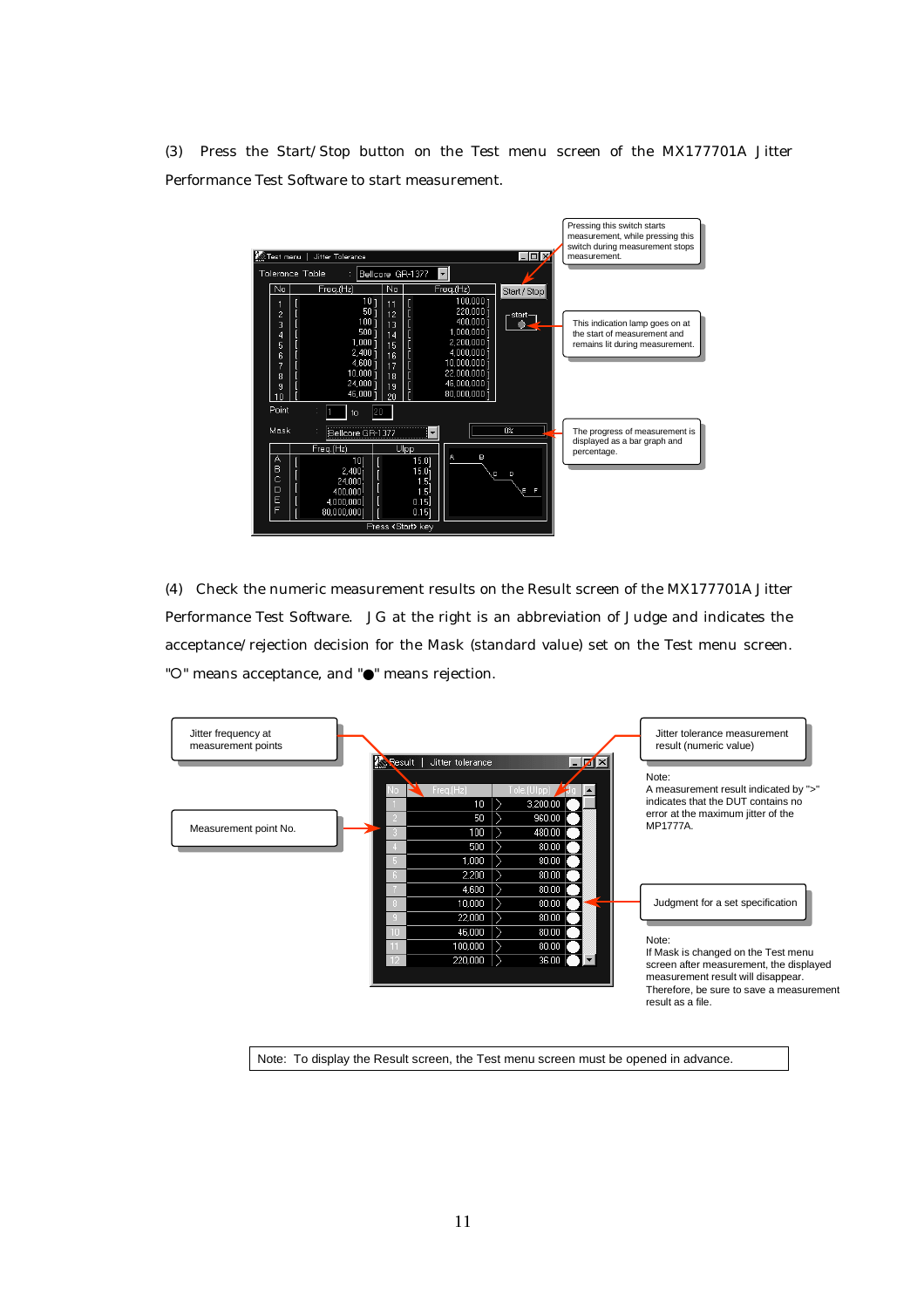(3) Press the Start/Stop button on the Test menu screen of the MX177701A Jitter Performance Test Software to start measurement.



(4) Check the numeric measurement results on the Result screen of the MX177701A Jitter Performance Test Software. JG at the right is an abbreviation of Judge and indicates the acceptance/rejection decision for the Mask (standard value) set on the Test menu screen. " ${\circ}$ " means acceptance, and " ${\bullet}$ " means rejection.



Note: To display the Result screen, the Test menu screen must be opened in advance.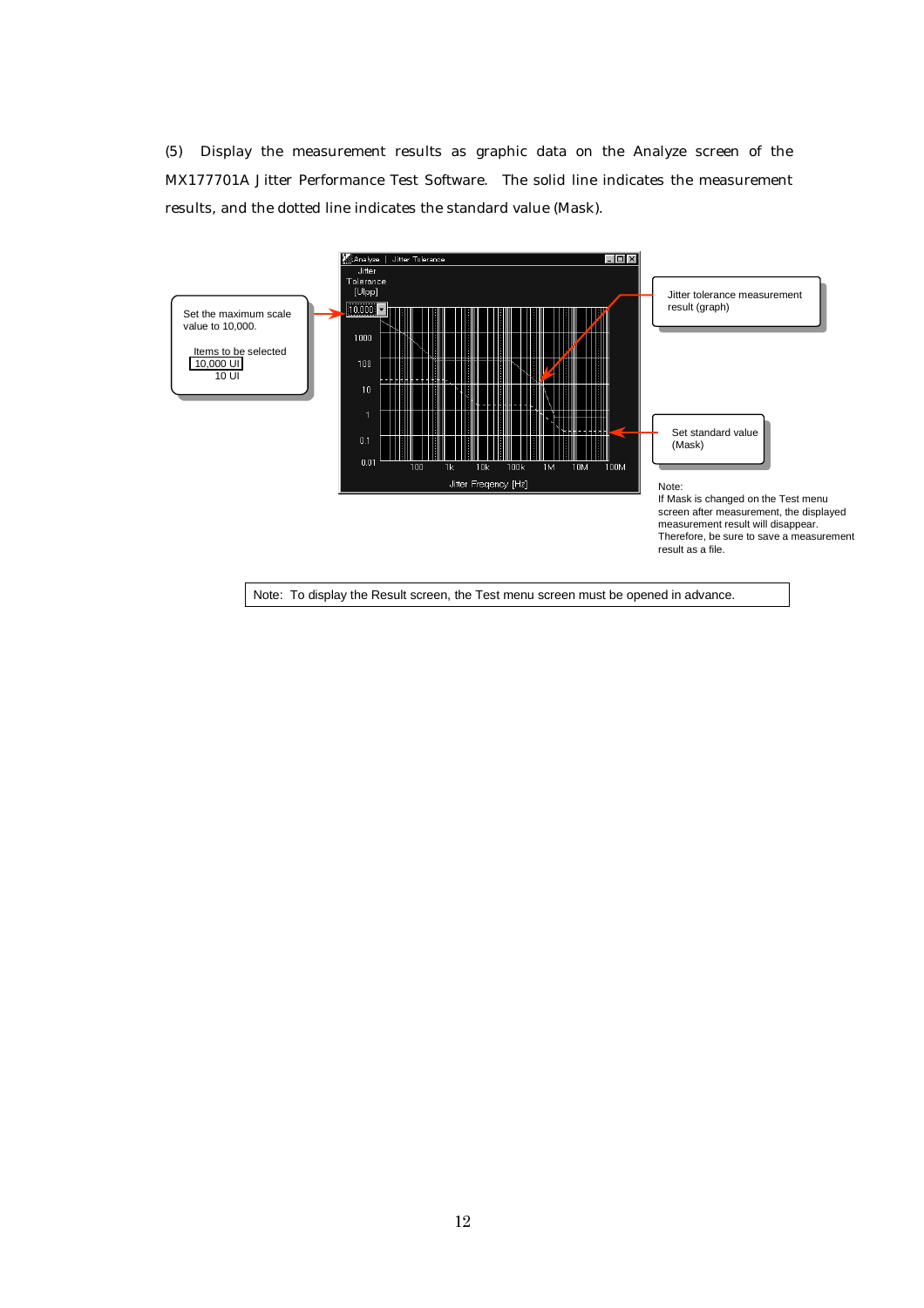(5) Display the measurement results as graphic data on the Analyze screen of the MX177701A Jitter Performance Test Software. The solid line indicates the measurement results, and the dotted line indicates the standard value (Mask).

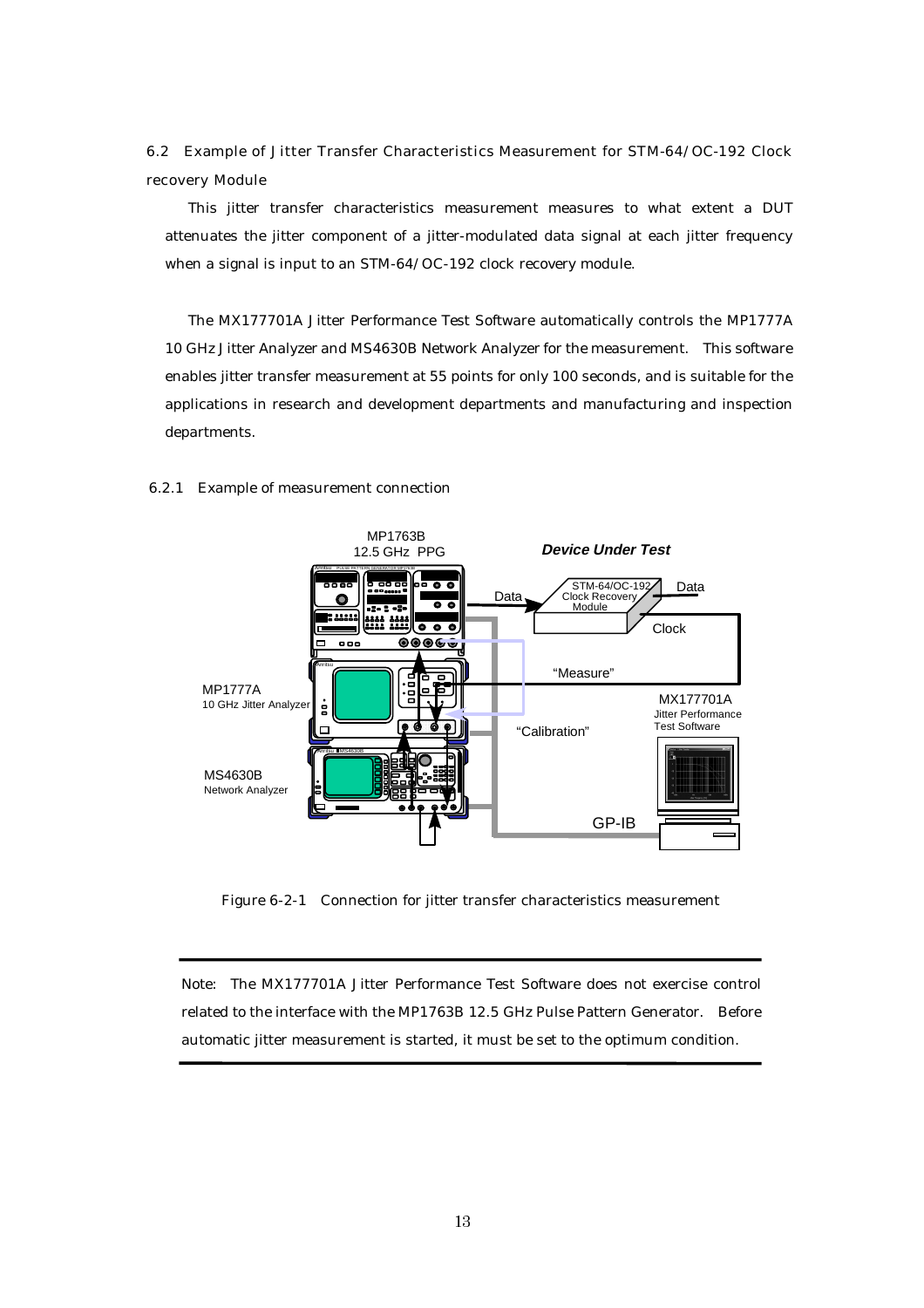6.2 Example of Jitter Transfer Characteristics Measurement for STM-64/OC-192 Clock recovery Module

This jitter transfer characteristics measurement measures to what extent a DUT attenuates the jitter component of a jitter-modulated data signal at each jitter frequency when a signal is input to an STM-64/OC-192 clock recovery module.

The MX177701A Jitter Performance Test Software automatically controls the MP1777A 10 GHz Jitter Analyzer and MS4630B Network Analyzer for the measurement. This software enables jitter transfer measurement at 55 points for only 100 seconds, and is suitable for the applications in research and development departments and manufacturing and inspection departments.

#### MP1763B **Device Under Test** 12.5 GHz PPG Anritsu PULSE PATTERN GENERATOR MP1763B  $\overline{\phantom{a}}\bullet\overline{\phantom{a}}\bullet$ Data STM-64/OC-192<br>Clock Recovery Data C  $\overline{\bullet}$   $\overline{\bullet}$ Module 22. . . . . . <del>.</del>  $\overline{\bullet\bullet\bullet}$ Clock ෧෧෧෫  $0.05$ Anritsu "Measure" MP1777A MX177701A 10 GHz Jitter Analyze ġ Jitter Performance Test Software "Calibration" ш Anritsu MS4630B MS4630B Network Analyzer GP-IB

#### 6.2.1 Example of measurement connection

Figure 6-2-1 Connection for jitter transfer characteristics measurement

Note: The MX177701A Jitter Performance Test Software does not exercise control related to the interface with the MP1763B 12.5 GHz Pulse Pattern Generator. Before automatic jitter measurement is started, it must be set to the optimum condition.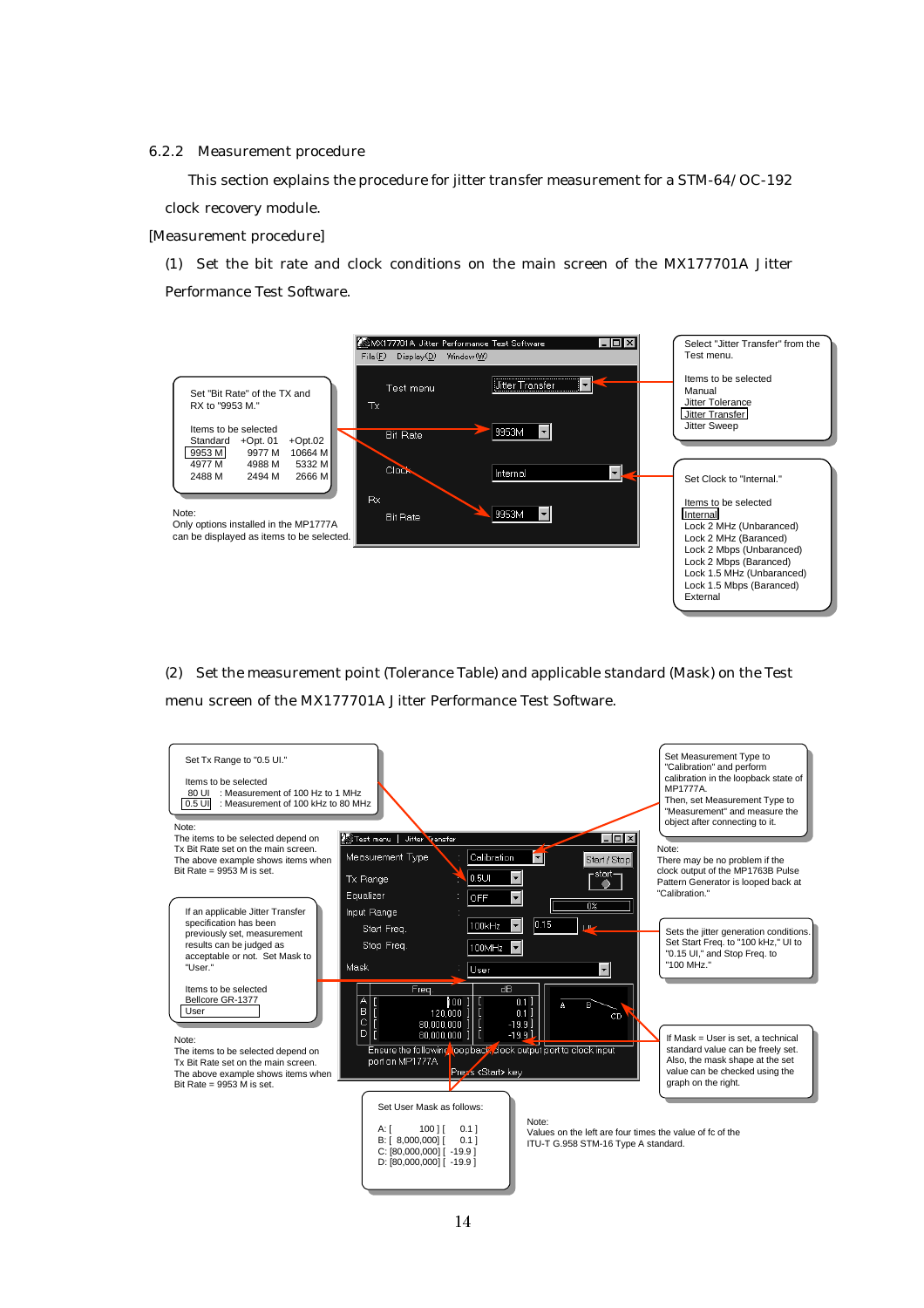#### 6.2.2 Measurement procedure

This section explains the procedure for jitter transfer measurement for a STM-64/OC-192 clock recovery module.

[Measurement procedure]

(1) Set the bit rate and clock conditions on the main screen of the MX177701A Jitter Performance Test Software.



(2) Set the measurement point (Tolerance Table) and applicable standard (Mask) on the Test menu screen of the MX177701A Jitter Performance Test Software.

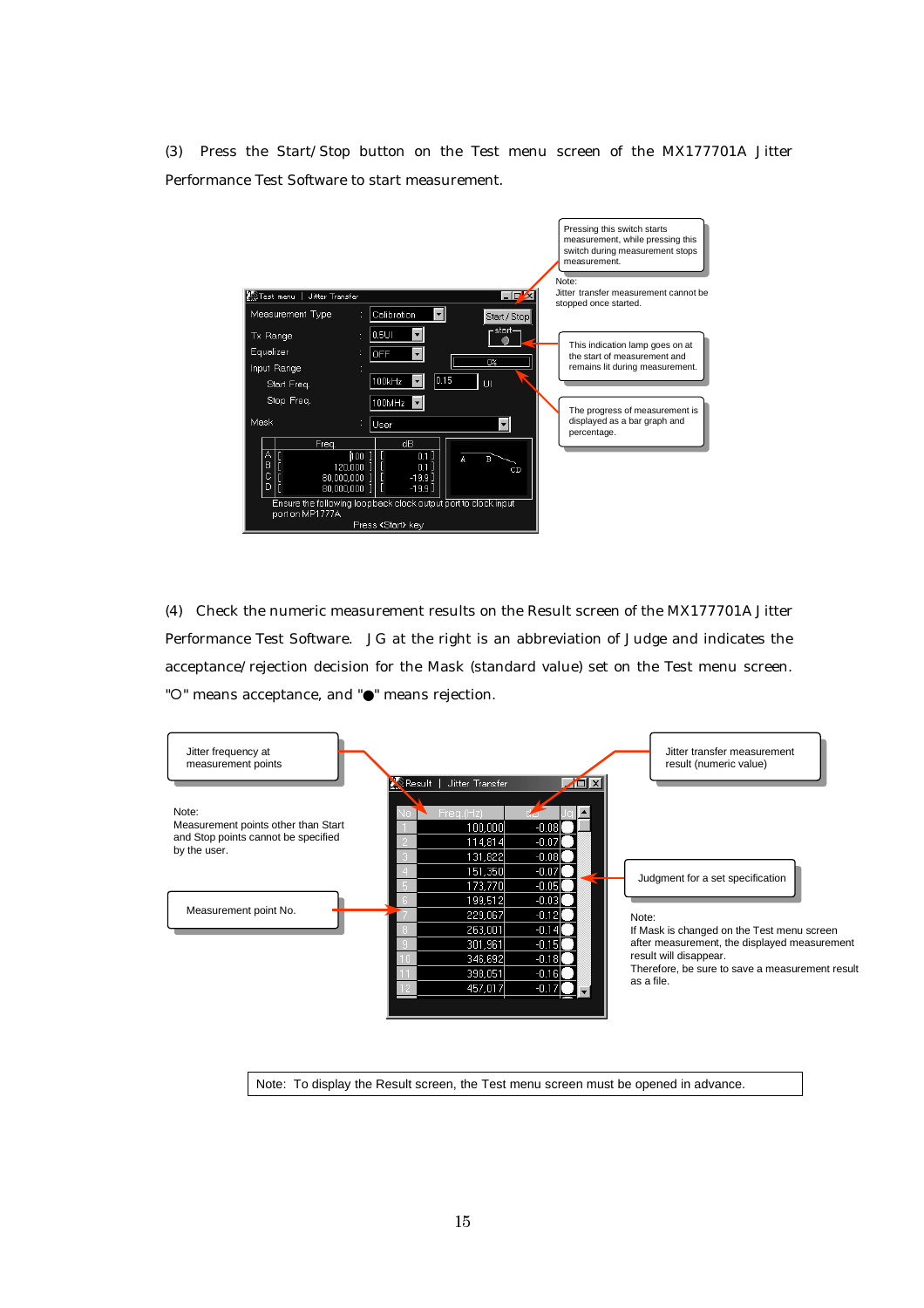(3) Press the Start/Stop button on the Test menu screen of the MX177701A Jitter Performance Test Software to start measurement.



(4) Check the numeric measurement results on the Result screen of the MX177701A Jitter Performance Test Software. JG at the right is an abbreviation of Judge and indicates the acceptance/rejection decision for the Mask (standard value) set on the Test menu screen. " ${\circ}$ " means acceptance, and " ${\bullet}$ " means rejection.

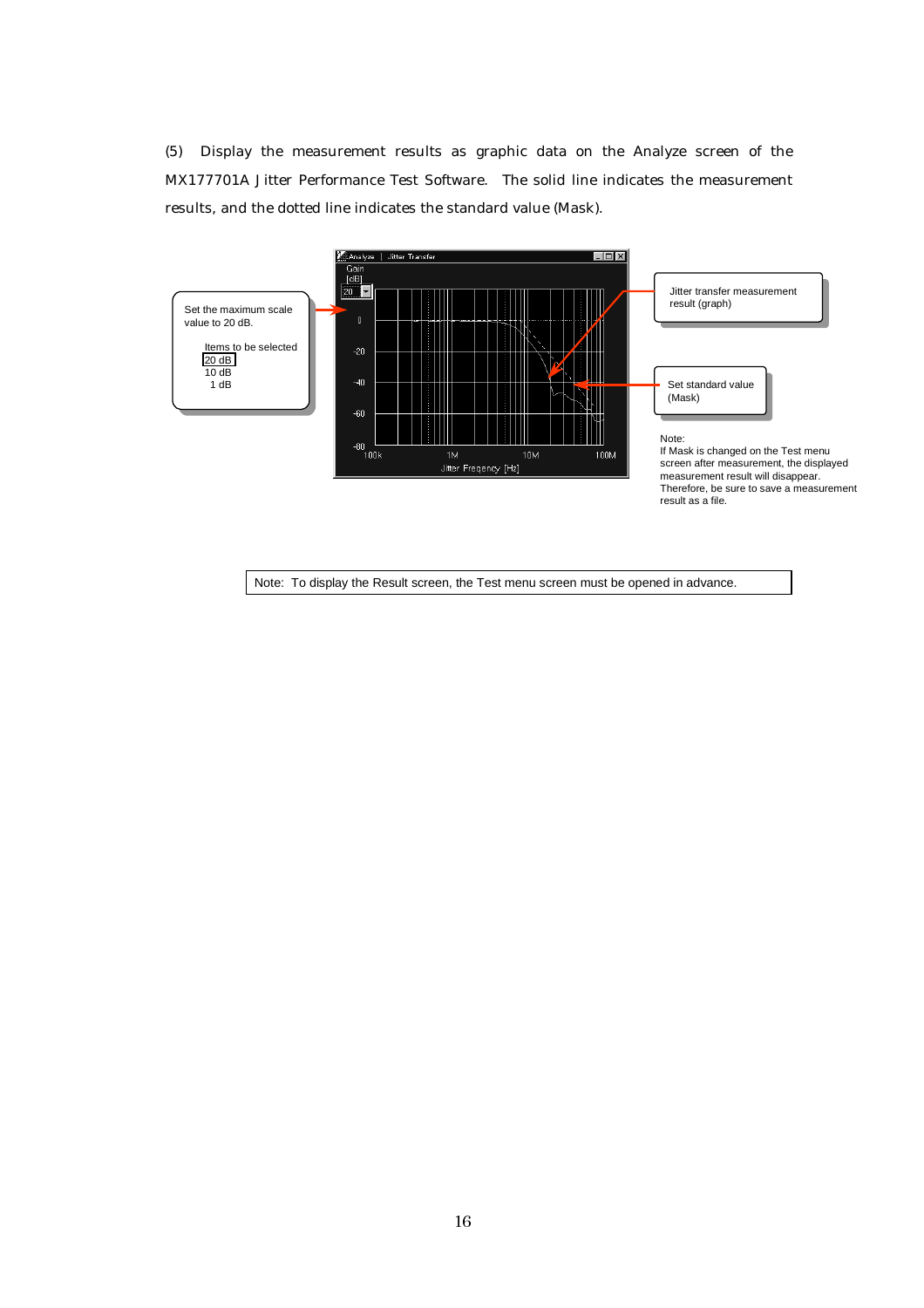(5) Display the measurement results as graphic data on the Analyze screen of the MX177701A Jitter Performance Test Software. The solid line indicates the measurement results, and the dotted line indicates the standard value (Mask).

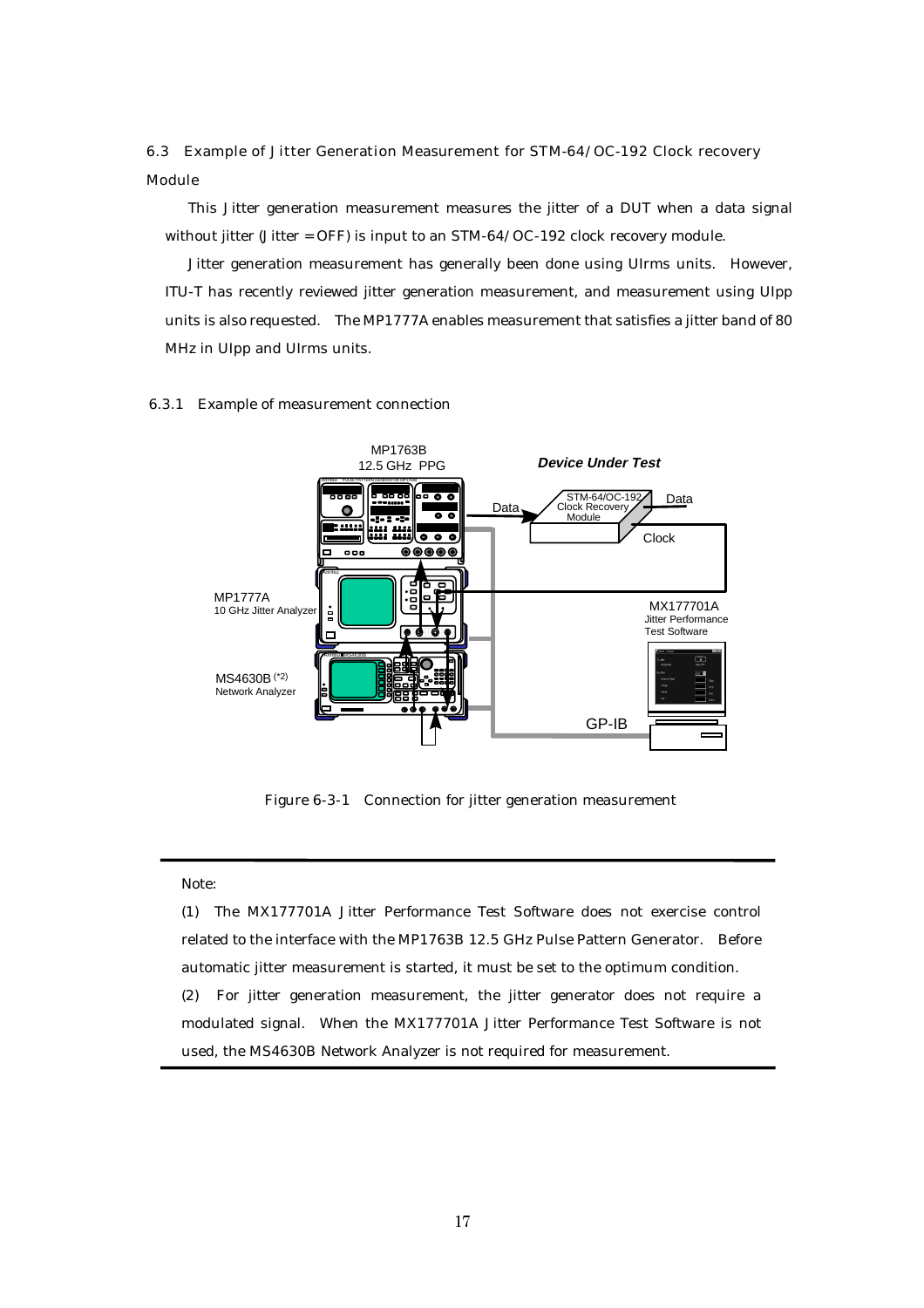6.3 Example of Jitter Generation Measurement for STM-64/OC-192 Clock recovery Module

This Jitter generation measurement measures the jitter of a DUT when a data signal without jitter (Jitter = OFF) is input to an STM-64/OC-192 clock recovery module.

Jitter generation measurement has generally been done using UIrms units. However, ITU-T has recently reviewed jitter generation measurement, and measurement using UIpp units is also requested. The MP1777A enables measurement that satisfies a jitter band of 80 MHz in UIpp and UIrms units.

#### 6.3.1 Example of measurement connection



Figure 6-3-1 Connection for jitter generation measurement

#### Note:

(1) The MX177701A Jitter Performance Test Software does not exercise control related to the interface with the MP1763B 12.5 GHz Pulse Pattern Generator. Before automatic jitter measurement is started, it must be set to the optimum condition. (2) For jitter generation measurement, the jitter generator does not require a modulated signal. When the MX177701A Jitter Performance Test Software is not used, the MS4630B Network Analyzer is not required for measurement.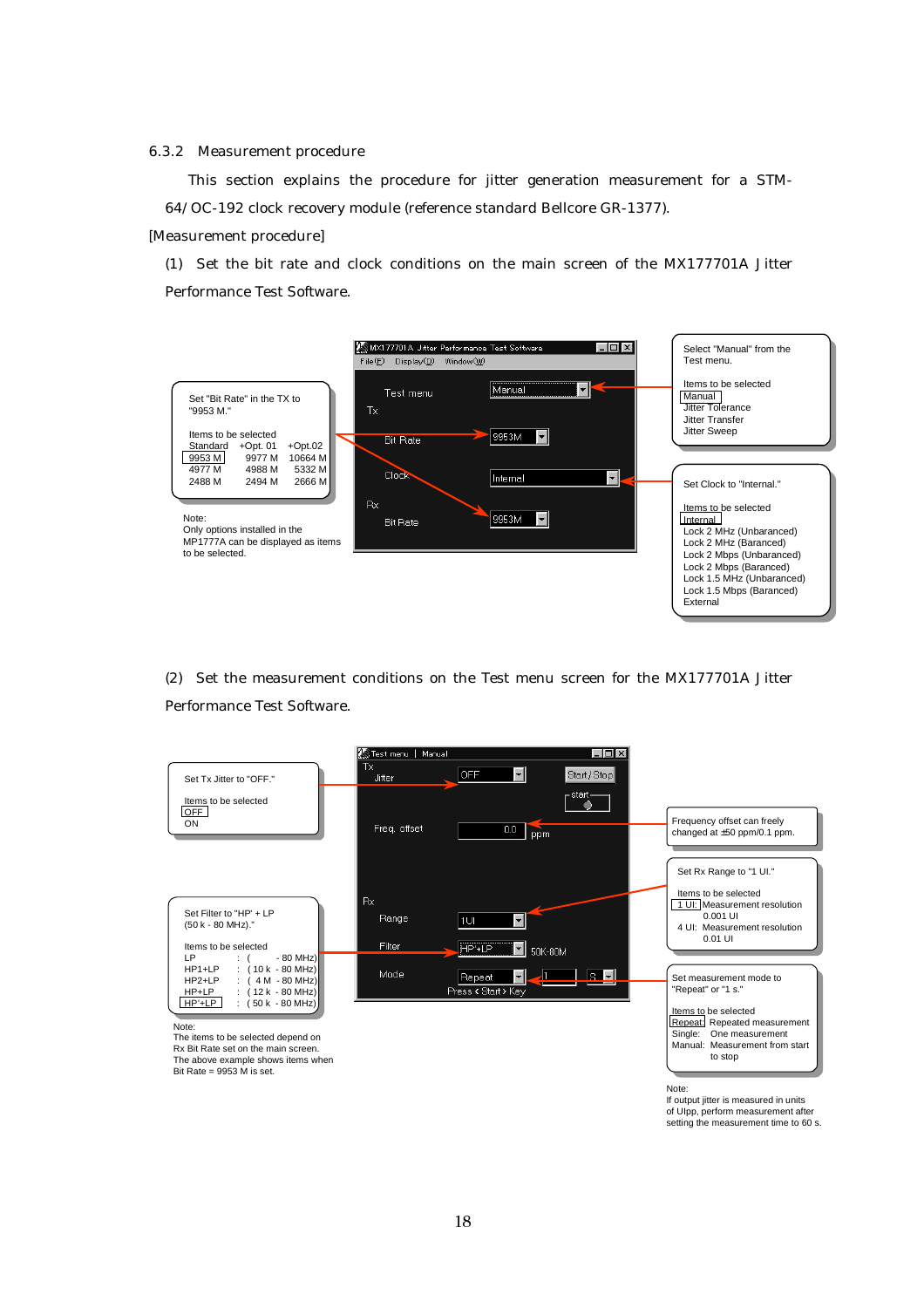6.3.2 Measurement procedure

This section explains the procedure for jitter generation measurement for a STM-64/OC-192 clock recovery module (reference standard Bellcore GR-1377).

[Measurement procedure]

(1) Set the bit rate and clock conditions on the main screen of the MX177701A Jitter Performance Test Software.



(2) Set the measurement conditions on the Test menu screen for the MX177701A Jitter Performance Test Software.



If output jitter is measured in units of UIpp, perform measurement after setting the measurement time to 60 s.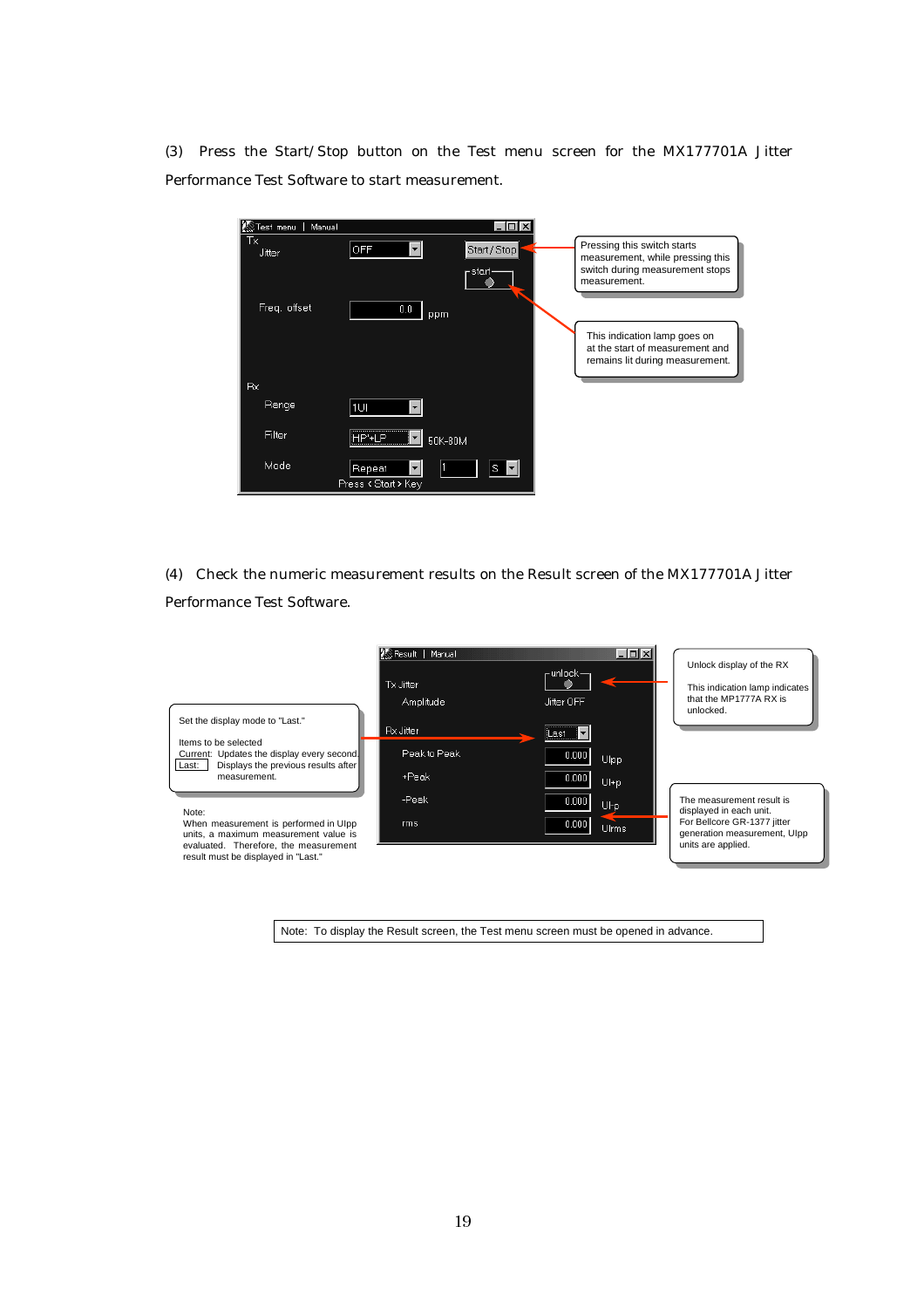(3) Press the Start/Stop button on the Test menu screen for the MX177701A Jitter Performance Test Software to start measurement.

| <b>KS</b> Test menu<br>Manual | L 0                        |                                                                 |
|-------------------------------|----------------------------|-----------------------------------------------------------------|
| Тx<br><b>Jitter</b>           | <b>OFF</b><br>Start / Stop | Pressing this switch starts<br>measurement, while pressing this |
|                               | ⊢start∘                    | switch during measurement stops<br>measurement.                 |
| Freq. offset                  | 0.0<br>ppm                 |                                                                 |
|                               |                            | This indication lamp goes on<br>at the start of measurement and |
|                               |                            | remains lit during measurement.                                 |
| <b>Rx</b>                     |                            |                                                                 |
| Range                         | 1UI                        |                                                                 |
| Filter                        | <br>$P+IP$<br>50K-80M      |                                                                 |
| Mode                          | Repeat<br>S                |                                                                 |
|                               | Press < Start > Key        |                                                                 |

(4) Check the numeric measurement results on the Result screen of the MX177701A Jitter Performance Test Software.

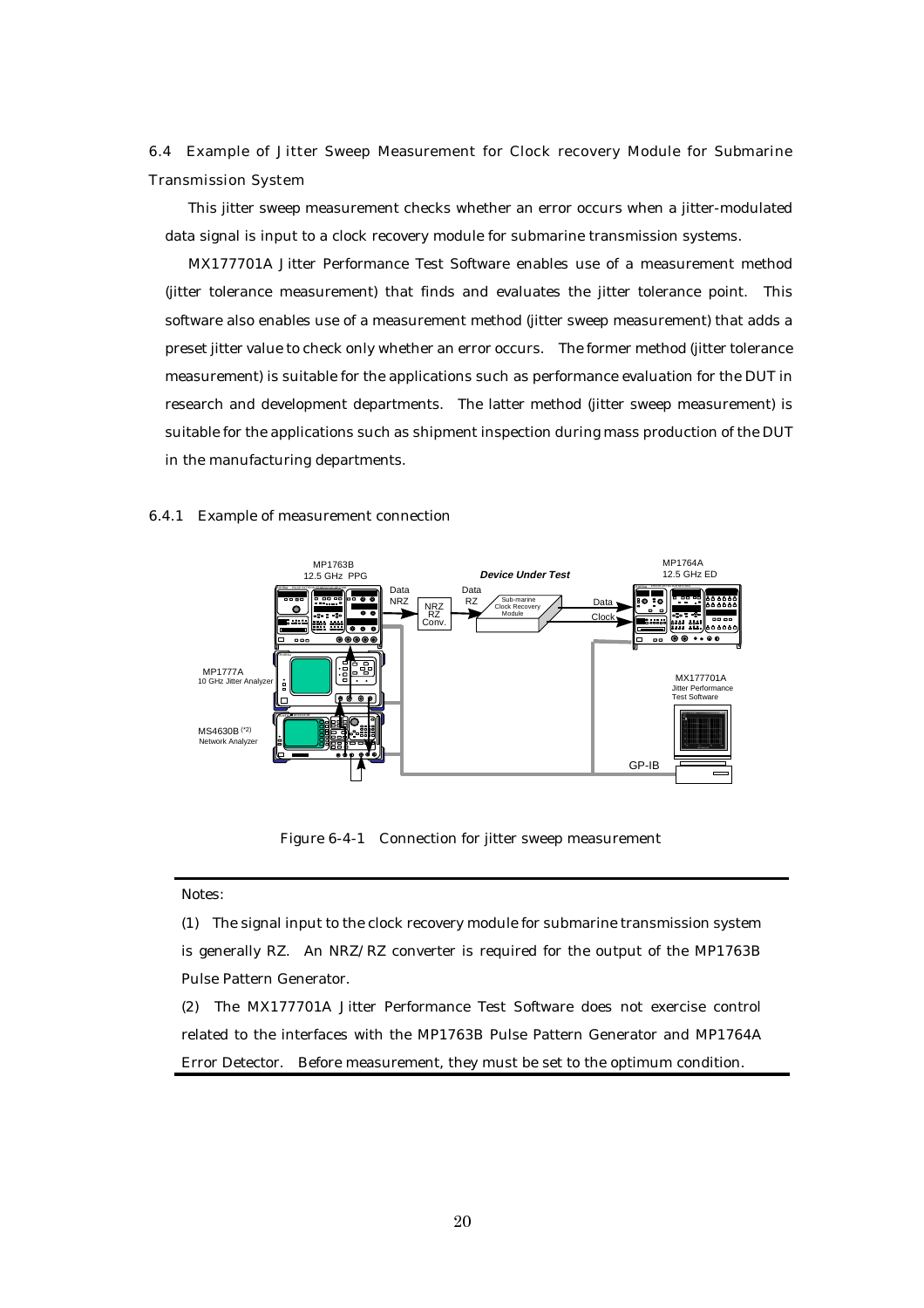6.4 Example of Jitter Sweep Measurement for Clock recovery Module for Submarine Transmission System

This jitter sweep measurement checks whether an error occurs when a jitter-modulated data signal is input to a clock recovery module for submarine transmission systems.

MX177701A Jitter Performance Test Software enables use of a measurement method (jitter tolerance measurement) that finds and evaluates the jitter tolerance point. This software also enables use of a measurement method (jitter sweep measurement) that adds a preset jitter value to check only whether an error occurs. The former method (jitter tolerance measurement) is suitable for the applications such as performance evaluation for the DUT in research and development departments. The latter method (jitter sweep measurement) is suitable for the applications such as shipment inspection during mass production of the DUT in the manufacturing departments.

#### 6.4.1 Example of measurement connection



Figure 6-4-1 Connection for jitter sweep measurement

#### Notes:

(1) The signal input to the clock recovery module for submarine transmission system is generally RZ. An NRZ/RZ converter is required for the output of the MP1763B Pulse Pattern Generator.

(2) The MX177701A Jitter Performance Test Software does not exercise control related to the interfaces with the MP1763B Pulse Pattern Generator and MP1764A Error Detector. Before measurement, they must be set to the optimum condition.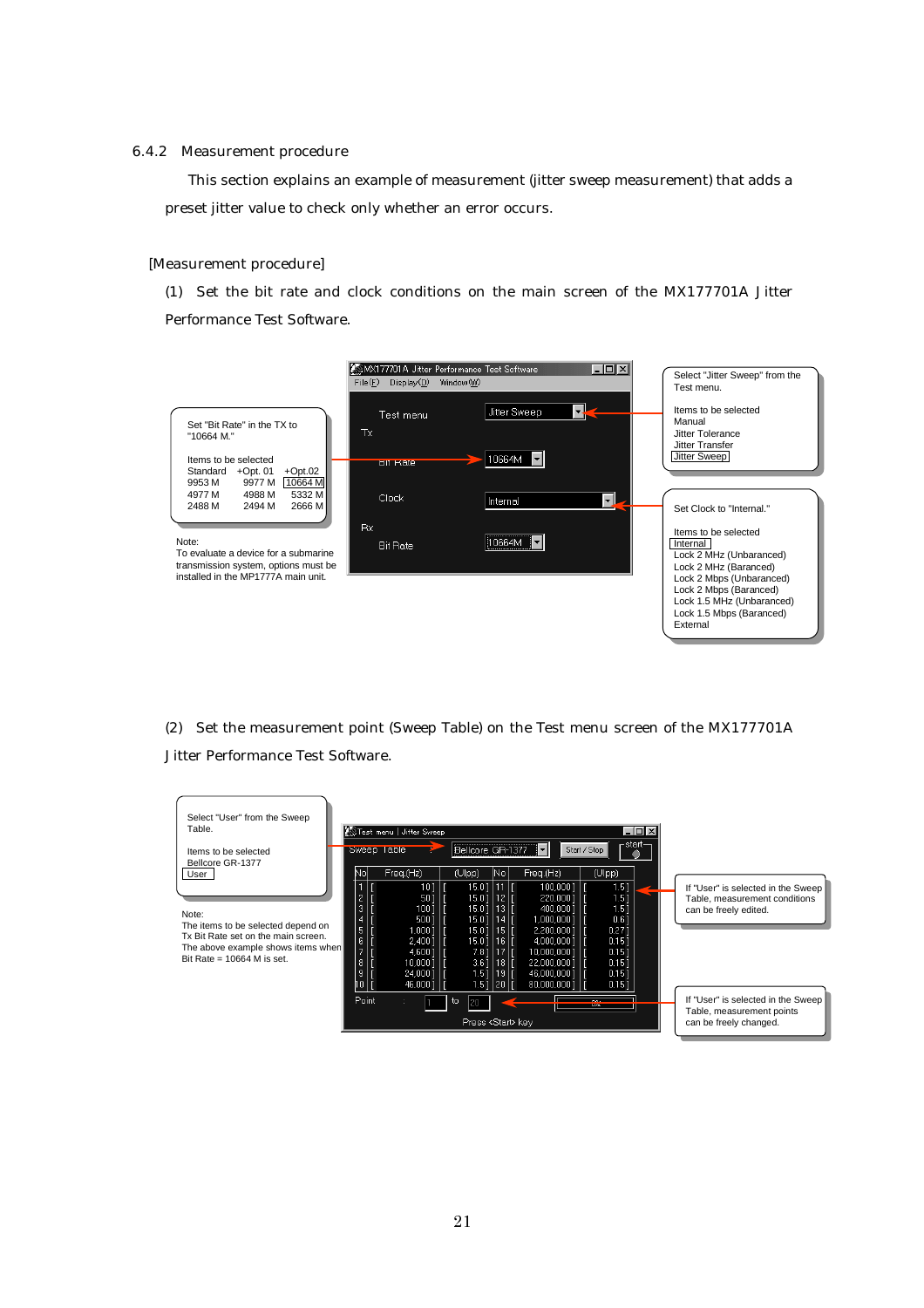#### 6.4.2 Measurement procedure

This section explains an example of measurement (jitter sweep measurement) that adds a preset jitter value to check only whether an error occurs.

#### [Measurement procedure]

(1) Set the bit rate and clock conditions on the main screen of the MX177701A Jitter Performance Test Software.



(2) Set the measurement point (Sweep Table) on the Test menu screen of the MX177701A Jitter Performance Test Software.

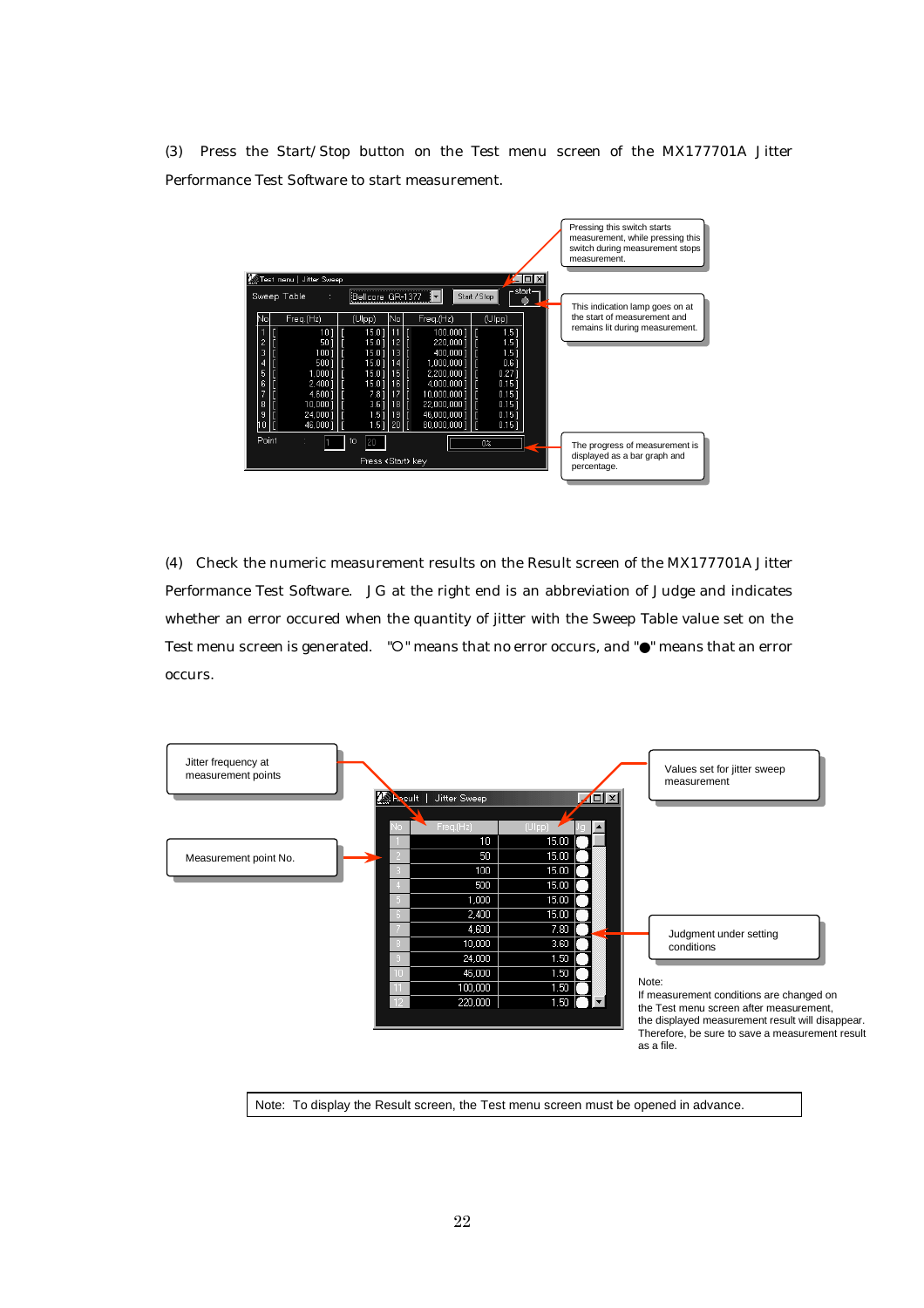(3) Press the Start/Stop button on the Test menu screen of the MX177701A Jitter Performance Test Software to start measurement.



(4) Check the numeric measurement results on the Result screen of the MX177701A Jitter Performance Test Software. JG at the right end is an abbreviation of Judge and indicates whether an error occured when the quantity of jitter with the Sweep Table value set on the Test menu screen is generated. "  $\circ$  " means that no error occurs, and " $\bullet$ " means that an error occurs.

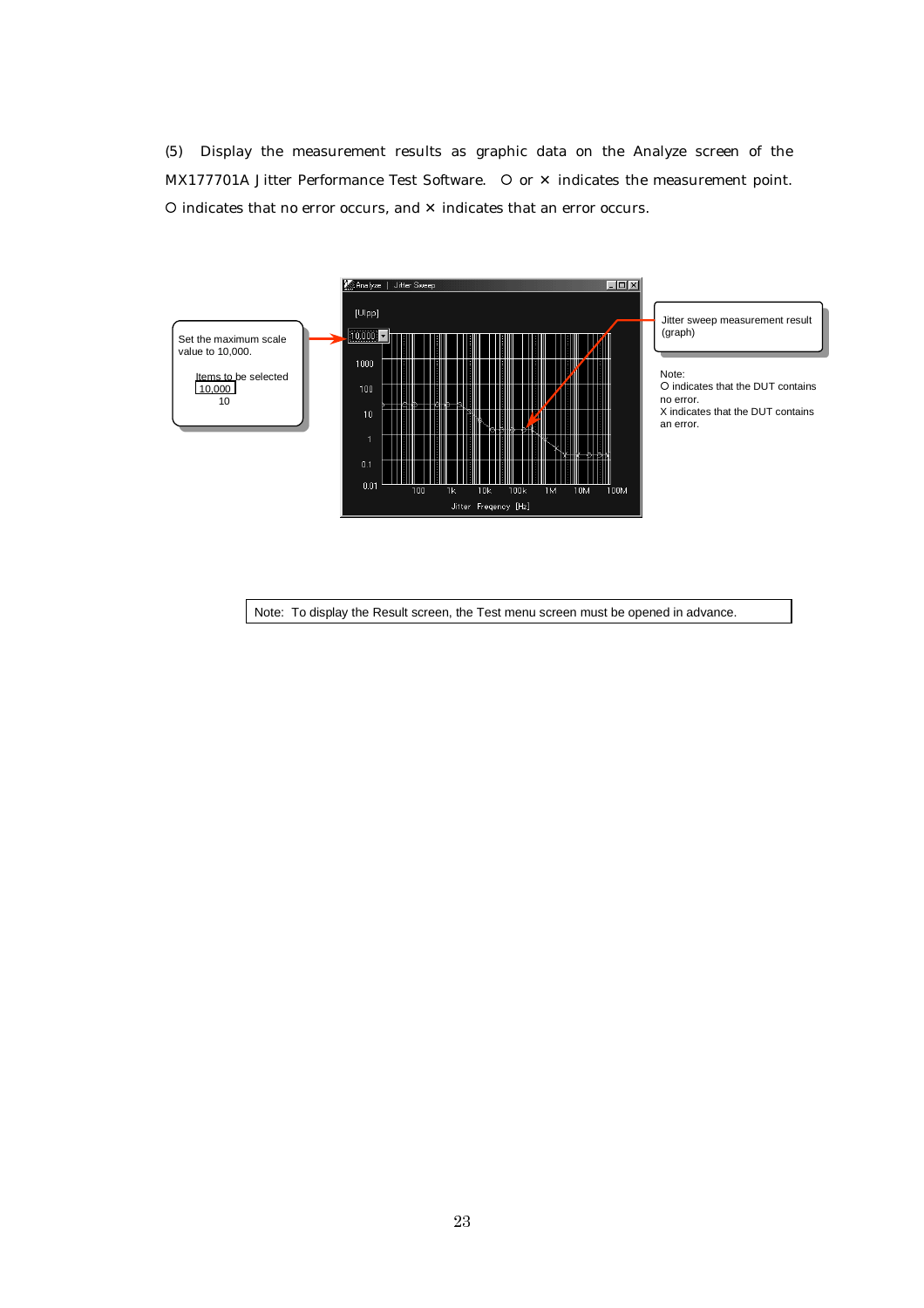(5) Display the measurement results as graphic data on the Analyze screen of the MX177701A Jitter Performance Test Software.  $\circ$  or  $\times$  indicates the measurement point. { indicates that no error occurs, and ✕ indicates that an error occurs.

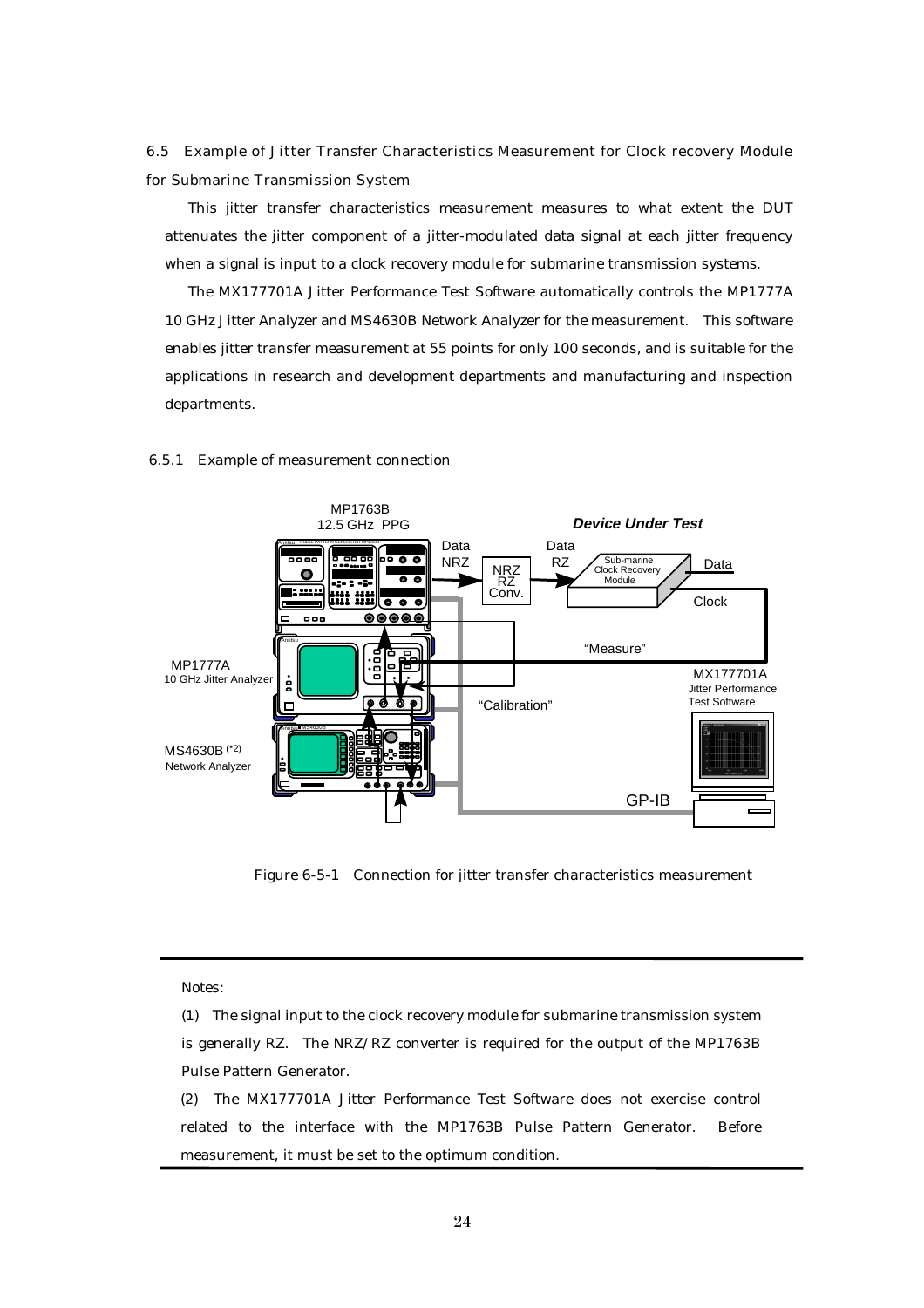6.5 Example of Jitter Transfer Characteristics Measurement for Clock recovery Module for Submarine Transmission System

This jitter transfer characteristics measurement measures to what extent the DUT attenuates the jitter component of a jitter-modulated data signal at each jitter frequency when a signal is input to a clock recovery module for submarine transmission systems.

The MX177701A Jitter Performance Test Software automatically controls the MP1777A 10 GHz Jitter Analyzer and MS4630B Network Analyzer for the measurement. This software enables jitter transfer measurement at 55 points for only 100 seconds, and is suitable for the applications in research and development departments and manufacturing and inspection departments.



#### 6.5.1 Example of measurement connection

Figure 6-5-1 Connection for jitter transfer characteristics measurement

Notes:

(2) The MX177701A Jitter Performance Test Software does not exercise control related to the interface with the MP1763B Pulse Pattern Generator. Before measurement, it must be set to the optimum condition.

<sup>(1)</sup> The signal input to the clock recovery module for submarine transmission system is generally RZ. The NRZ/RZ converter is required for the output of the MP1763B Pulse Pattern Generator.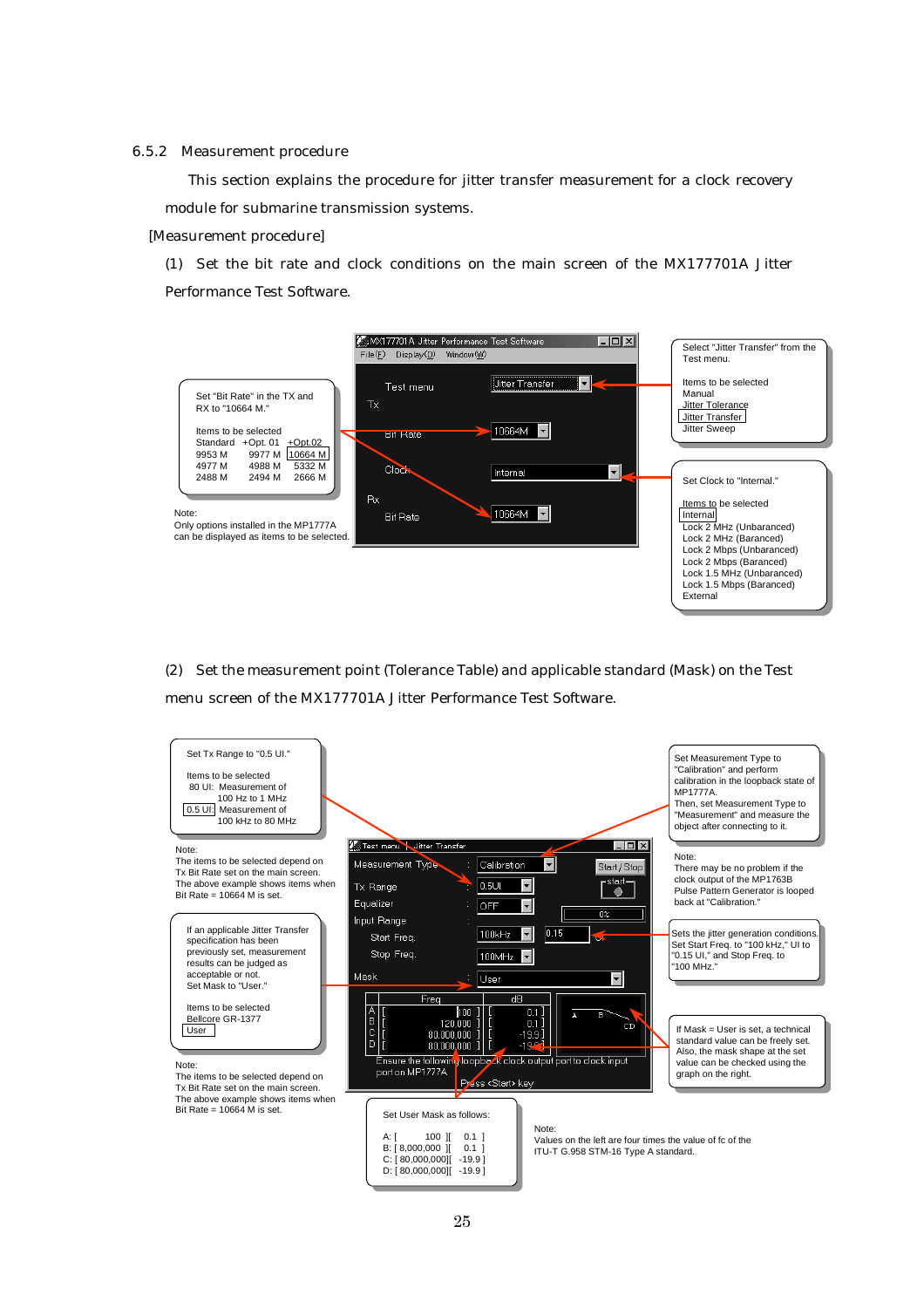#### 6.5.2 Measurement procedure

This section explains the procedure for jitter transfer measurement for a clock recovery module for submarine transmission systems.

#### [Measurement procedure]

(1) Set the bit rate and clock conditions on the main screen of the MX177701A Jitter Performance Test Software.



(2) Set the measurement point (Tolerance Table) and applicable standard (Mask) on the Test menu screen of the MX177701A Jitter Performance Test Software.

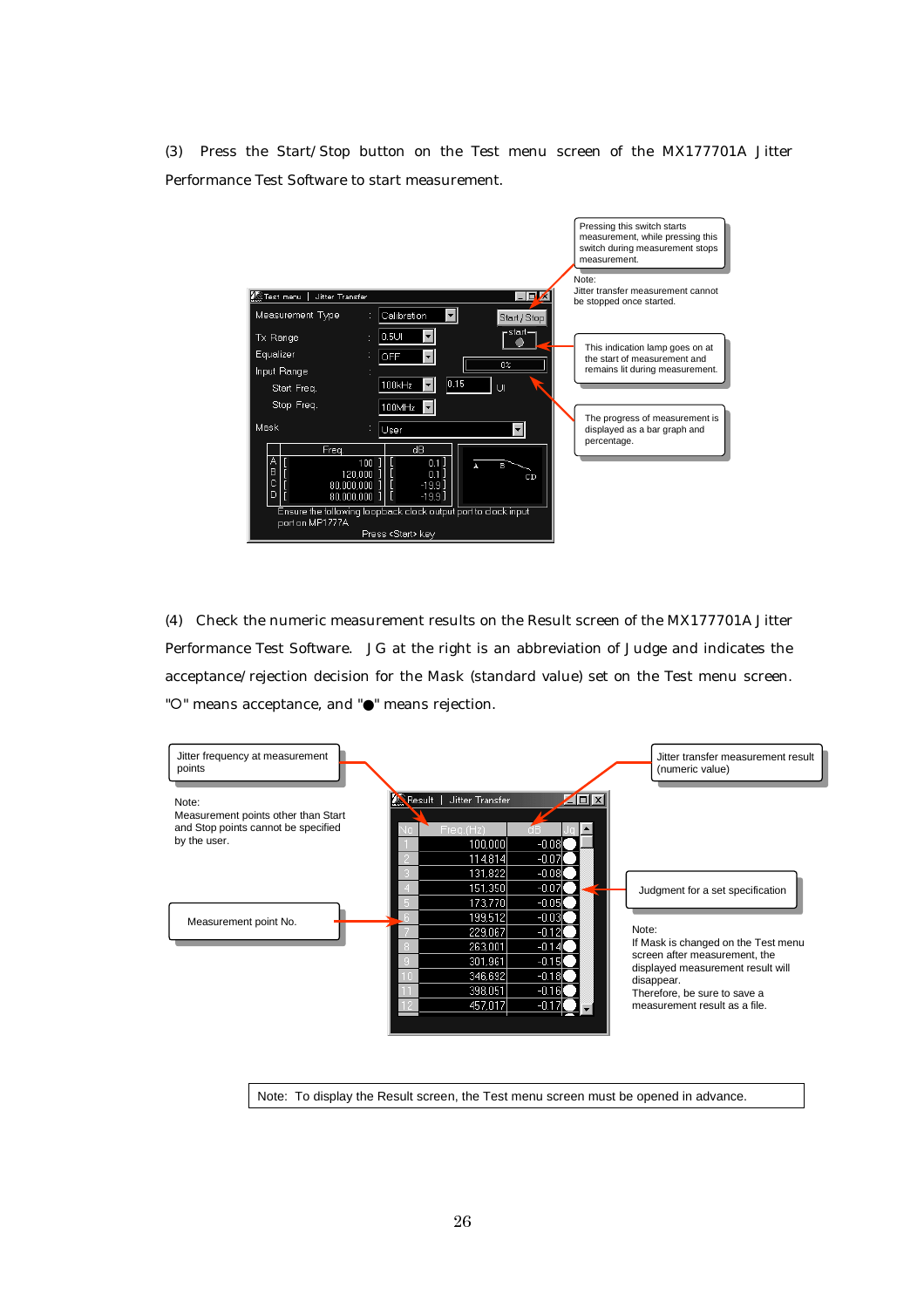(3) Press the Start/Stop button on the Test menu screen of the MX177701A Jitter Performance Test Software to start measurement.



(4) Check the numeric measurement results on the Result screen of the MX177701A Jitter Performance Test Software. JG at the right is an abbreviation of Judge and indicates the acceptance/rejection decision for the Mask (standard value) set on the Test menu screen. " ${\circ}$ " means acceptance, and " ${\bullet}$ " means rejection.

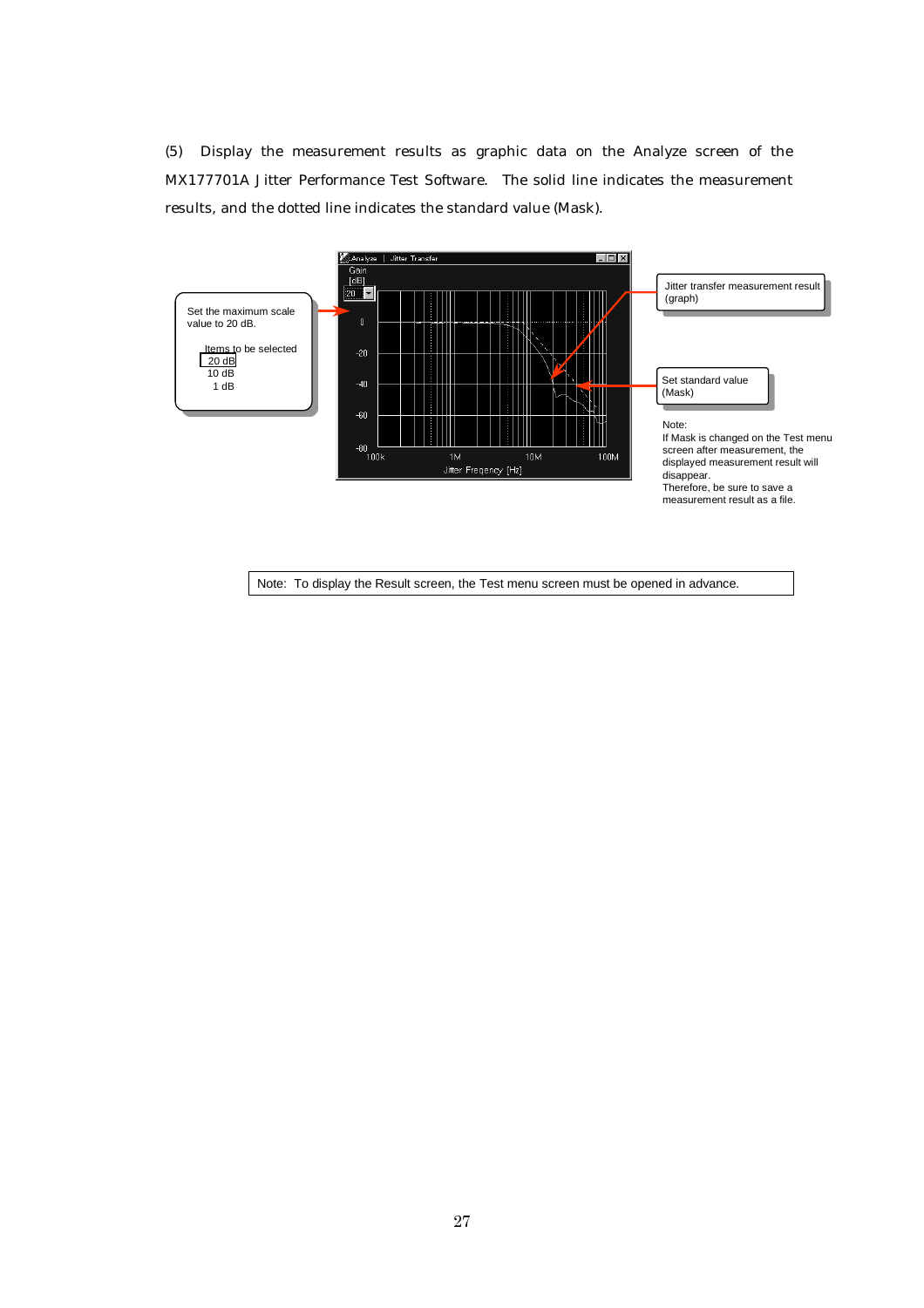(5) Display the measurement results as graphic data on the Analyze screen of the MX177701A Jitter Performance Test Software. The solid line indicates the measurement results, and the dotted line indicates the standard value (Mask).

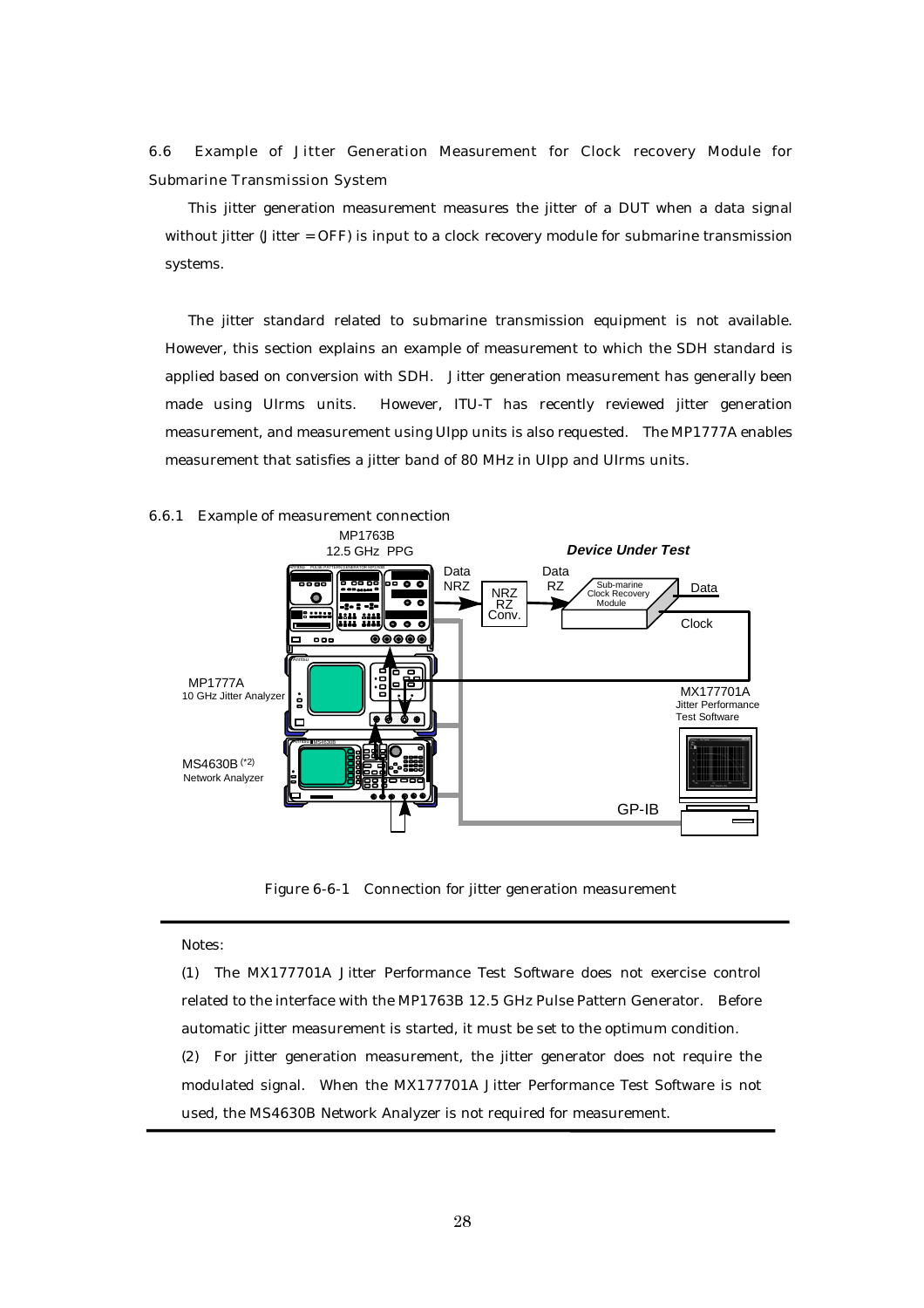6.6 Example of Jitter Generation Measurement for Clock recovery Module for Submarine Transmission System

This jitter generation measurement measures the jitter of a DUT when a data signal without jitter (Jitter = OFF) is input to a clock recovery module for submarine transmission systems.

The jitter standard related to submarine transmission equipment is not available. However, this section explains an example of measurement to which the SDH standard is applied based on conversion with SDH. Jitter generation measurement has generally been made using UIrms units. However, ITU-T has recently reviewed jitter generation measurement, and measurement using UIpp units is also requested. The MP1777A enables measurement that satisfies a jitter band of 80 MHz in UIpp and UIrms units.



Figure 6-6-1 Connection for jitter generation measurement

#### Notes:

(1) The MX177701A Jitter Performance Test Software does not exercise control related to the interface with the MP1763B 12.5 GHz Pulse Pattern Generator. Before automatic jitter measurement is started, it must be set to the optimum condition. (2) For jitter generation measurement, the jitter generator does not require the

modulated signal. When the MX177701A Jitter Performance Test Software is not used, the MS4630B Network Analyzer is not required for measurement.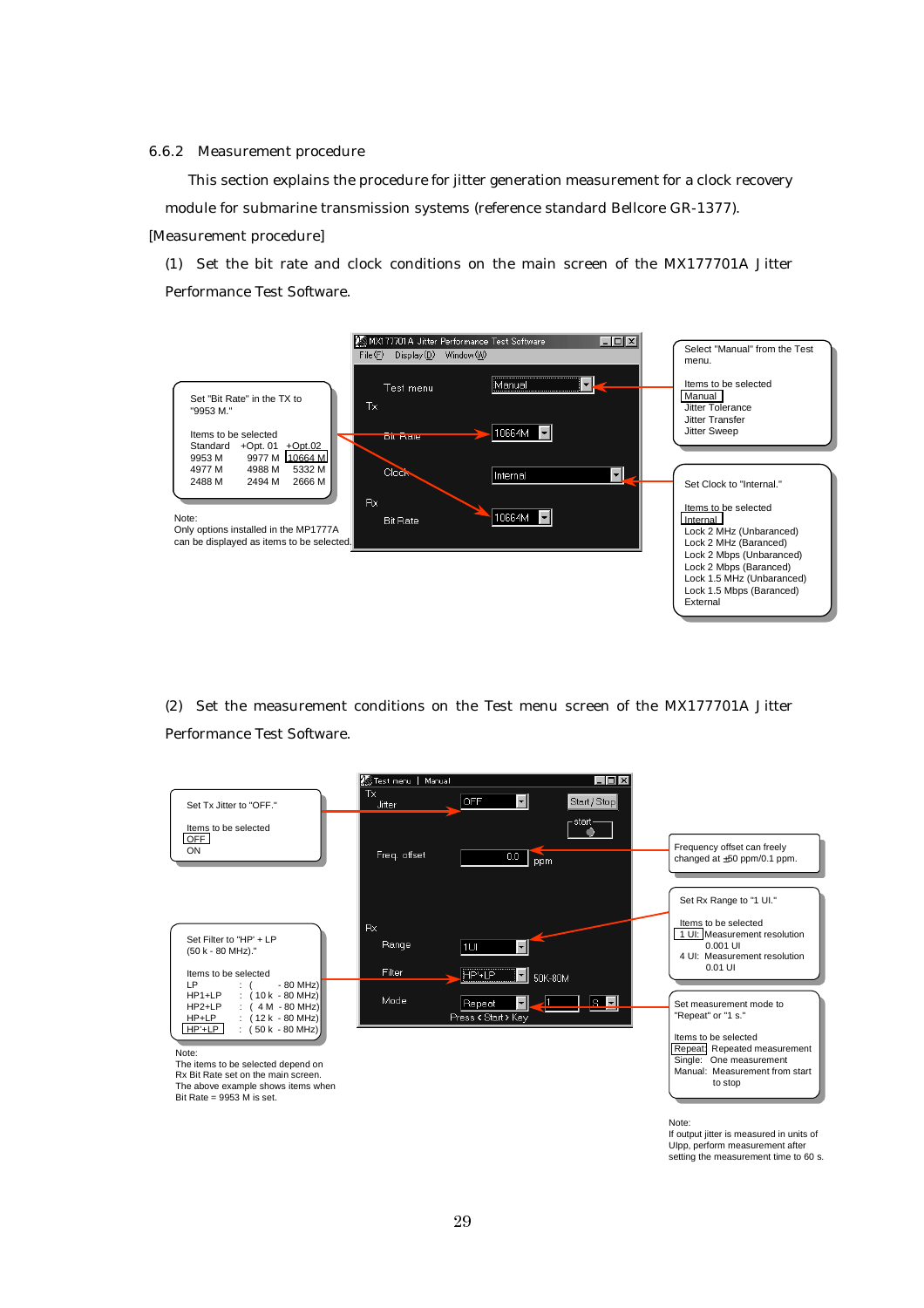6.6.2 Measurement procedure

This section explains the procedure for jitter generation measurement for a clock recovery module for submarine transmission systems (reference standard Bellcore GR-1377). [Measurement procedure]

(1) Set the bit rate and clock conditions on the main screen of the MX177701A Jitter Performance Test Software.



(2) Set the measurement conditions on the Test menu screen of the MX177701A Jitter Performance Test Software.

![](_page_32_Figure_5.jpeg)

UIpp, perform measurement after setting the measurement time to 60 s.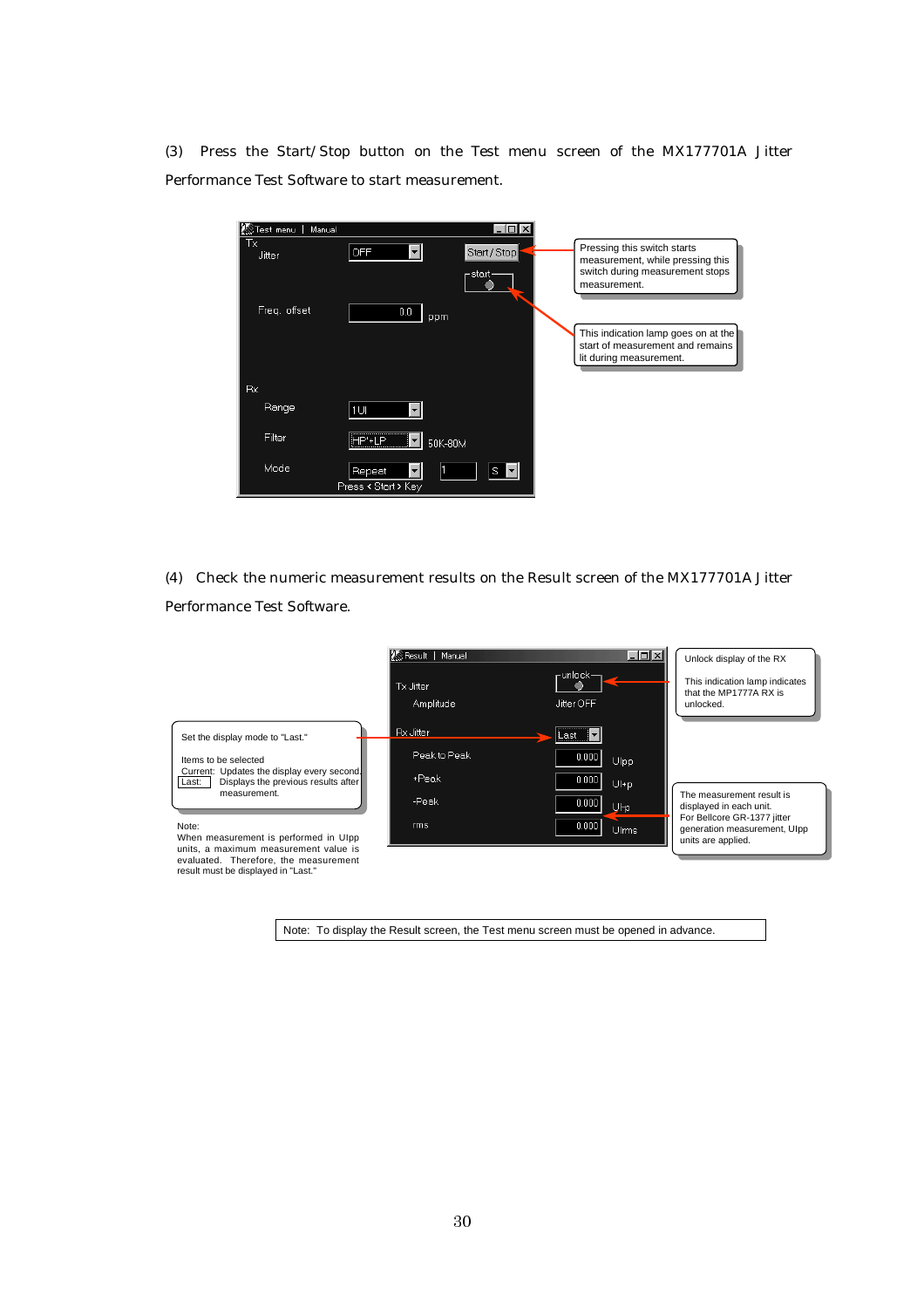(3) Press the Start/Stop button on the Test menu screen of the MX177701A Jitter Performance Test Software to start measurement.

| Manual<br><b>KS</b> Test menu | $-1$                                   |                                                                                                                    |
|-------------------------------|----------------------------------------|--------------------------------------------------------------------------------------------------------------------|
| Тx<br>Jitter                  | <b>OFF</b><br>Start / Stop<br>– start- | Pressing this switch starts<br>measurement, while pressing this<br>switch during measurement stops<br>measurement. |
| Freq. offset                  | $0.0\,$<br>ppm                         |                                                                                                                    |
|                               |                                        | This indication lamp goes on at the<br>start of measurement and remains<br>lit during measurement.                 |
| Rx                            |                                        |                                                                                                                    |
| Range                         | 1UI                                    |                                                                                                                    |
| Filter                        | HP'+I <u>P</u><br>50K-80M              |                                                                                                                    |
| Mode                          | S.<br>Repeat<br>Press < Start > Key    |                                                                                                                    |

(4) Check the numeric measurement results on the Result screen of the MX177701A Jitter Performance Test Software.

![](_page_33_Figure_3.jpeg)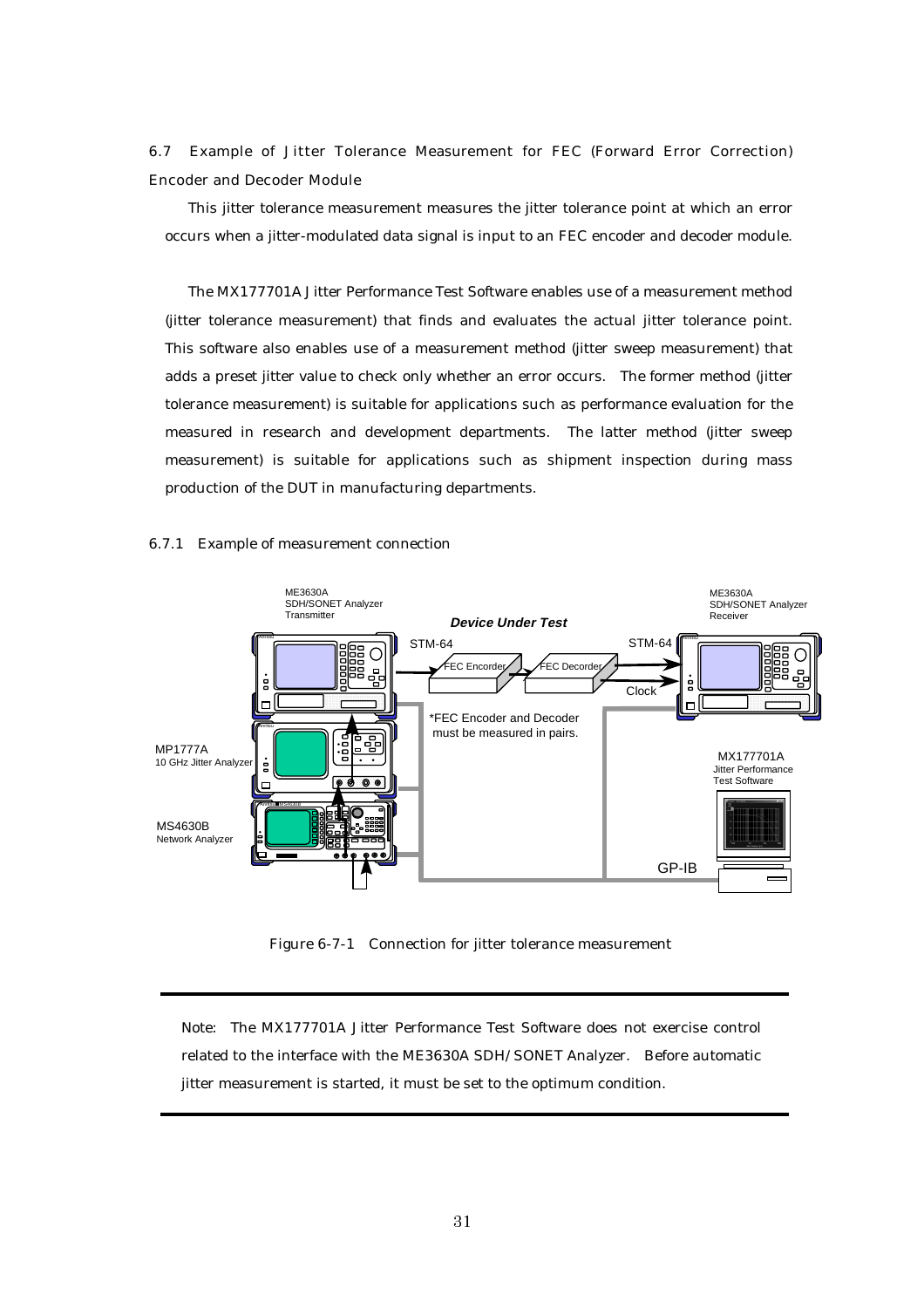6.7 Example of Jitter Tolerance Measurement for FEC (Forward Error Correction) Encoder and Decoder Module

This jitter tolerance measurement measures the jitter tolerance point at which an error occurs when a jitter-modulated data signal is input to an FEC encoder and decoder module.

The MX177701A Jitter Performance Test Software enables use of a measurement method (jitter tolerance measurement) that finds and evaluates the actual jitter tolerance point. This software also enables use of a measurement method (jitter sweep measurement) that adds a preset jitter value to check only whether an error occurs. The former method (jitter tolerance measurement) is suitable for applications such as performance evaluation for the measured in research and development departments. The latter method (jitter sweep measurement) is suitable for applications such as shipment inspection during mass production of the DUT in manufacturing departments.

#### 6.7.1 Example of measurement connection

![](_page_34_Figure_4.jpeg)

Figure 6-7-1 Connection for jitter tolerance measurement

Note: The MX177701A Jitter Performance Test Software does not exercise control related to the interface with the ME3630A SDH/SONET Analyzer. Before automatic jitter measurement is started, it must be set to the optimum condition.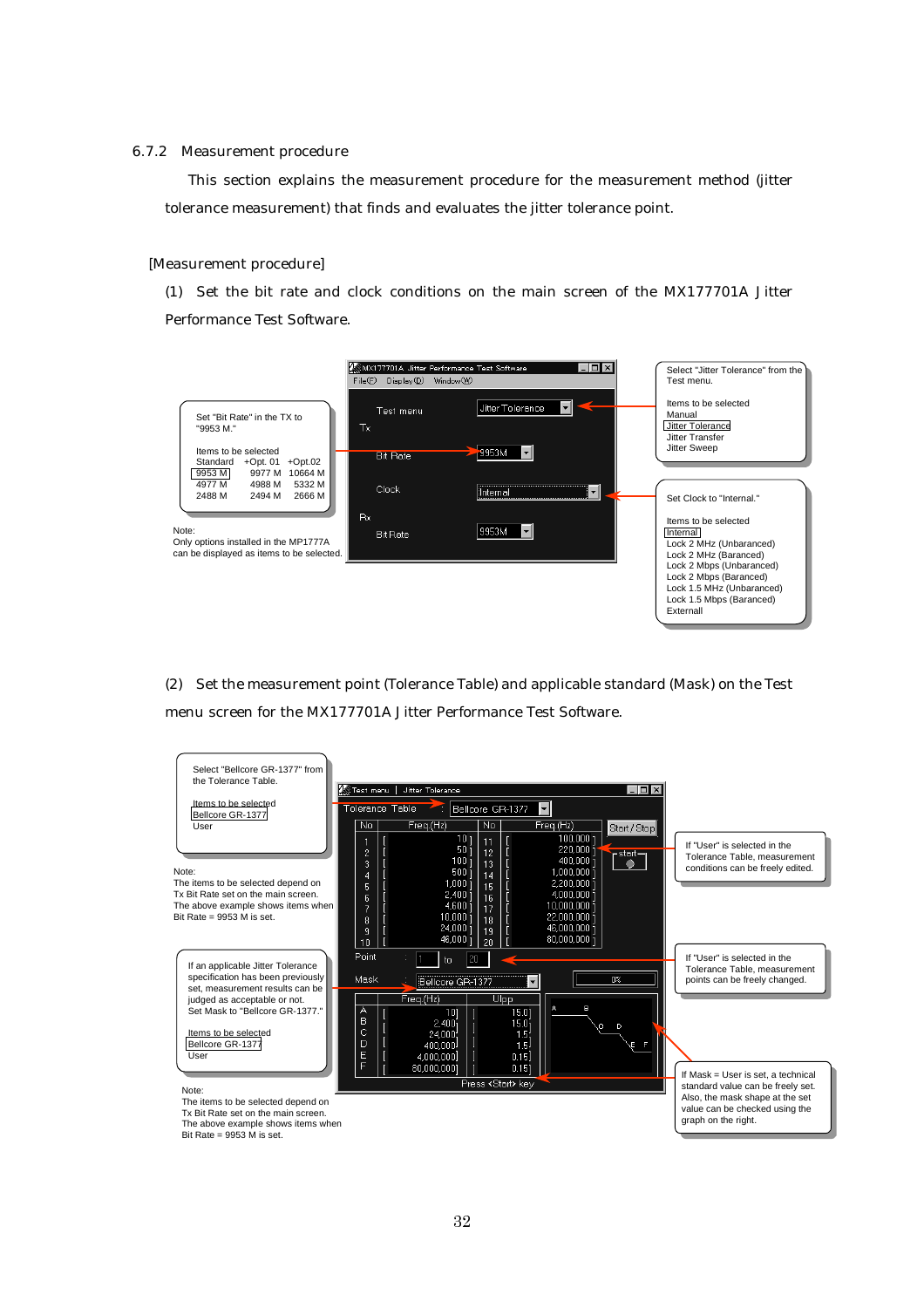#### 6.7.2 Measurement procedure

This section explains the measurement procedure for the measurement method (jitter tolerance measurement) that finds and evaluates the jitter tolerance point.

#### [Measurement procedure]

(1) Set the bit rate and clock conditions on the main screen of the MX177701A Jitter Performance Test Software.

![](_page_35_Figure_4.jpeg)

(2) Set the measurement point (Tolerance Table) and applicable standard (Mask) on the Test menu screen for the MX177701A Jitter Performance Test Software.

![](_page_35_Figure_6.jpeg)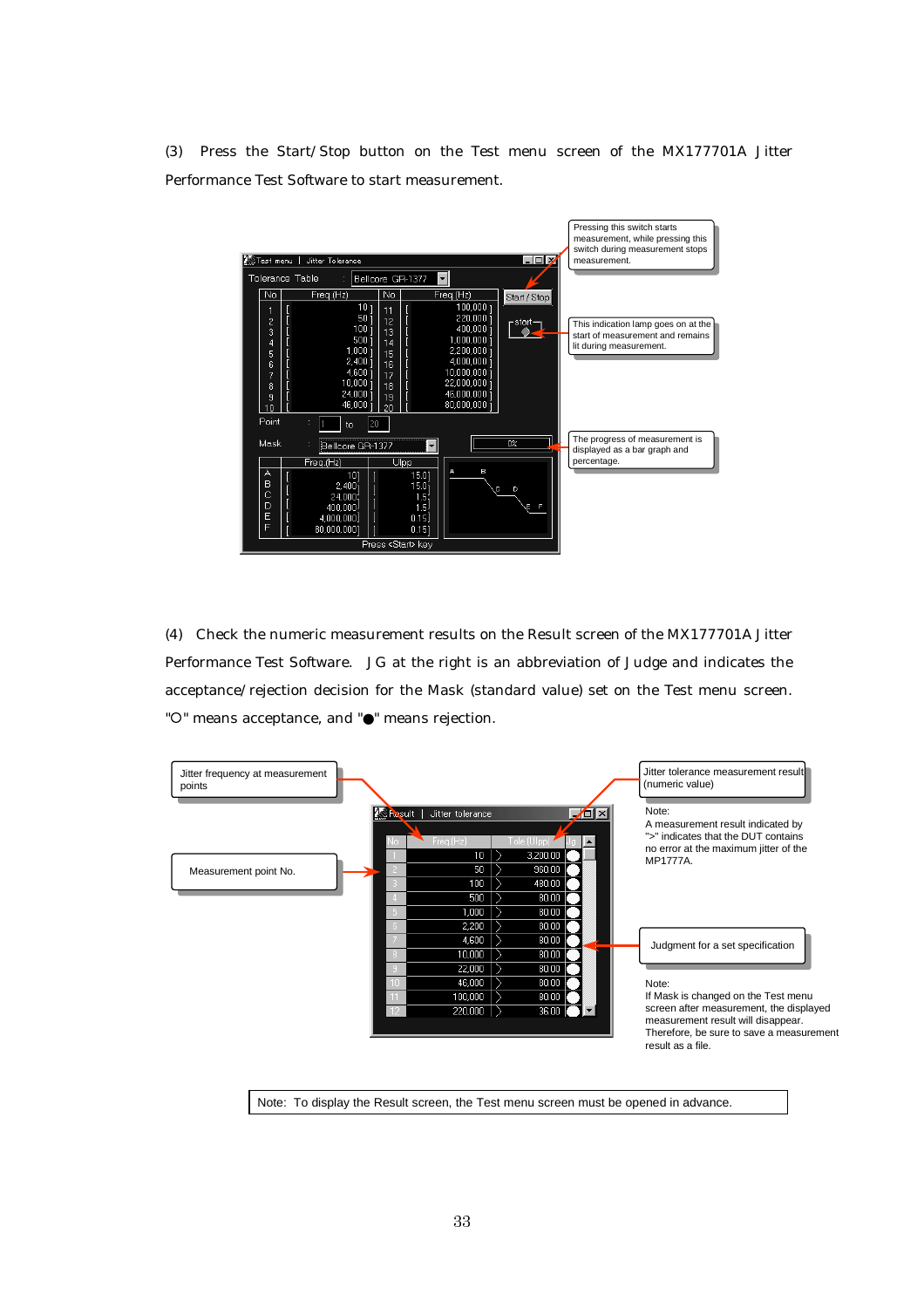(3) Press the Start/Stop button on the Test menu screen of the MX177701A Jitter Performance Test Software to start measurement.

![](_page_36_Figure_1.jpeg)

(4) Check the numeric measurement results on the Result screen of the MX177701A Jitter Performance Test Software. JG at the right is an abbreviation of Judge and indicates the acceptance/rejection decision for the Mask (standard value) set on the Test menu screen. "O" means acceptance, and "●" means rejection.

![](_page_36_Figure_3.jpeg)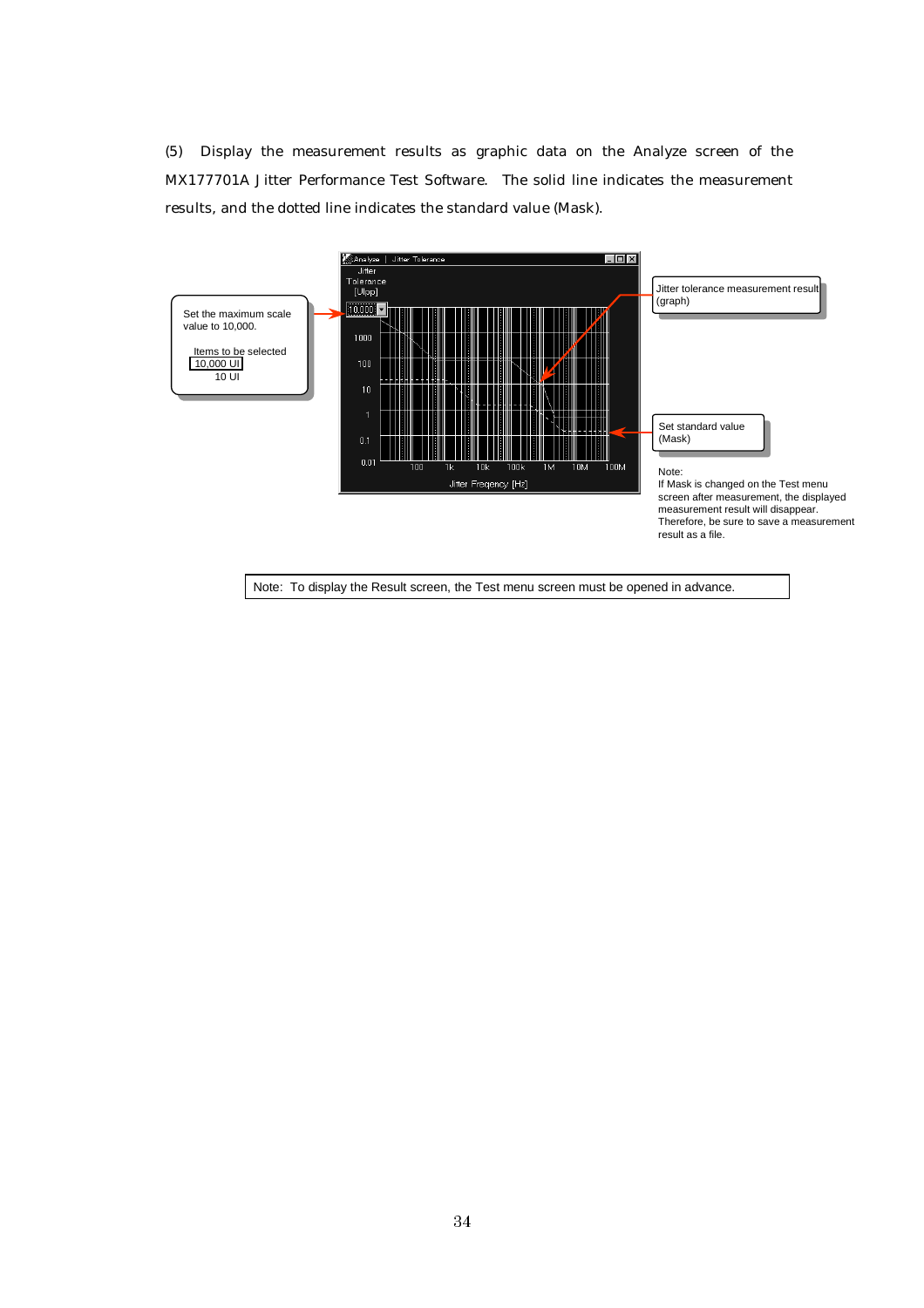(5) Display the measurement results as graphic data on the Analyze screen of the MX177701A Jitter Performance Test Software. The solid line indicates the measurement results, and the dotted line indicates the standard value (Mask).

![](_page_37_Figure_1.jpeg)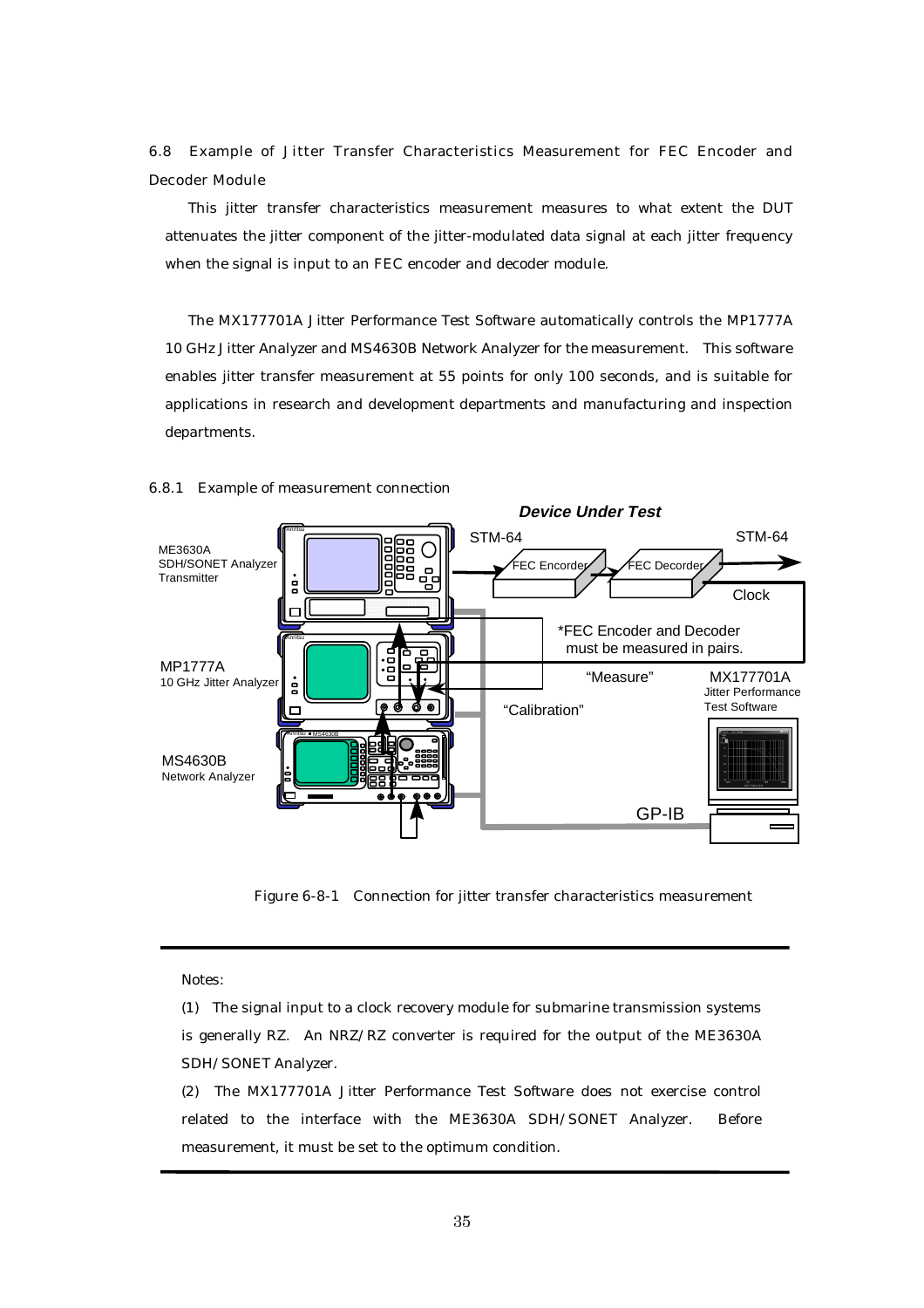6.8 Example of Jitter Transfer Characteristics Measurement for FEC Encoder and Decoder Module

This jitter transfer characteristics measurement measures to what extent the DUT attenuates the jitter component of the jitter-modulated data signal at each jitter frequency when the signal is input to an FEC encoder and decoder module.

The MX177701A Jitter Performance Test Software automatically controls the MP1777A 10 GHz Jitter Analyzer and MS4630B Network Analyzer for the measurement. This software enables jitter transfer measurement at 55 points for only 100 seconds, and is suitable for applications in research and development departments and manufacturing and inspection departments.

![](_page_38_Figure_3.jpeg)

#### 6.8.1 Example of measurement connection

Figure 6-8-1 Connection for jitter transfer characteristics measurement

Notes:

(1) The signal input to a clock recovery module for submarine transmission systems is generally RZ. An NRZ/RZ converter is required for the output of the ME3630A SDH/SONET Analyzer.

(2) The MX177701A Jitter Performance Test Software does not exercise control related to the interface with the ME3630A SDH/SONET Analyzer. Before measurement, it must be set to the optimum condition.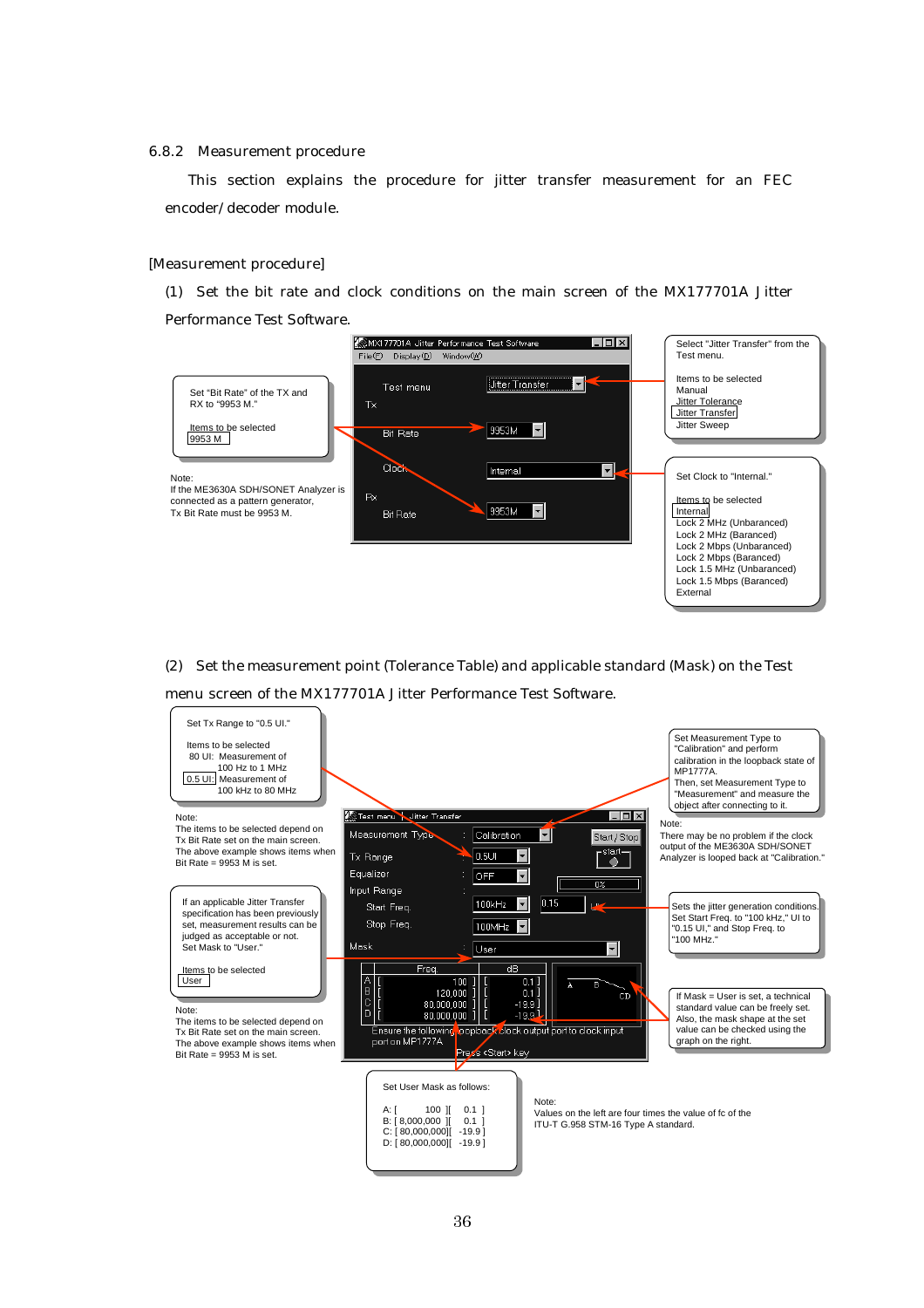#### 6.8.2 Measurement procedure

This section explains the procedure for jitter transfer measurement for an FEC encoder/decoder module.

#### [Measurement procedure]

(1) Set the bit rate and clock conditions on the main screen of the MX177701A Jitter Performance Test Software.

![](_page_39_Figure_4.jpeg)

(2) Set the measurement point (Tolerance Table) and applicable standard (Mask) on the Test menu screen of the MX177701A Jitter Performance Test Software.

![](_page_39_Figure_6.jpeg)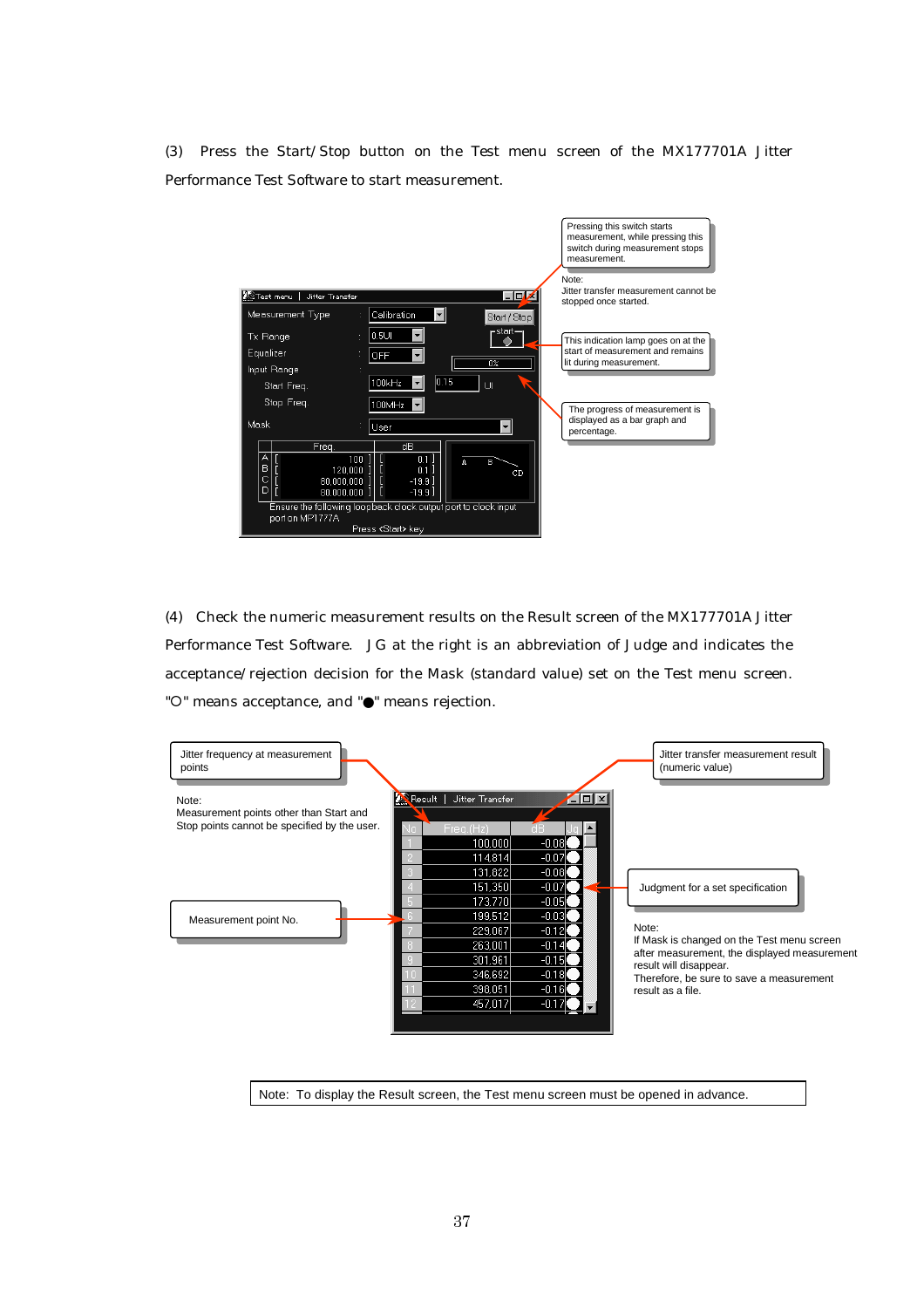(3) Press the Start/Stop button on the Test menu screen of the MX177701A Jitter Performance Test Software to start measurement.

![](_page_40_Figure_1.jpeg)

(4) Check the numeric measurement results on the Result screen of the MX177701A Jitter Performance Test Software. JG at the right is an abbreviation of Judge and indicates the acceptance/rejection decision for the Mask (standard value) set on the Test menu screen. " ${\circ}$ " means acceptance, and " ${\bullet}$ " means rejection.

![](_page_40_Figure_3.jpeg)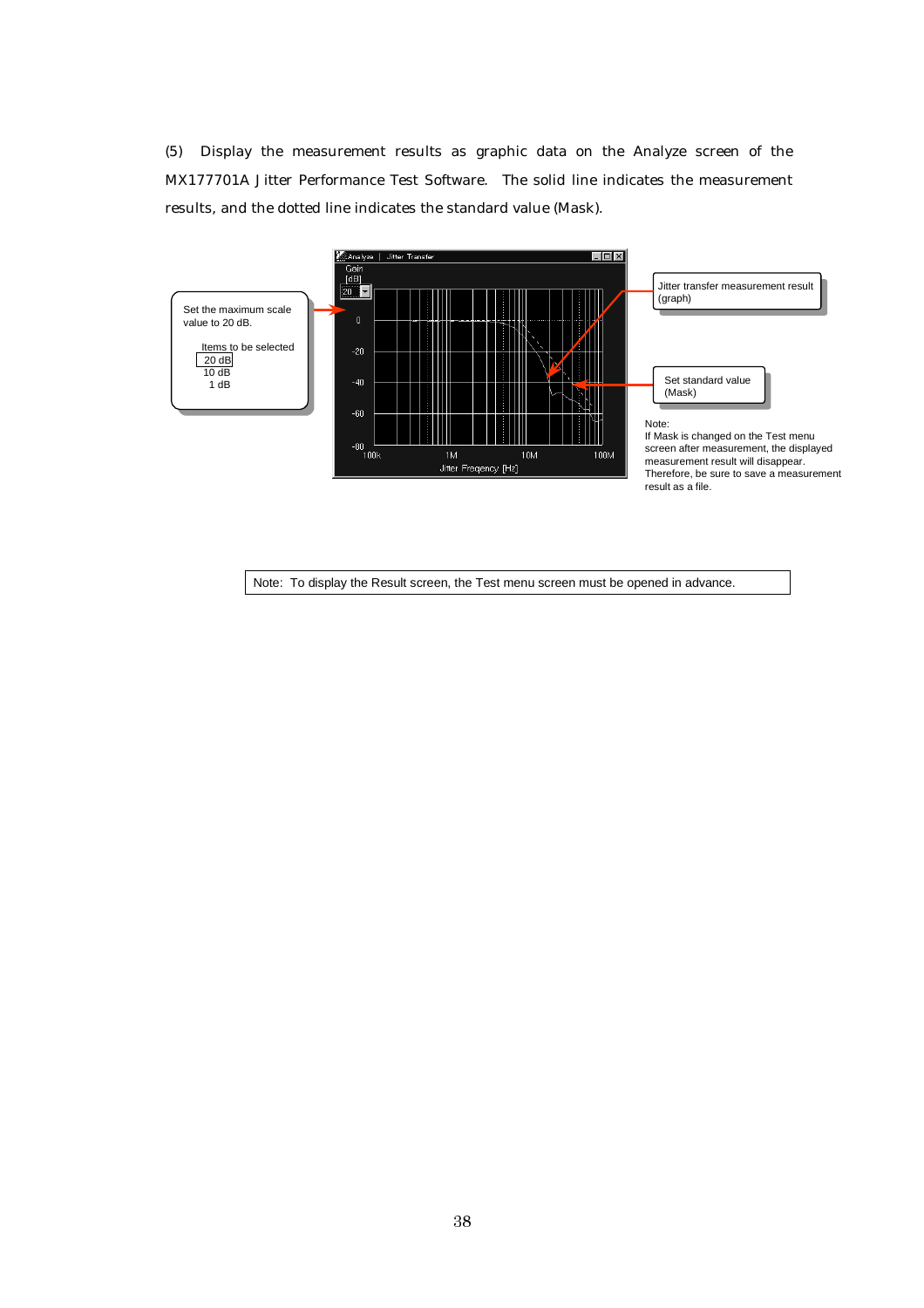(5) Display the measurement results as graphic data on the Analyze screen of the MX177701A Jitter Performance Test Software. The solid line indicates the measurement results, and the dotted line indicates the standard value (Mask).

![](_page_41_Figure_1.jpeg)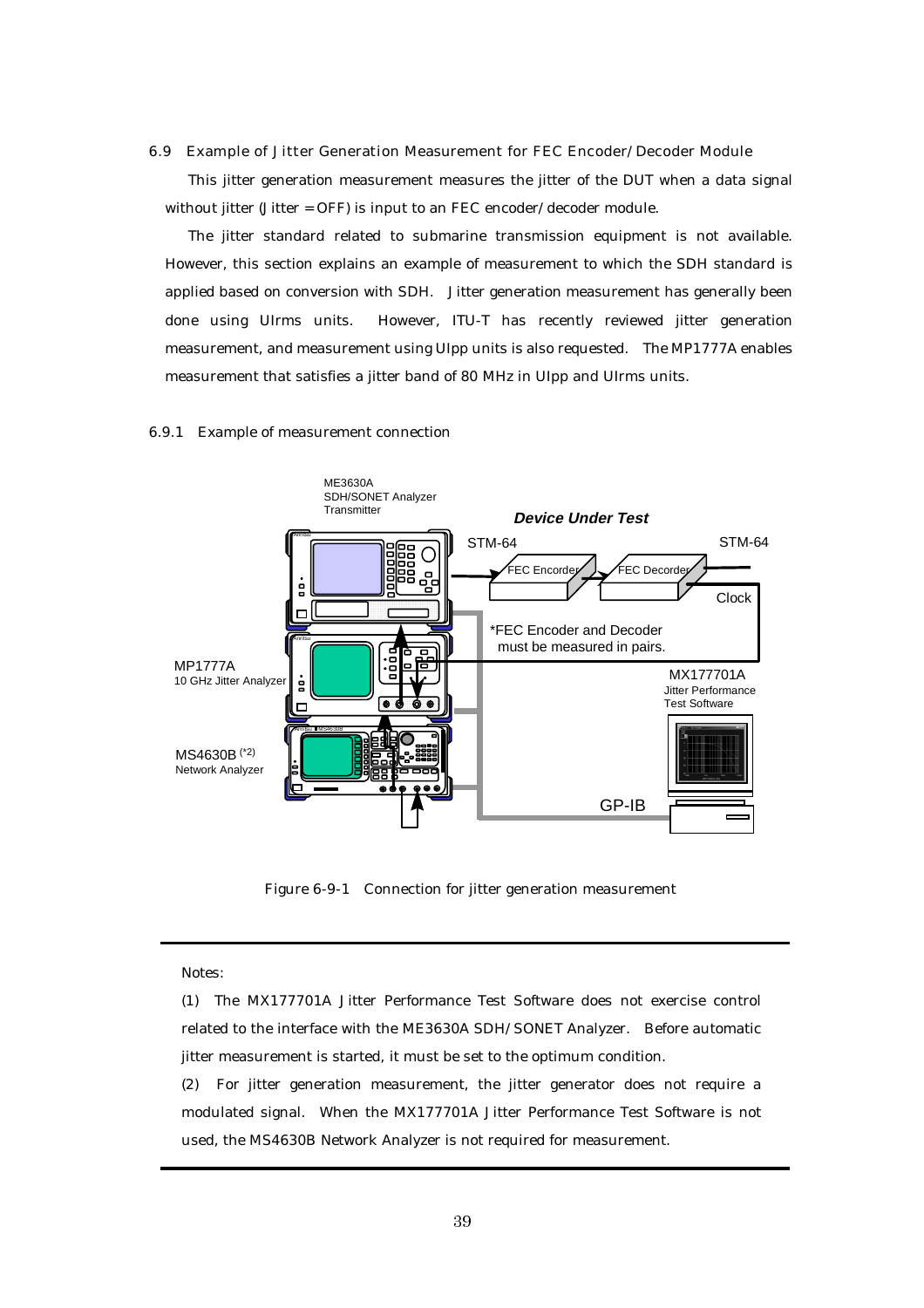6.9 Example of Jitter Generation Measurement for FEC Encoder/Decoder Module

This jitter generation measurement measures the jitter of the DUT when a data signal without jitter (Jitter = OFF) is input to an FEC encoder/decoder module.

The jitter standard related to submarine transmission equipment is not available. However, this section explains an example of measurement to which the SDH standard is applied based on conversion with SDH. Jitter generation measurement has generally been done using UIrms units. However, ITU-T has recently reviewed jitter generation measurement, and measurement using UIpp units is also requested. The MP1777A enables measurement that satisfies a jitter band of 80 MHz in UIpp and UIrms units.

#### 6.9.1 Example of measurement connection

![](_page_42_Figure_4.jpeg)

Figure 6-9-1 Connection for jitter generation measurement

Notes:

(1) The MX177701A Jitter Performance Test Software does not exercise control related to the interface with the ME3630A SDH/SONET Analyzer. Before automatic jitter measurement is started, it must be set to the optimum condition.

(2) For jitter generation measurement, the jitter generator does not require a modulated signal. When the MX177701A Jitter Performance Test Software is not used, the MS4630B Network Analyzer is not required for measurement.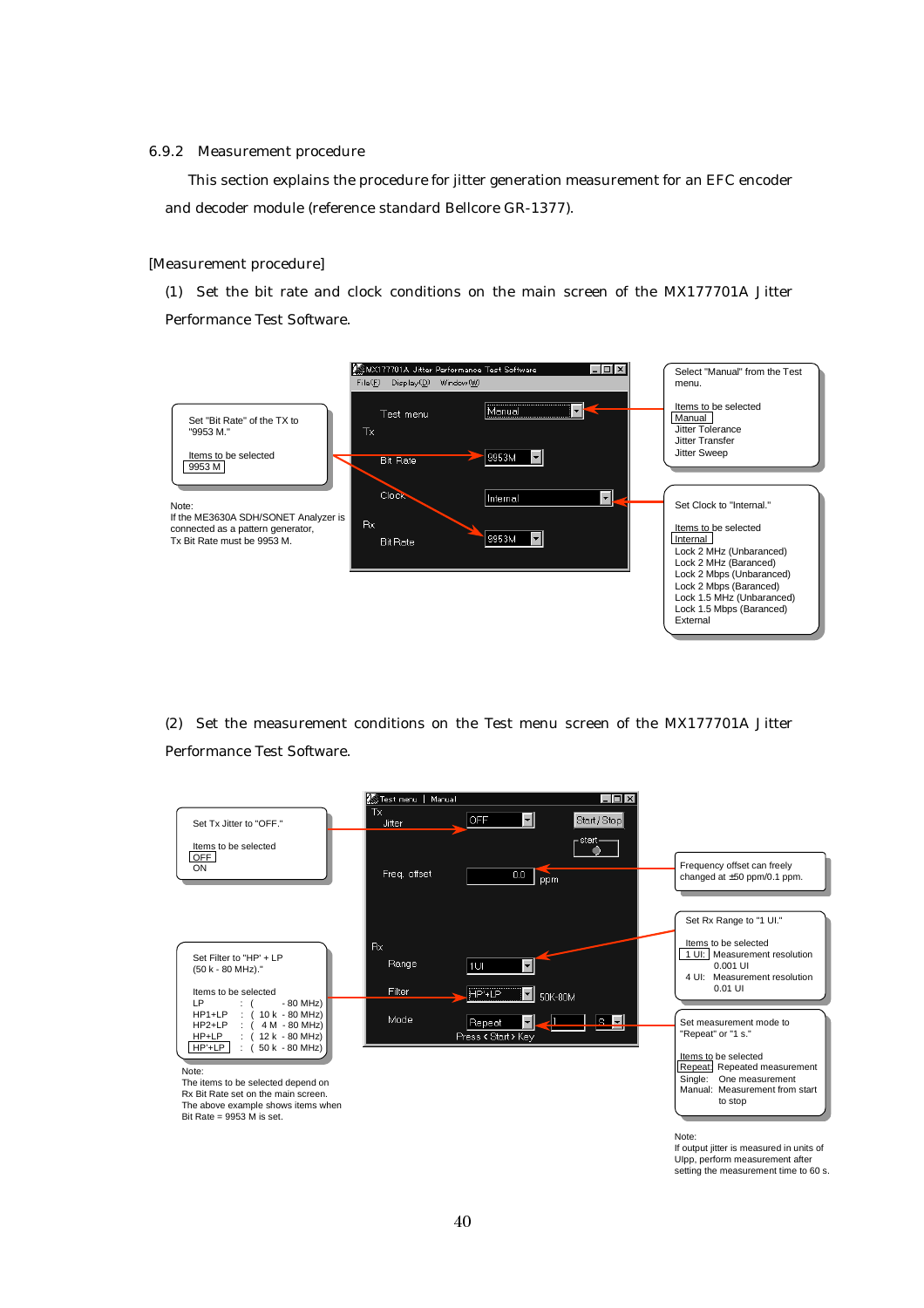#### 6.9.2 Measurement procedure

This section explains the procedure for jitter generation measurement for an EFC encoder and decoder module (reference standard Bellcore GR-1377).

#### [Measurement procedure]

(1) Set the bit rate and clock conditions on the main screen of the MX177701A Jitter Performance Test Software.

![](_page_43_Figure_4.jpeg)

(2) Set the measurement conditions on the Test menu screen of the MX177701A Jitter Performance Test Software.

![](_page_43_Figure_6.jpeg)

If output jitter is measured in units of UIpp, perform measurement after setting the measurement time to 60 s.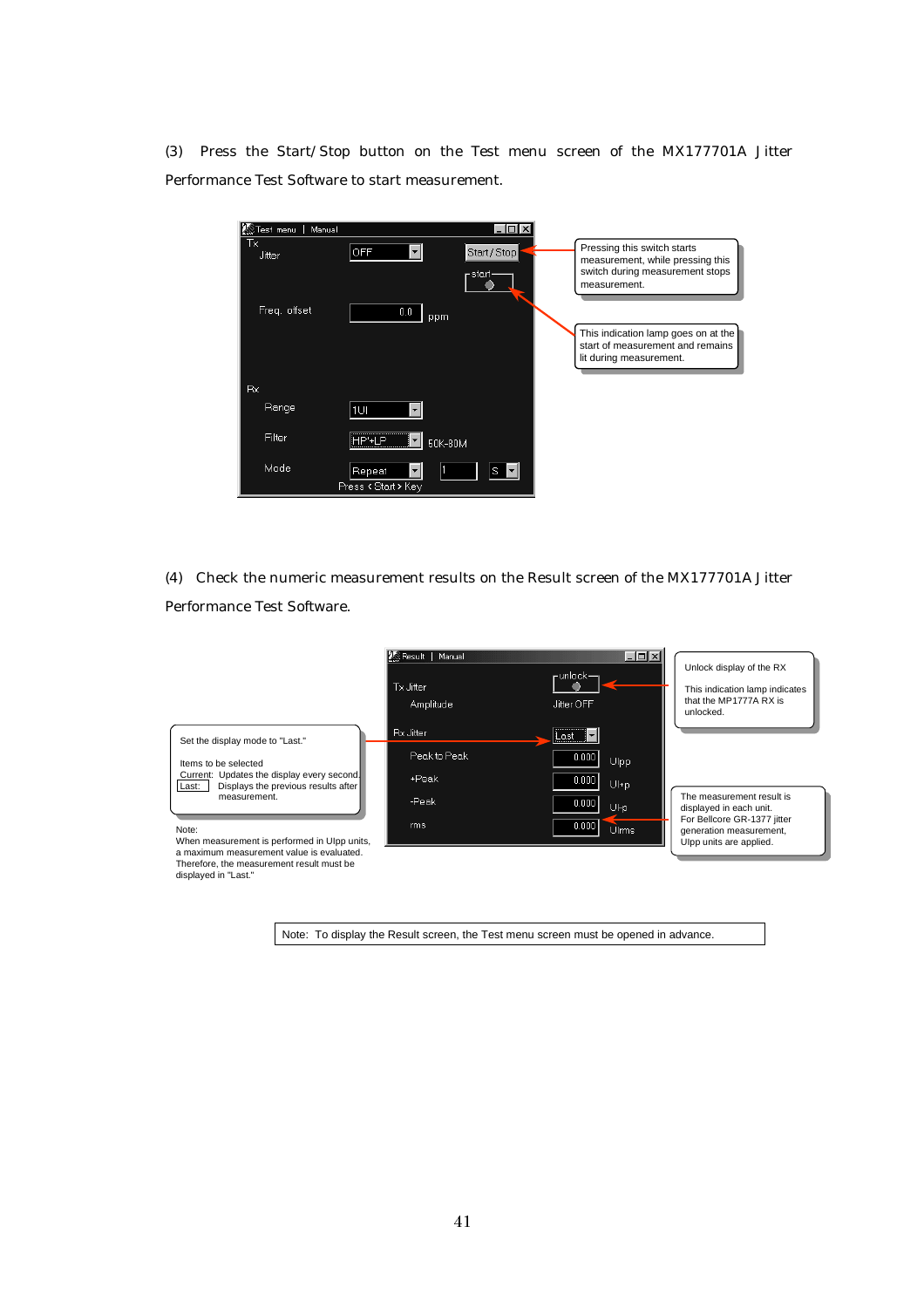(3) Press the Start/Stop button on the Test menu screen of the MX177701A Jitter Performance Test Software to start measurement.

| Nanual Manual | I – I OI                                           |                                                                                                                    |
|---------------|----------------------------------------------------|--------------------------------------------------------------------------------------------------------------------|
| Тx<br>Jitter  | <b>OFF</b><br>Start / Stop<br>– start <sub>i</sub> | Pressing this switch starts<br>measurement, while pressing this<br>switch during measurement stops<br>measurement. |
| Freq. offset  | 0.0<br>ppm                                         |                                                                                                                    |
|               |                                                    | This indication lamp goes on at the<br>start of measurement and remains<br>lit during measurement.                 |
| Rx.           |                                                    |                                                                                                                    |
| Range         | 1UI                                                |                                                                                                                    |
| Filter        | <br>HP'+I P<br>50K-80M                             |                                                                                                                    |
| Mode          | Repeat<br>S<br>Press < Start > Key                 |                                                                                                                    |

(4) Check the numeric measurement results on the Result screen of the MX177701A Jitter Performance Test Software.

![](_page_44_Figure_3.jpeg)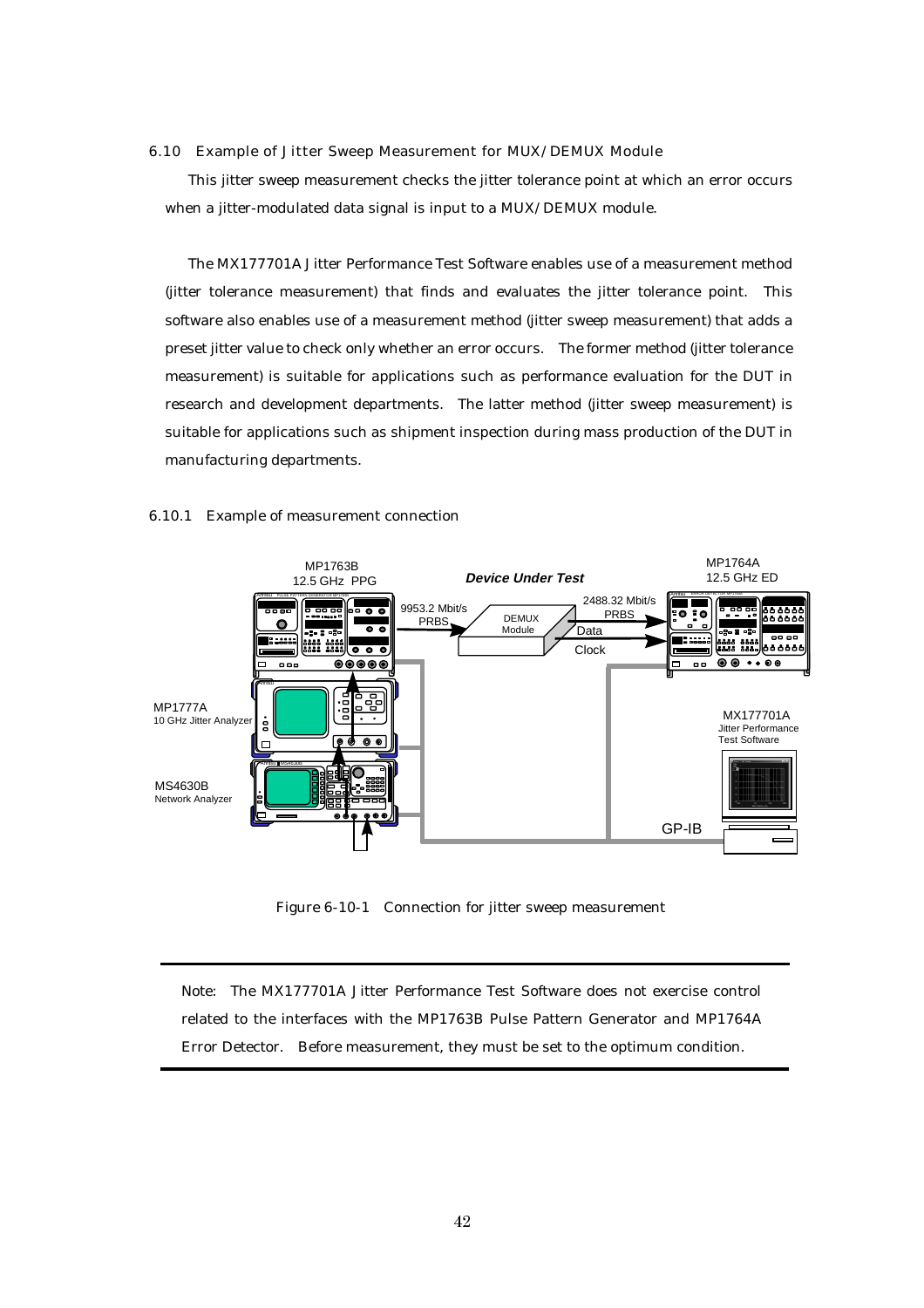#### 6.10 Example of Jitter Sweep Measurement for MUX/DEMUX Module

This jitter sweep measurement checks the jitter tolerance point at which an error occurs when a jitter-modulated data signal is input to a MUX/DEMUX module.

The MX177701A Jitter Performance Test Software enables use of a measurement method (jitter tolerance measurement) that finds and evaluates the jitter tolerance point. This software also enables use of a measurement method (jitter sweep measurement) that adds a preset jitter value to check only whether an error occurs. The former method (jitter tolerance measurement) is suitable for applications such as performance evaluation for the DUT in research and development departments. The latter method (jitter sweep measurement) is suitable for applications such as shipment inspection during mass production of the DUT in manufacturing departments.

![](_page_45_Figure_3.jpeg)

#### 6.10.1 Example of measurement connection

Figure 6-10-1 Connection for jitter sweep measurement

Note: The MX177701A Jitter Performance Test Software does not exercise control related to the interfaces with the MP1763B Pulse Pattern Generator and MP1764A Error Detector. Before measurement, they must be set to the optimum condition.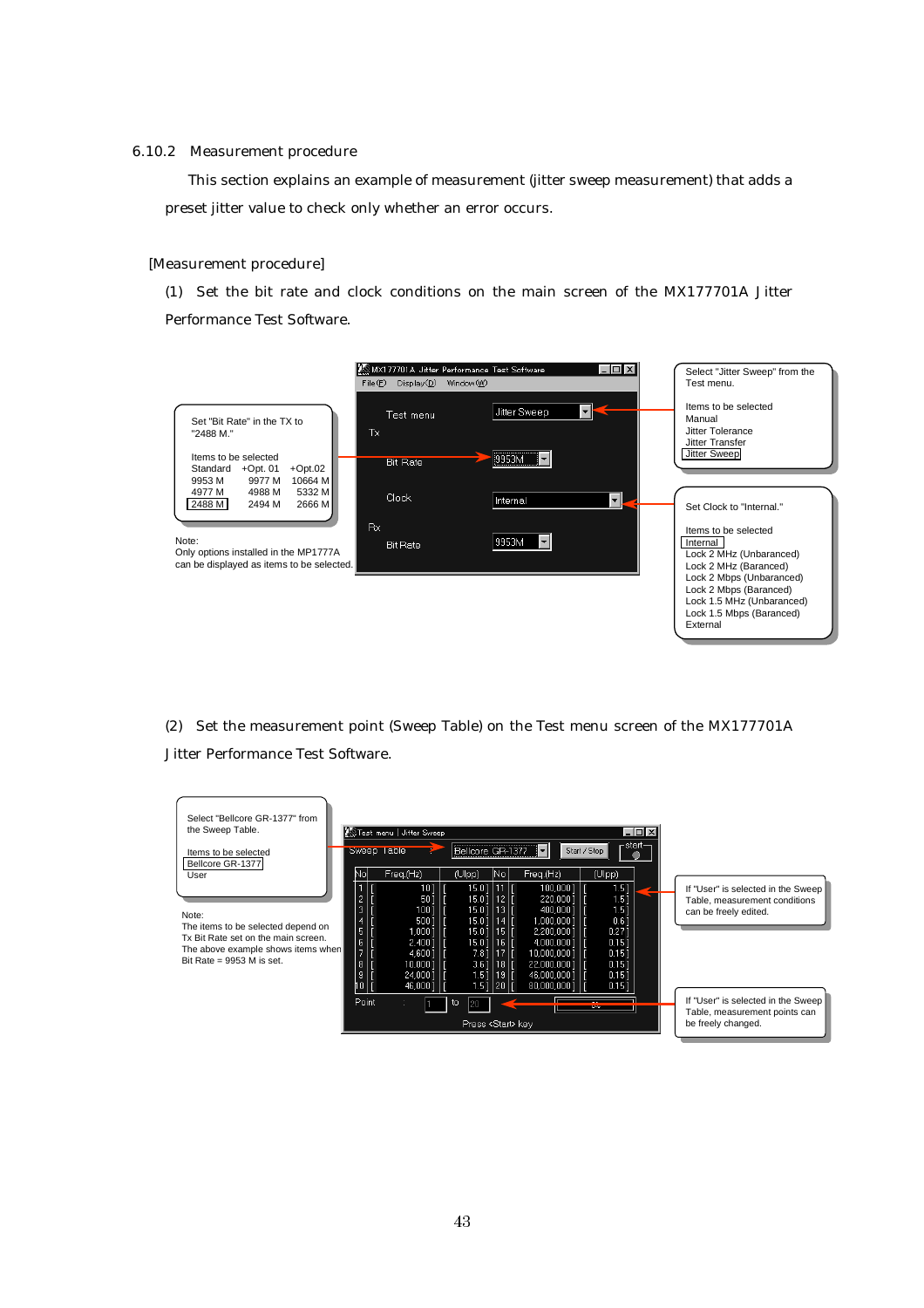#### 6.10.2 Measurement procedure

This section explains an example of measurement (jitter sweep measurement) that adds a preset jitter value to check only whether an error occurs.

#### [Measurement procedure]

(1) Set the bit rate and clock conditions on the main screen of the MX177701A Jitter Performance Test Software.

![](_page_46_Figure_4.jpeg)

(2) Set the measurement point (Sweep Table) on the Test menu screen of the MX177701A Jitter Performance Test Software.

![](_page_46_Figure_6.jpeg)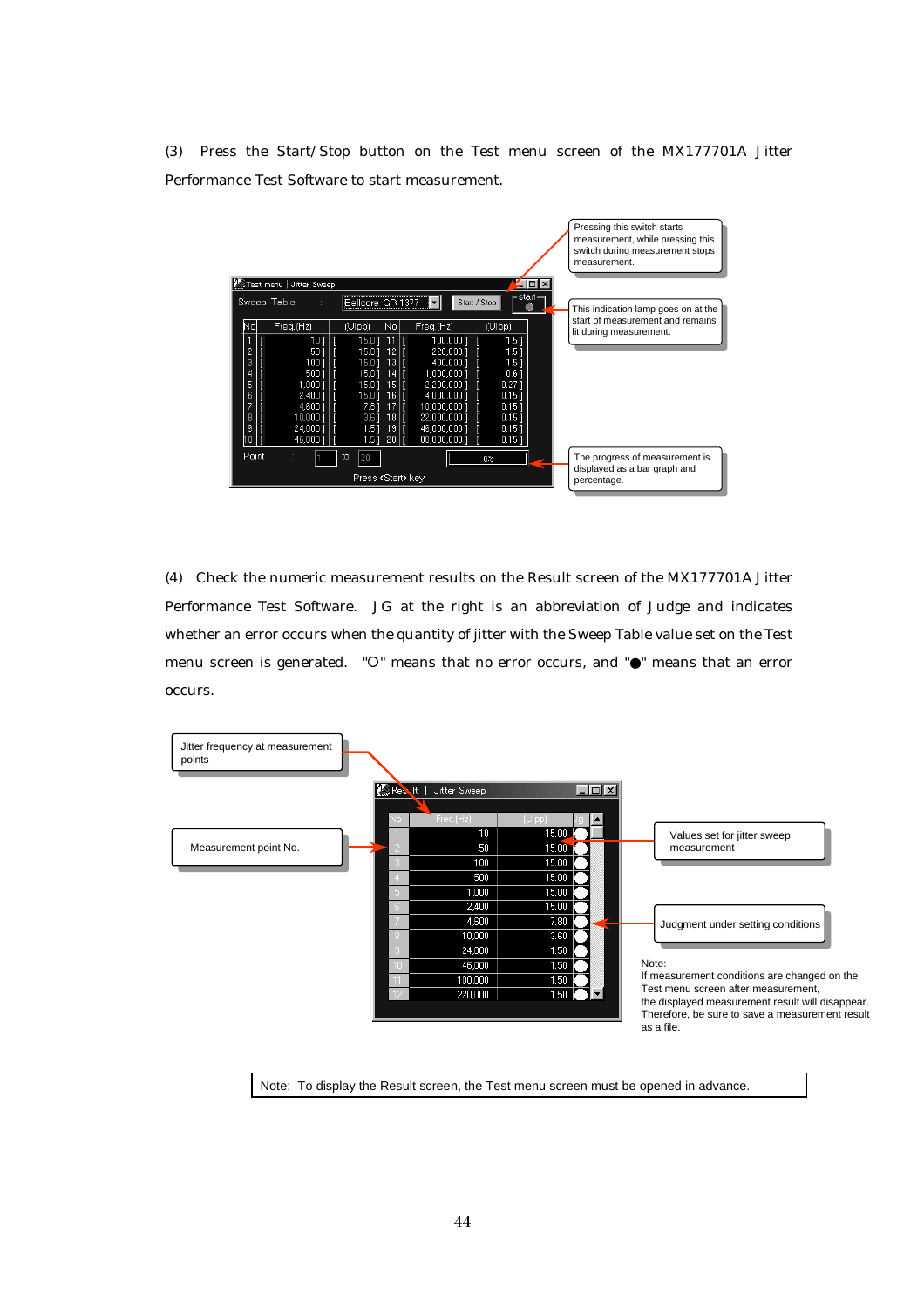(3) Press the Start/Stop button on the Test menu screen of the MX177701A Jitter Performance Test Software to start measurement.

![](_page_47_Figure_1.jpeg)

(4) Check the numeric measurement results on the Result screen of the MX177701A Jitter Performance Test Software. JG at the right is an abbreviation of Judge and indicates whether an error occurs when the quantity of jitter with the Sweep Table value set on the Test menu screen is generated.  $"O"$  means that no error occurs, and  $"O"$  means that an error occurs.

![](_page_47_Figure_3.jpeg)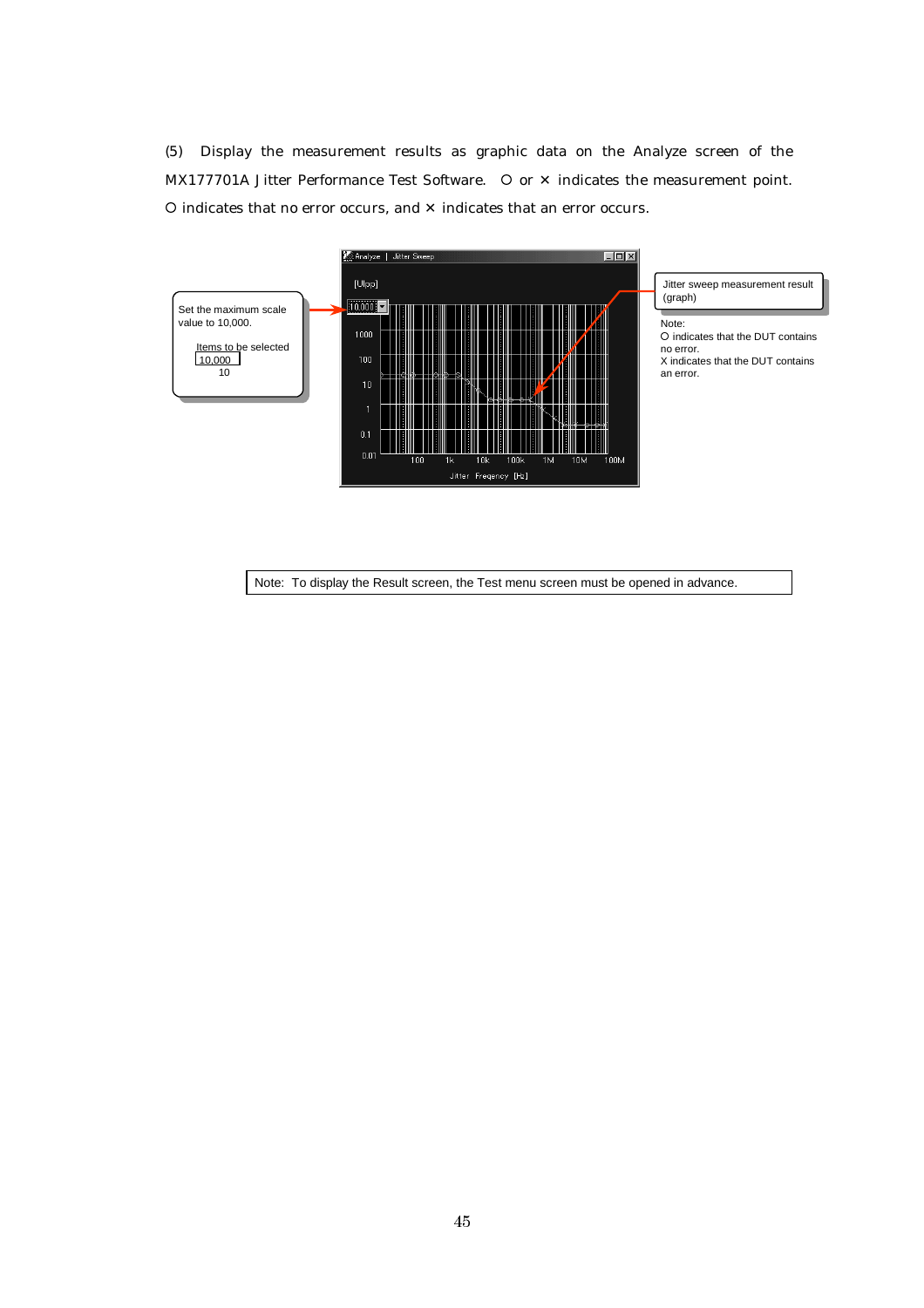(5) Display the measurement results as graphic data on the Analyze screen of the MX177701A Jitter Performance Test Software.  $\circ$  or  $\times$  indicates the measurement point. { indicates that no error occurs, and ✕ indicates that an error occurs.

![](_page_48_Figure_1.jpeg)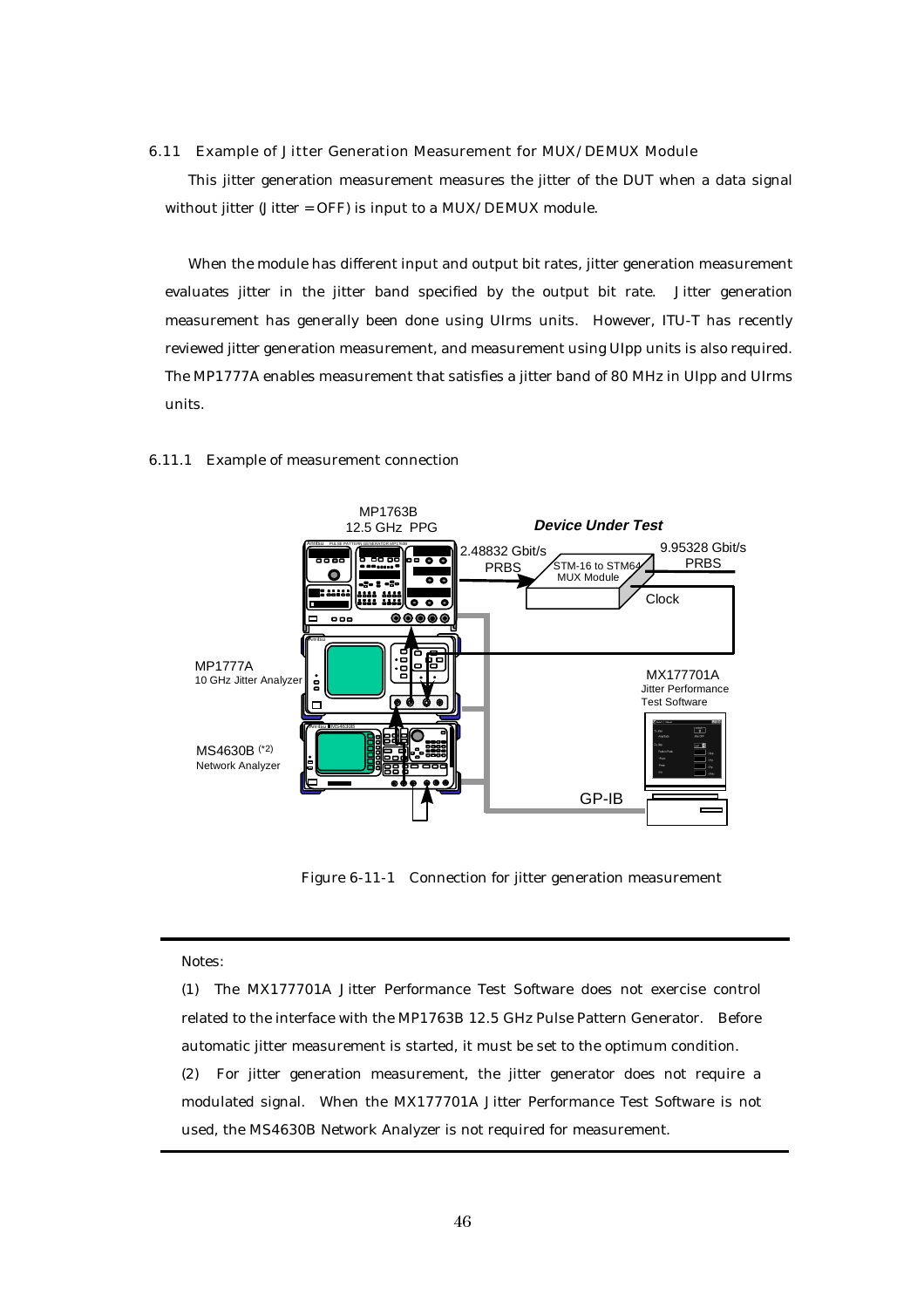#### 6.11 Example of Jitter Generation Measurement for MUX/DEMUX Module

This jitter generation measurement measures the jitter of the DUT when a data signal without jitter (Jitter = OFF) is input to a MUX/DEMUX module.

When the module has different input and output bit rates, jitter generation measurement evaluates jitter in the jitter band specified by the output bit rate. Jitter generation measurement has generally been done using UIrms units. However, ITU-T has recently reviewed jitter generation measurement, and measurement using UIpp units is also required. The MP1777A enables measurement that satisfies a jitter band of 80 MHz in UIpp and UIrms units.

![](_page_49_Figure_3.jpeg)

#### 6.11.1 Example of measurement connection

Figure 6-11-1 Connection for jitter generation measurement

#### Notes:

(1) The MX177701A Jitter Performance Test Software does not exercise control related to the interface with the MP1763B 12.5 GHz Pulse Pattern Generator. Before automatic jitter measurement is started, it must be set to the optimum condition. (2) For jitter generation measurement, the jitter generator does not require a modulated signal. When the MX177701A Jitter Performance Test Software is not used, the MS4630B Network Analyzer is not required for measurement.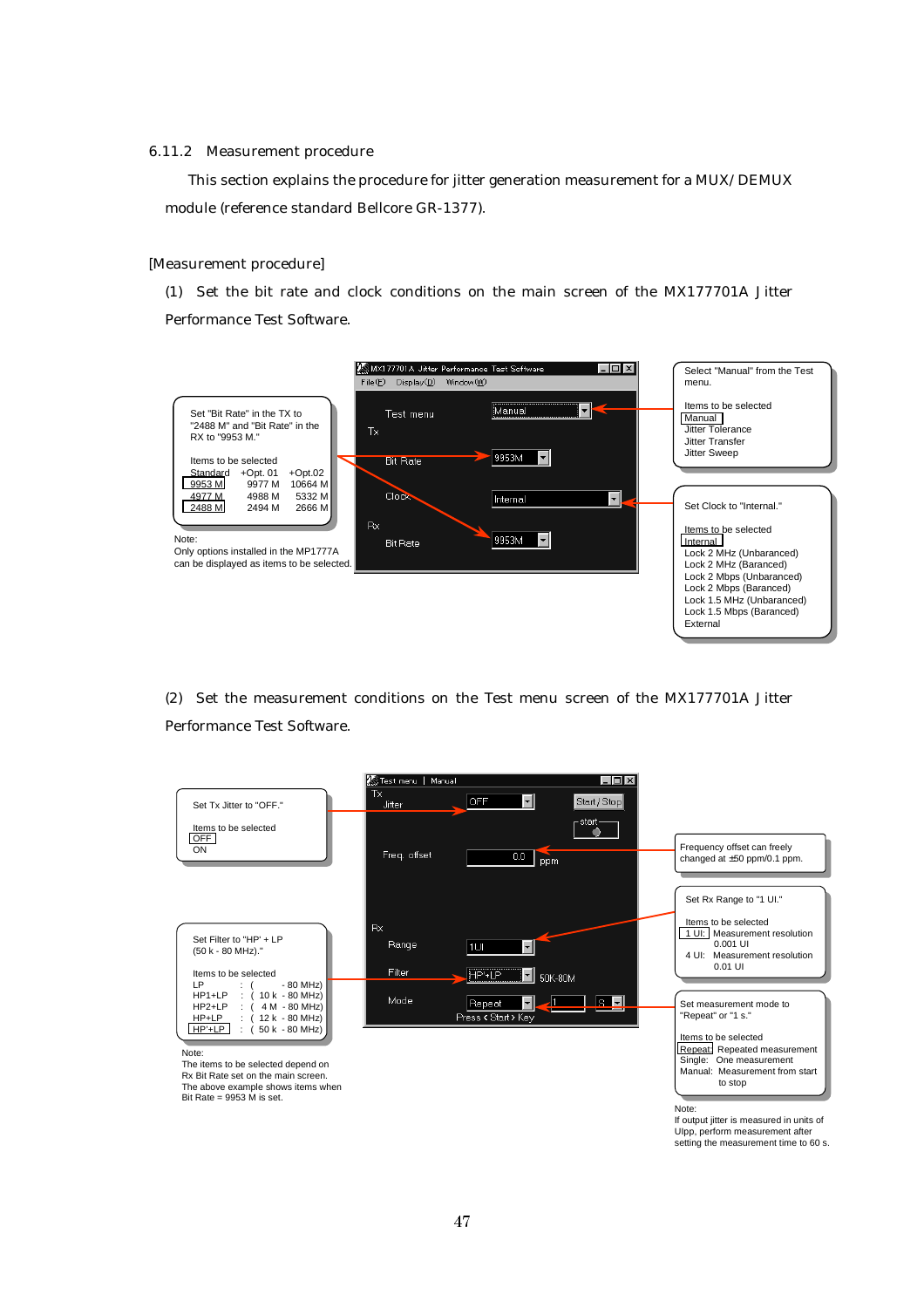#### 6.11.2 Measurement procedure

This section explains the procedure for jitter generation measurement for a MUX/DEMUX module (reference standard Bellcore GR-1377).

#### [Measurement procedure]

(1) Set the bit rate and clock conditions on the main screen of the MX177701A Jitter Performance Test Software.

![](_page_50_Figure_4.jpeg)

(2) Set the measurement conditions on the Test menu screen of the MX177701A Jitter Performance Test Software.

![](_page_50_Figure_6.jpeg)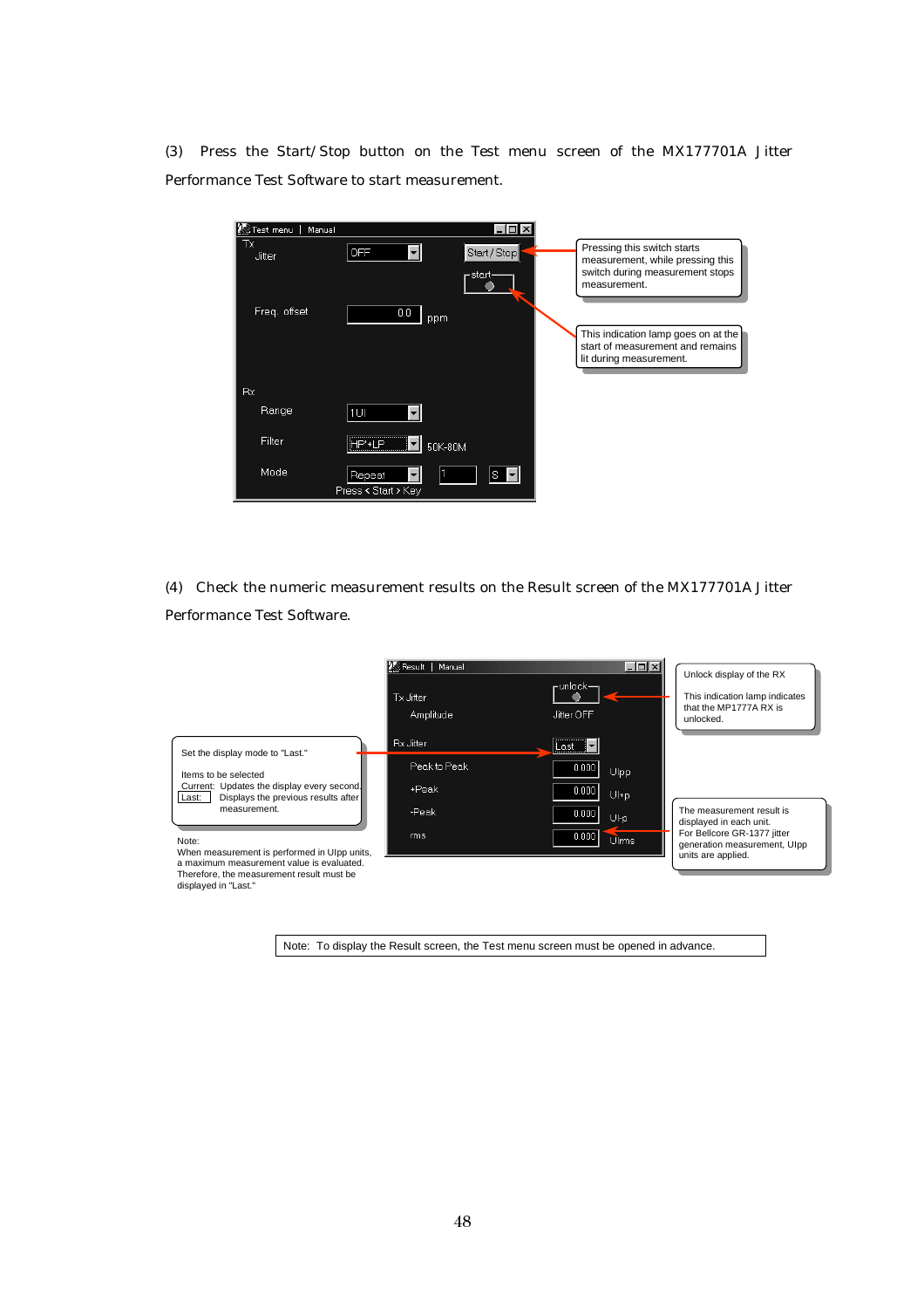(3) Press the Start/Stop button on the Test menu screen of the MX177701A Jitter Performance Test Software to start measurement.

| Test menu<br>Manual | - 10                                  |                                                                                                                    |
|---------------------|---------------------------------------|--------------------------------------------------------------------------------------------------------------------|
| Тx<br>Jitter        | <b>OFF</b><br>Start / Stop<br>-start- | Pressing this switch starts<br>measurement, while pressing this<br>switch during measurement stops<br>measurement. |
| Freq. offset        | 0.0<br>ppm                            |                                                                                                                    |
|                     |                                       | This indication lamp goes on at the<br>start of measurement and remains<br>lit during measurement.                 |
| Rx.                 |                                       |                                                                                                                    |
| Range               | $1$ UI                                |                                                                                                                    |
| Filter              | $\triangleright$<br>1P'+1<br>50K-80M  |                                                                                                                    |
| Mode                | Repeat<br>S<br>Press < Start > Key    |                                                                                                                    |

(4) Check the numeric measurement results on the Result screen of the MX177701A Jitter Performance Test Software.

![](_page_51_Figure_3.jpeg)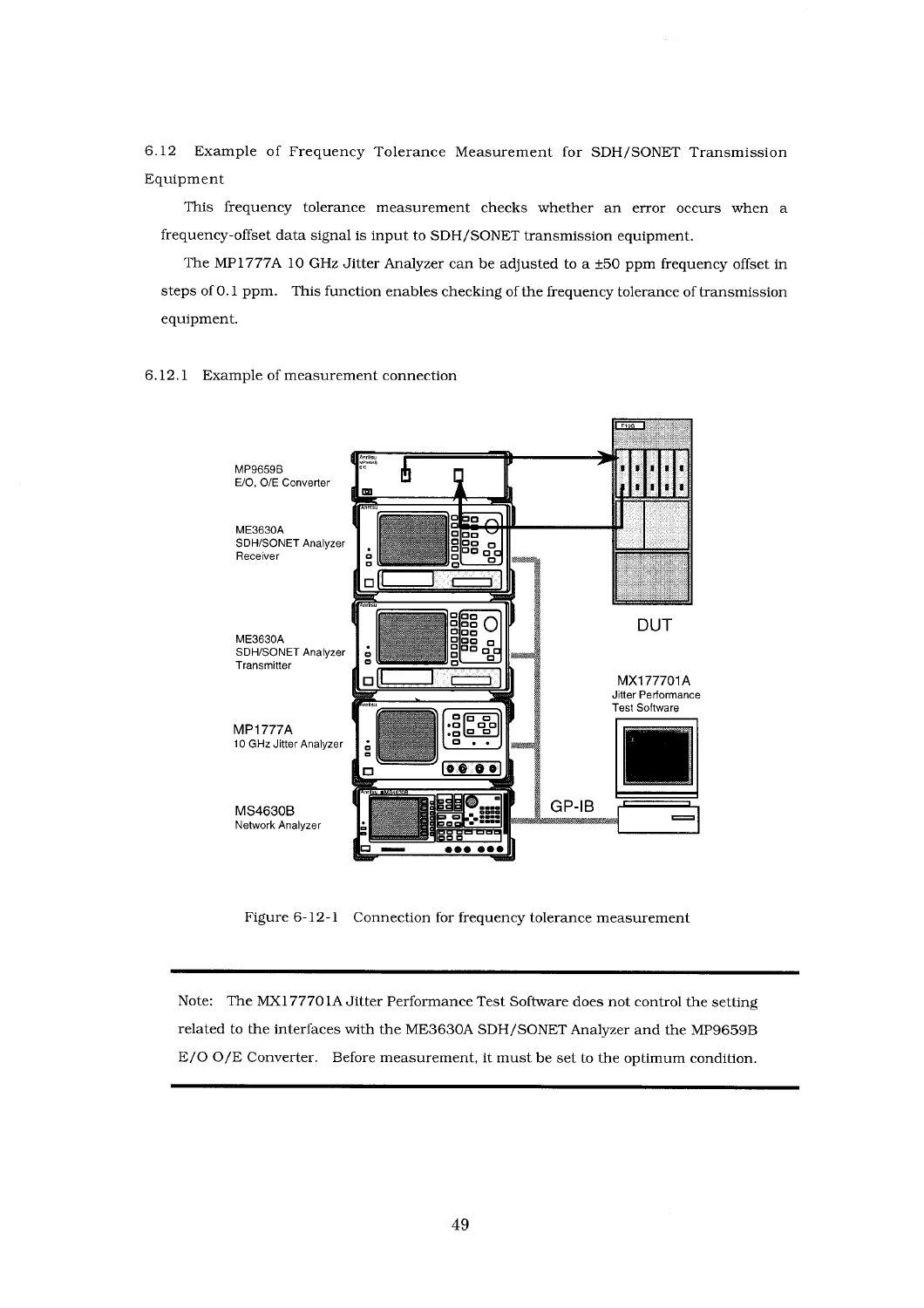6.12 Example of Frequency Tolerance Measurement for SDH/SONET Transmission Equipment

This frequency tolerance measurement checks whether an error occurs when a frequency-offset data signal is input to SDH/SONET transmission equipment.

The MP1777A 10 GHz Jitter Analyzer can be adjusted to a ±50 ppm frequency offset in steps of 0.1 ppm. This function enables checking of the frequency tolerance of transmission equipment.

![](_page_52_Figure_3.jpeg)

6.12.1 Example of measurement connection

Figure 6-12-1 Connection for frequency tolerance measurement

Note: The MX177701A Jitter Performance Test Software does not control the setting related to the interfaces with the ME3630A SDH/SONET Analyzer and the MP9659B E/O O/E Converter. Before measurement, it must be set to the optimum condition.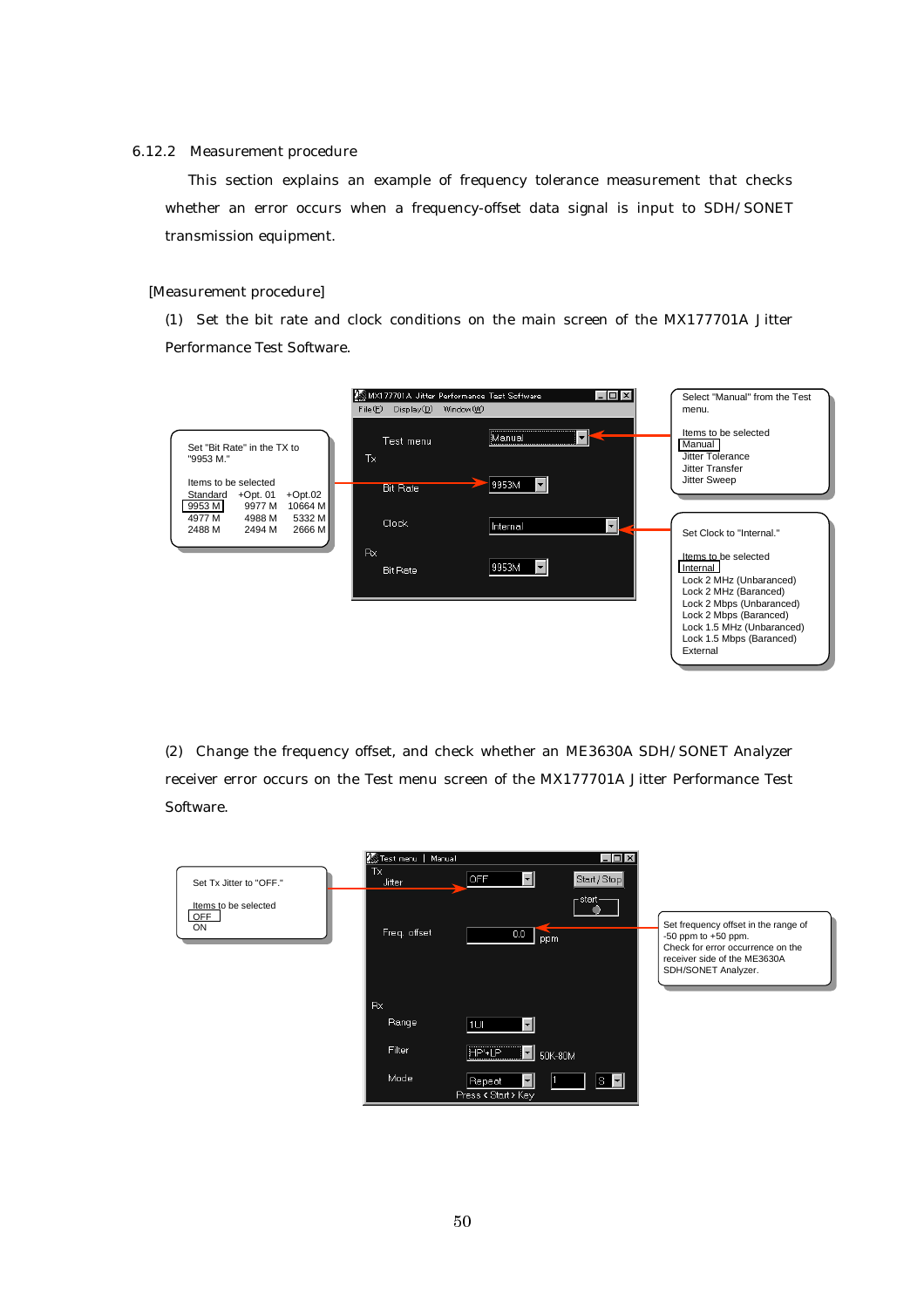#### 6.12.2 Measurement procedure

This section explains an example of frequency tolerance measurement that checks whether an error occurs when a frequency-offset data signal is input to SDH/SONET transmission equipment.

#### [Measurement procedure]

(1) Set the bit rate and clock conditions on the main screen of the MX177701A Jitter Performance Test Software.

![](_page_53_Figure_4.jpeg)

(2) Change the frequency offset, and check whether an ME3630A SDH/SONET Analyzer receiver error occurs on the Test menu screen of the MX177701A Jitter Performance Test Software.

|                                   | Test menu   Manual  | $ \Box$ $\times$                                                                      |                                                                                                                                                             |
|-----------------------------------|---------------------|---------------------------------------------------------------------------------------|-------------------------------------------------------------------------------------------------------------------------------------------------------------|
| Set Tx Jitter to "OFF."           | Тx<br><b>Jitter</b> | $\vert \cdot \vert$<br>Start / Stop<br>OFF                                            |                                                                                                                                                             |
| Items to be selected<br>OFF<br>ON | Freq. offset        | $r$ start $-$<br>$0.0\,$<br>ppm                                                       | Set frequency offset in the range of<br>$-50$ ppm to $+50$ ppm.<br>Check for error occurrence on the<br>receiver side of the ME3630A<br>SDH/SONET Analyzer. |
|                                   | Rx                  |                                                                                       |                                                                                                                                                             |
|                                   | Range               | $\vert \cdot \vert$<br> 1UI                                                           |                                                                                                                                                             |
|                                   | Filter              | HP'+LP<br>−∥<br>50K-80M                                                               |                                                                                                                                                             |
|                                   | Mode                | $\overline{\mathbf{s} \cdot}$<br>$\vert \cdot \vert$<br>Repeat<br>Press < Start > Key |                                                                                                                                                             |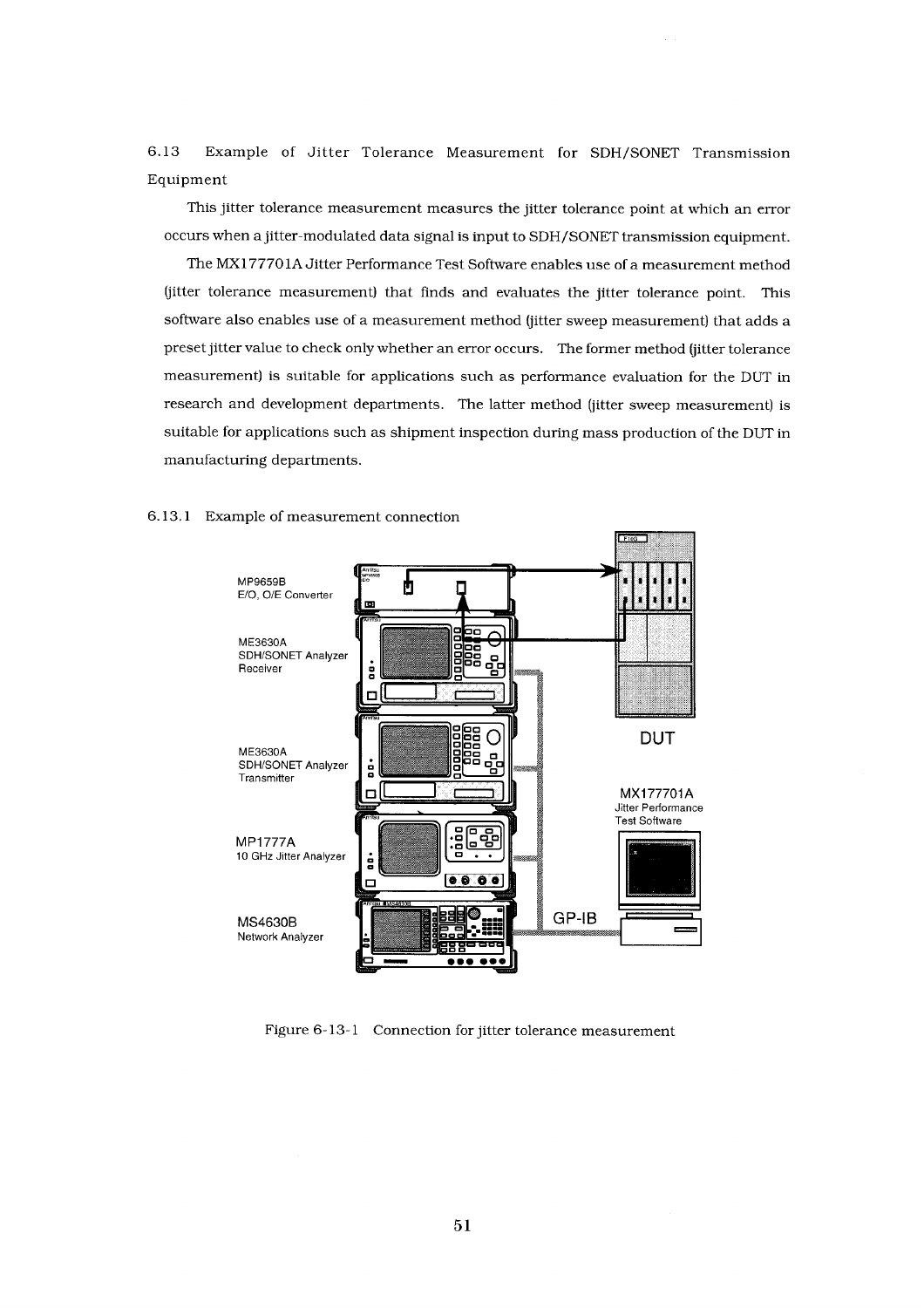6.13 Example of Jitter Tolerance Measurement for SDH/SONET Transmission Equipment

This jitter tolerance measurement measures the jitter tolerance point at which an error occurs when a jitter-modulated data signal is input to SDH/SONET transmission equipment.

The MX177701A Jitter Performance Test Software enables use of a measurement method (jitter tolerance measurement) that finds and evaluates the jitter tolerance point. This software also enables use of a measurement method (jitter sweep measurement) that adds a preset jitter value to check only whether an error occurs. The former method (jitter tolerance measurement) is suitable for applications such as performance evaluation for the DUT in research and development departments. The latter method (jitter sweep measurement) is suitable for applications such as shipment inspection during mass production of the DUT in manufacturing departments.

![](_page_54_Figure_3.jpeg)

#### 6.13.1 Example of measurement connection

Figure 6-13-1 Connection for jitter tolerance measurement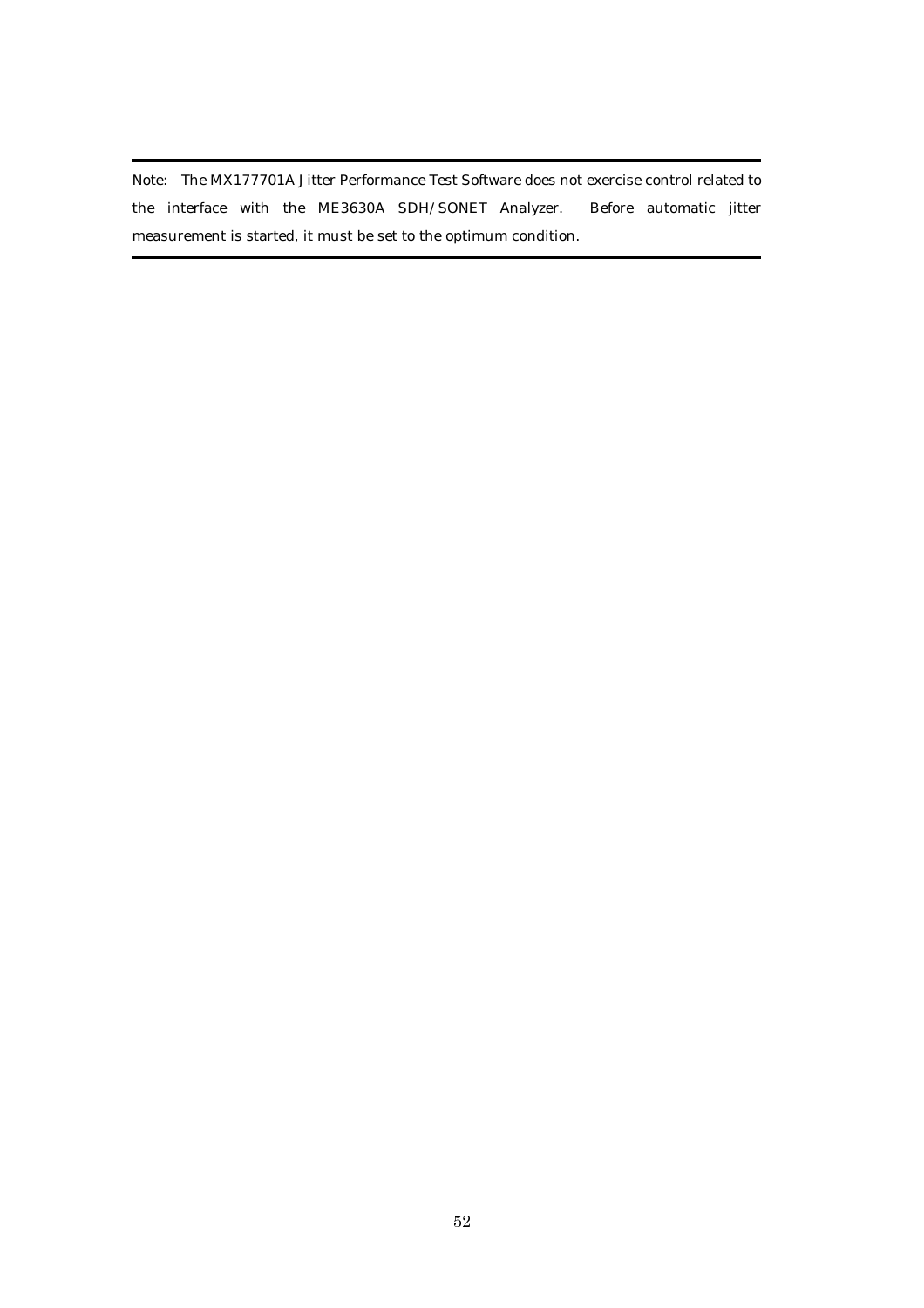Note: The MX177701A Jitter Performance Test Software does not exercise control related to the interface with the ME3630A SDH/SONET Analyzer. Before automatic jitter measurement is started, it must be set to the optimum condition.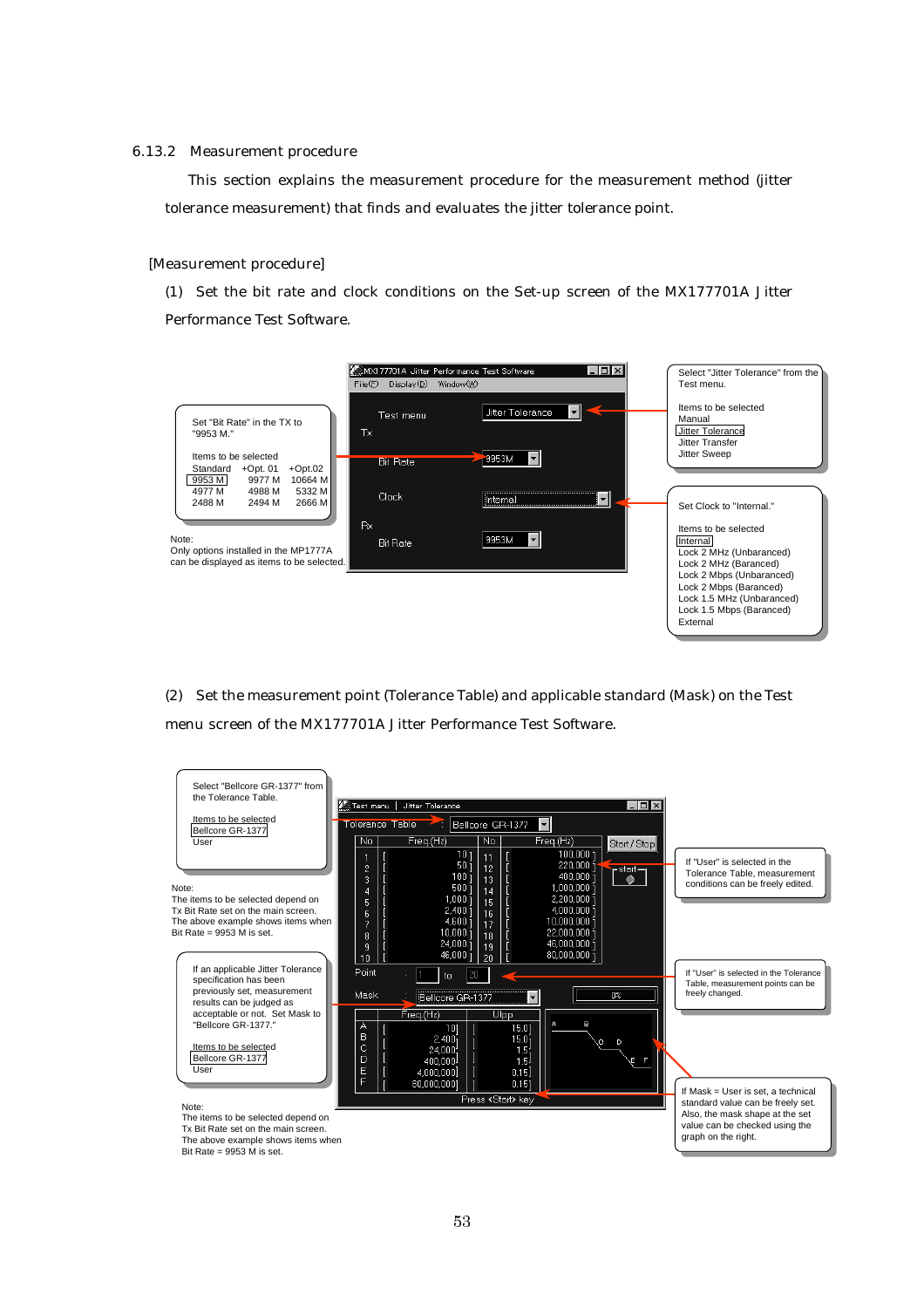#### 6.13.2 Measurement procedure

This section explains the measurement procedure for the measurement method (jitter tolerance measurement) that finds and evaluates the jitter tolerance point.

#### [Measurement procedure]

(1) Set the bit rate and clock conditions on the Set-up screen of the MX177701A Jitter Performance Test Software.

![](_page_56_Figure_4.jpeg)

(2) Set the measurement point (Tolerance Table) and applicable standard (Mask) on the Test menu screen of the MX177701A Jitter Performance Test Software.

![](_page_56_Figure_6.jpeg)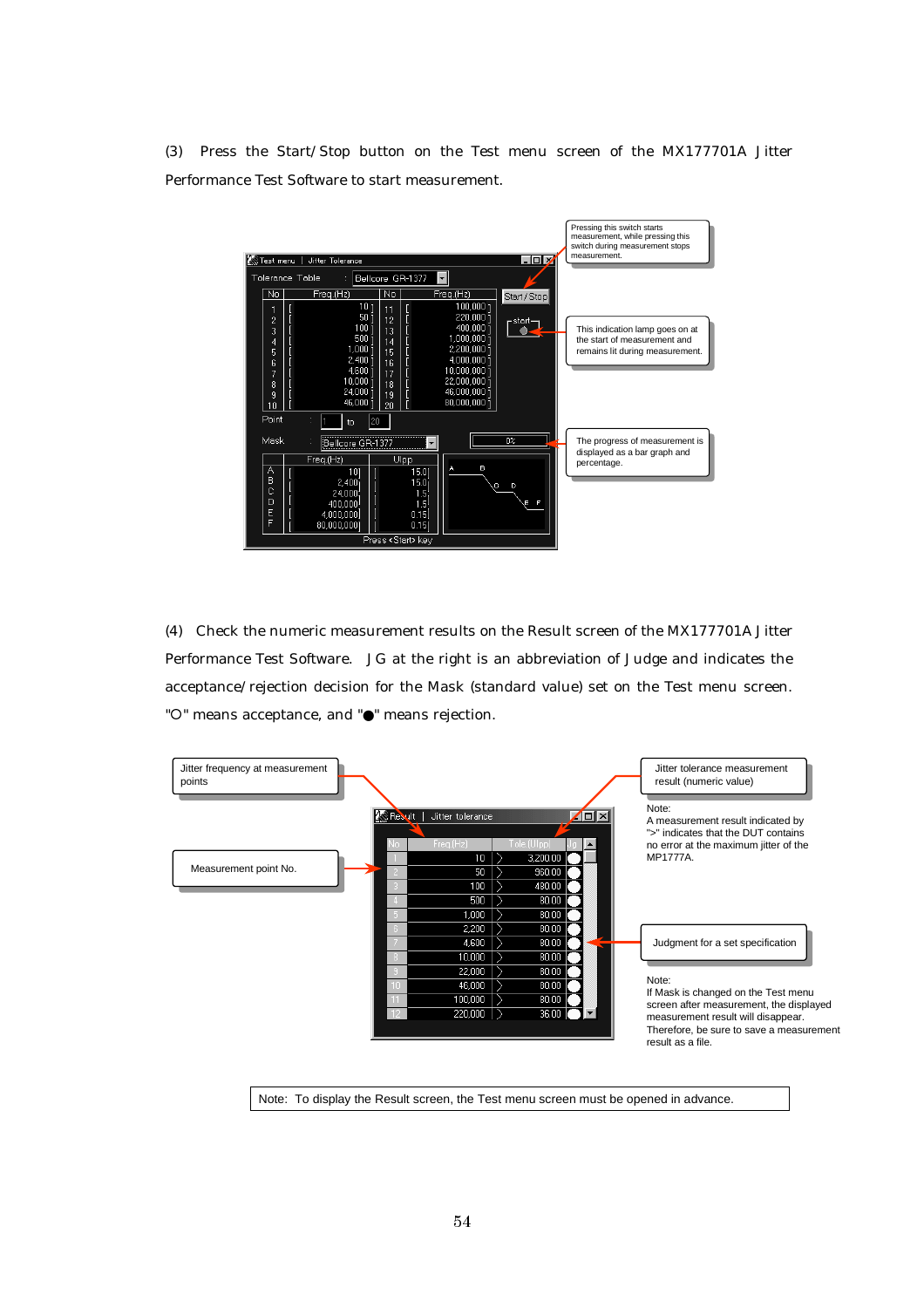(3) Press the Start/Stop button on the Test menu screen of the MX177701A Jitter Performance Test Software to start measurement.

![](_page_57_Figure_1.jpeg)

(4) Check the numeric measurement results on the Result screen of the MX177701A Jitter Performance Test Software. JG at the right is an abbreviation of Judge and indicates the acceptance/rejection decision for the Mask (standard value) set on the Test menu screen. "O" means acceptance, and "●" means rejection.

![](_page_57_Figure_3.jpeg)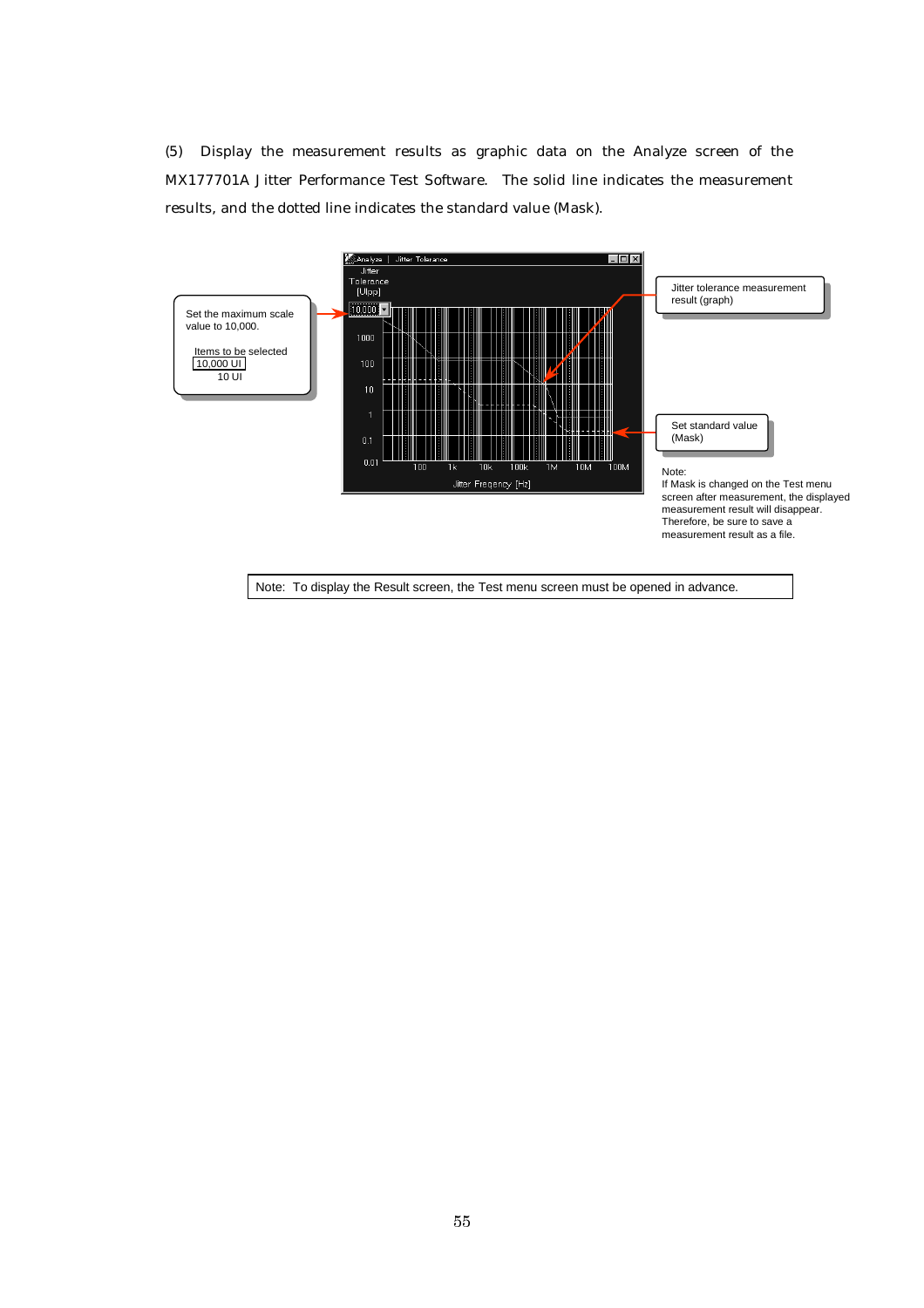(5) Display the measurement results as graphic data on the Analyze screen of the MX177701A Jitter Performance Test Software. The solid line indicates the measurement results, and the dotted line indicates the standard value (Mask).

![](_page_58_Figure_1.jpeg)

55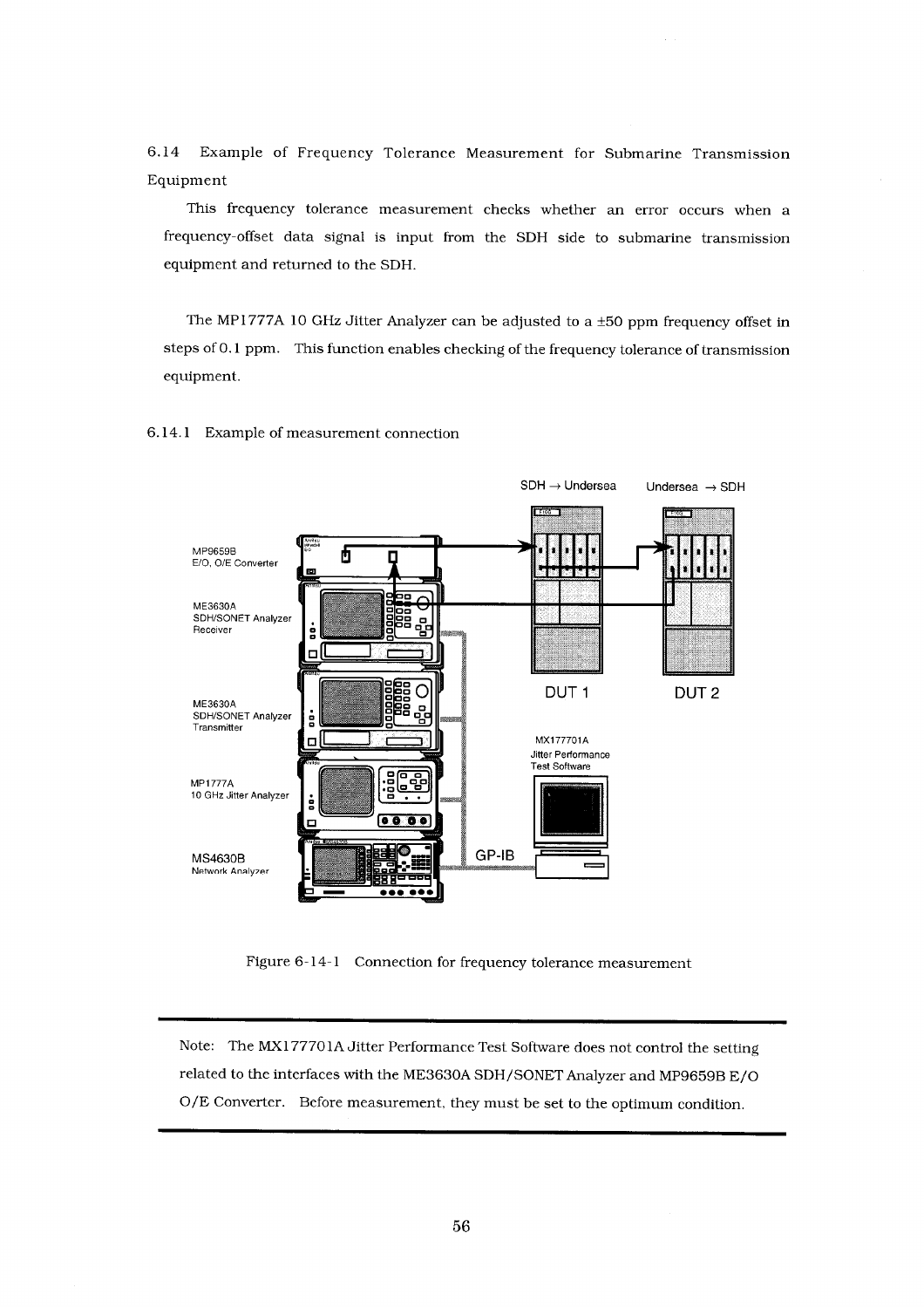6.14 Example of Frequency Tolerance Measurement for Submarine Transmission Equipment

This frequency tolerance measurement checks whether an error occurs when a frequency-offset data signal is input from the SDH side to submarine transmission equipment and returned to the SDH.

The MP1777A 10 GHz Jitter Analyzer can be adjusted to a ±50 ppm frequency offset in steps of 0.1 ppm. This function enables checking of the frequency tolerance of transmission equipment.

6.14.1 Example of measurement connection

![](_page_59_Figure_4.jpeg)

Figure 6-14-1 Connection for frequency tolerance measurement

Note: The MX177701A Jitter Performance Test Software does not control the setting related to the interfaces with the ME3630A SDH/SONET Analyzer and MP9659B E/O O/E Converter. Before measurement, they must be set to the optimum condition.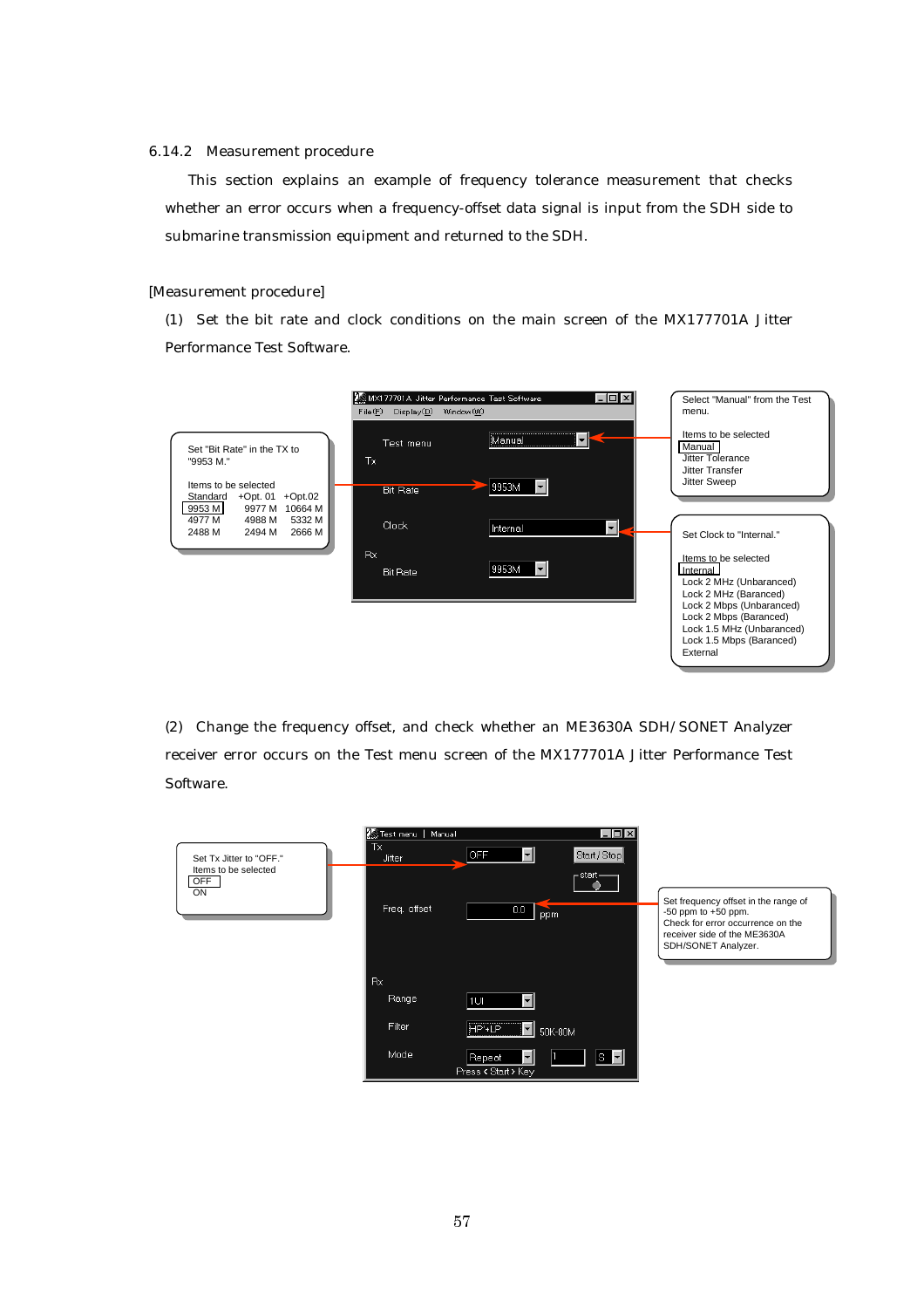#### 6.14.2 Measurement procedure

This section explains an example of frequency tolerance measurement that checks whether an error occurs when a frequency-offset data signal is input from the SDH side to submarine transmission equipment and returned to the SDH.

#### [Measurement procedure]

(1) Set the bit rate and clock conditions on the main screen of the MX177701A Jitter Performance Test Software.

![](_page_60_Figure_4.jpeg)

(2) Change the frequency offset, and check whether an ME3630A SDH/SONET Analyzer receiver error occurs on the Test menu screen of the MX177701A Jitter Performance Test Software.

|                                   | Test menu   Manual | $ \Box$ $\times$                                         |                                                                                                                                                             |
|-----------------------------------|--------------------|----------------------------------------------------------|-------------------------------------------------------------------------------------------------------------------------------------------------------------|
| Set Tx Jitter to "OFF."           | Tx<br>Jitter       | $\vert \cdot \vert$<br>OFF<br>Start / Stop               |                                                                                                                                                             |
| Items to be selected<br>OFF<br>ON | Freq. offset       | $_{\Box}$ start $-$<br>0.0<br>ppm                        | Set frequency offset in the range of<br>$-50$ ppm to $+50$ ppm.<br>Check for error occurrence on the<br>receiver side of the ME3630A<br>SDH/SONET Analyzer. |
|                                   | Rx                 |                                                          |                                                                                                                                                             |
|                                   | Range              | ы<br>1UI                                                 |                                                                                                                                                             |
|                                   | Filter             | HP'+LP<br>▾║<br>50K-80M                                  |                                                                                                                                                             |
|                                   | Mode               | 1s - I.<br>Repeat<br>$\mathbf{r}$<br>Press < Start > Key |                                                                                                                                                             |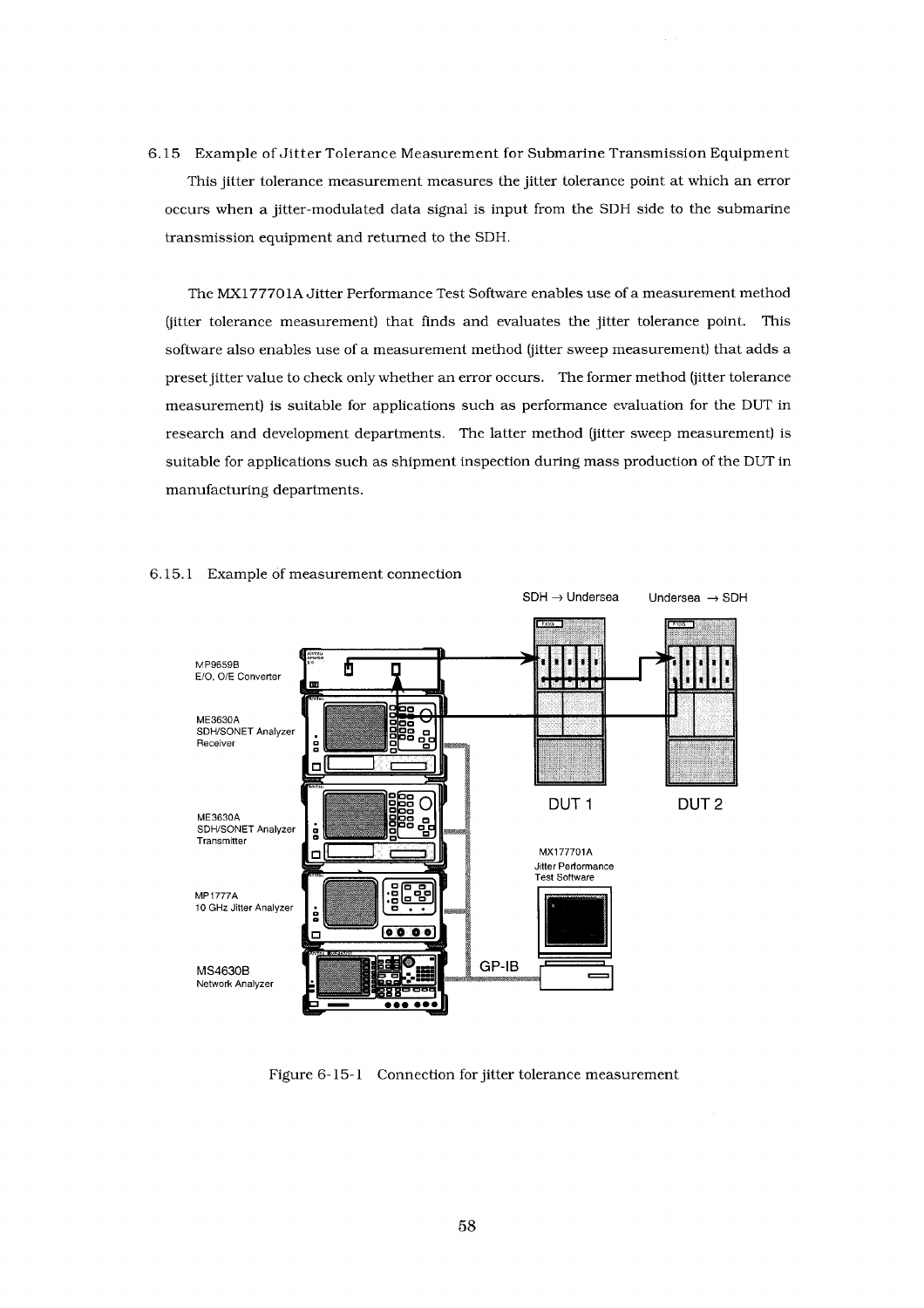6.15 Example of Jitter Tolerance Measurement for Submarine Transmission Equipment This jitter tolerance measurement measures the jitter tolerance point at which an error occurs when a jitter-modulated data signal is input from the SDH side to the submarine transmission equipment and returned to the SDH.

The MX177701A Jitter Performance Test Software enables use of a measurement method (jitter tolerance measurement) that finds and evaluates the jitter tolerance point. This software also enables use of a measurement method (jitter sweep measurement) that adds a preset jitter value to check only whether an error occurs. The former method (jitter tolerance measurement) is suitable for applications such as performance evaluation for the DUT in research and development departments. The latter method (jitter sweep measurement) is suitable for applications such as shipment inspection during mass production of the DUT in manufacturing departments.

![](_page_61_Figure_2.jpeg)

#### 6.15.1 Example of measurement connection

Figure 6-15-1 Connection for jitter tolerance measurement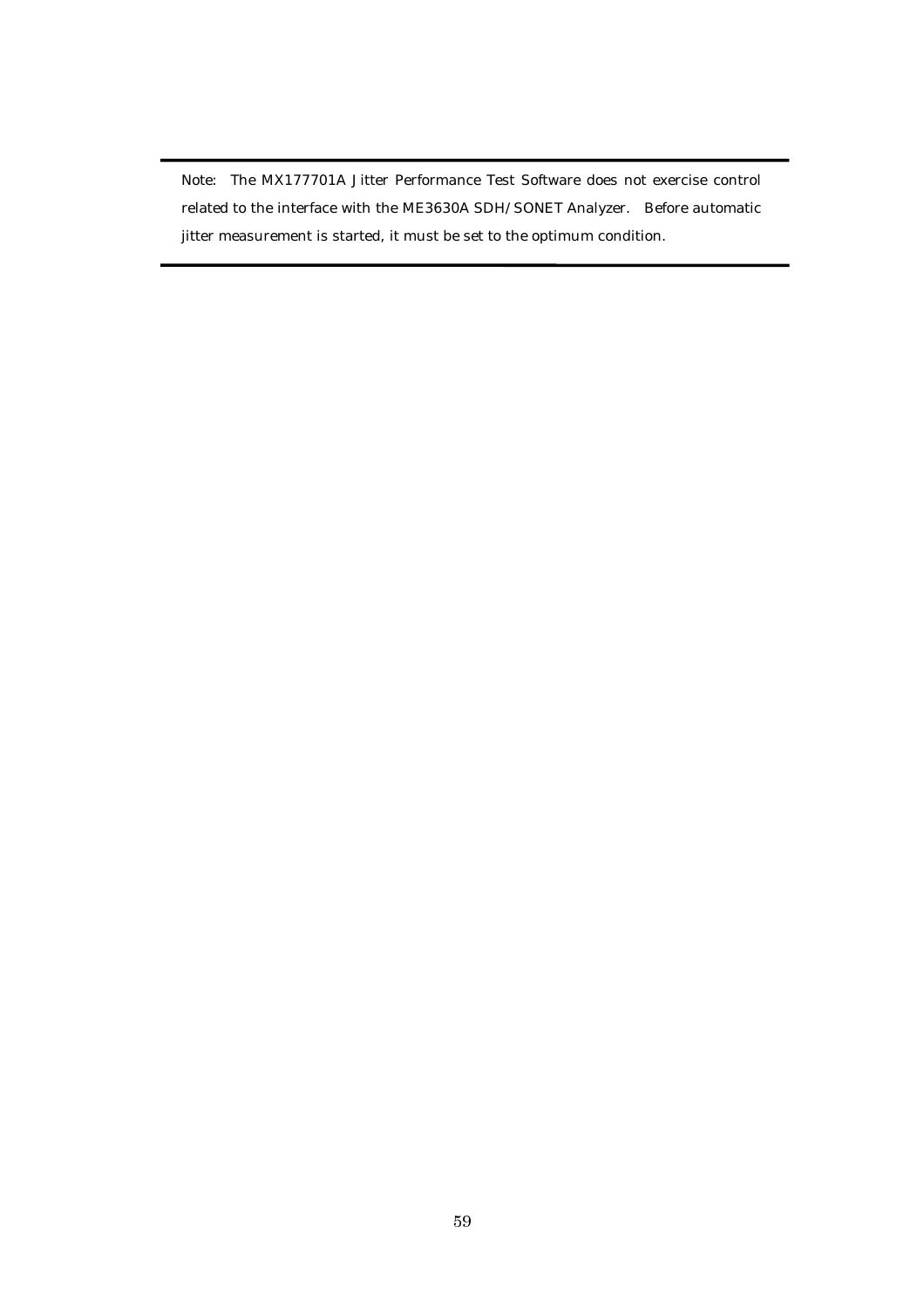Note: The MX177701A Jitter Performance Test Software does not exercise control related to the interface with the ME3630A SDH/SONET Analyzer. Before automatic jitter measurement is started, it must be set to the optimum condition.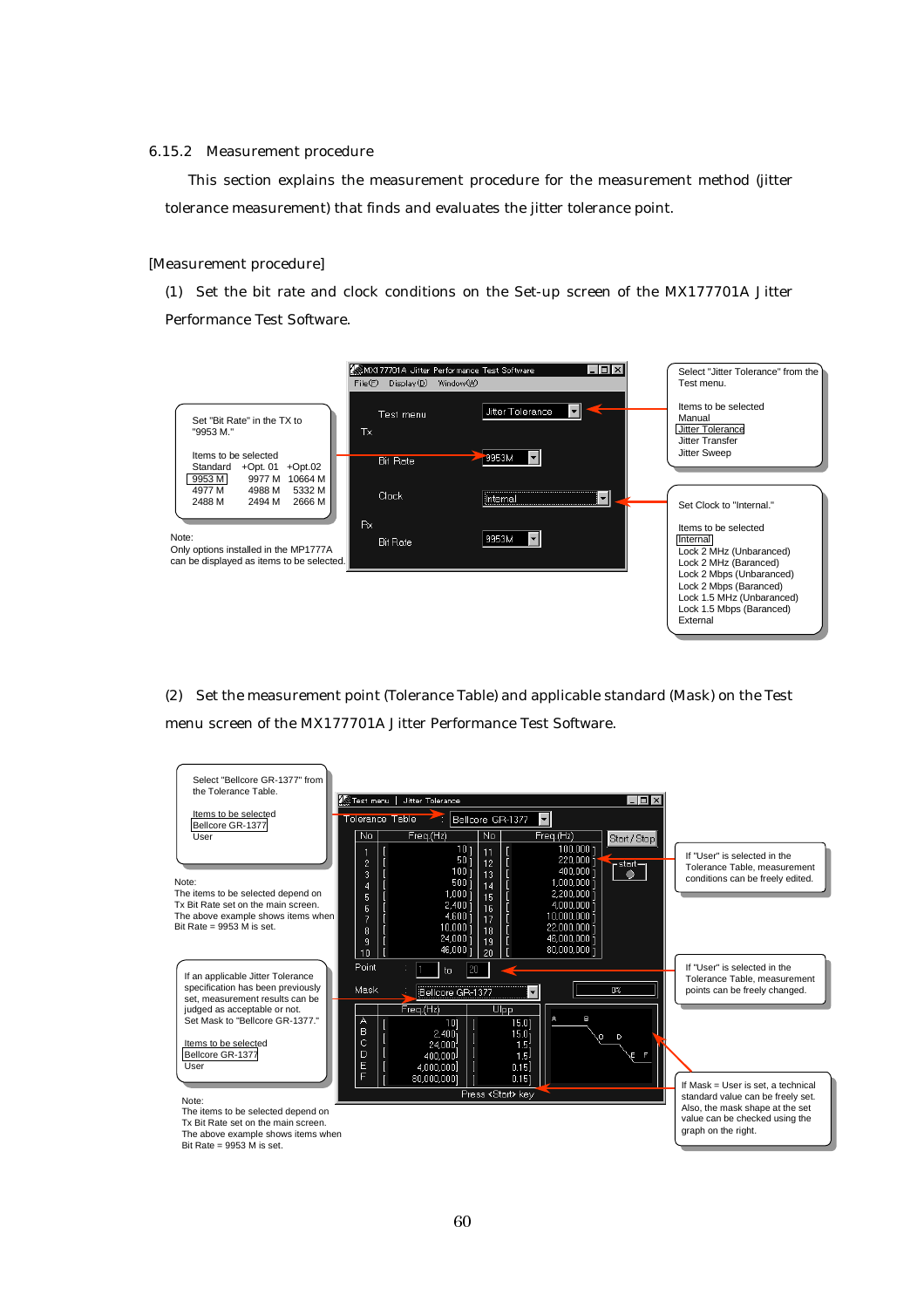#### 6.15.2 Measurement procedure

This section explains the measurement procedure for the measurement method (jitter tolerance measurement) that finds and evaluates the jitter tolerance point.

#### [Measurement procedure]

(1) Set the bit rate and clock conditions on the Set-up screen of the MX177701A Jitter Performance Test Software.

![](_page_63_Figure_4.jpeg)

(2) Set the measurement point (Tolerance Table) and applicable standard (Mask) on the Test menu screen of the MX177701A Jitter Performance Test Software.

![](_page_63_Figure_6.jpeg)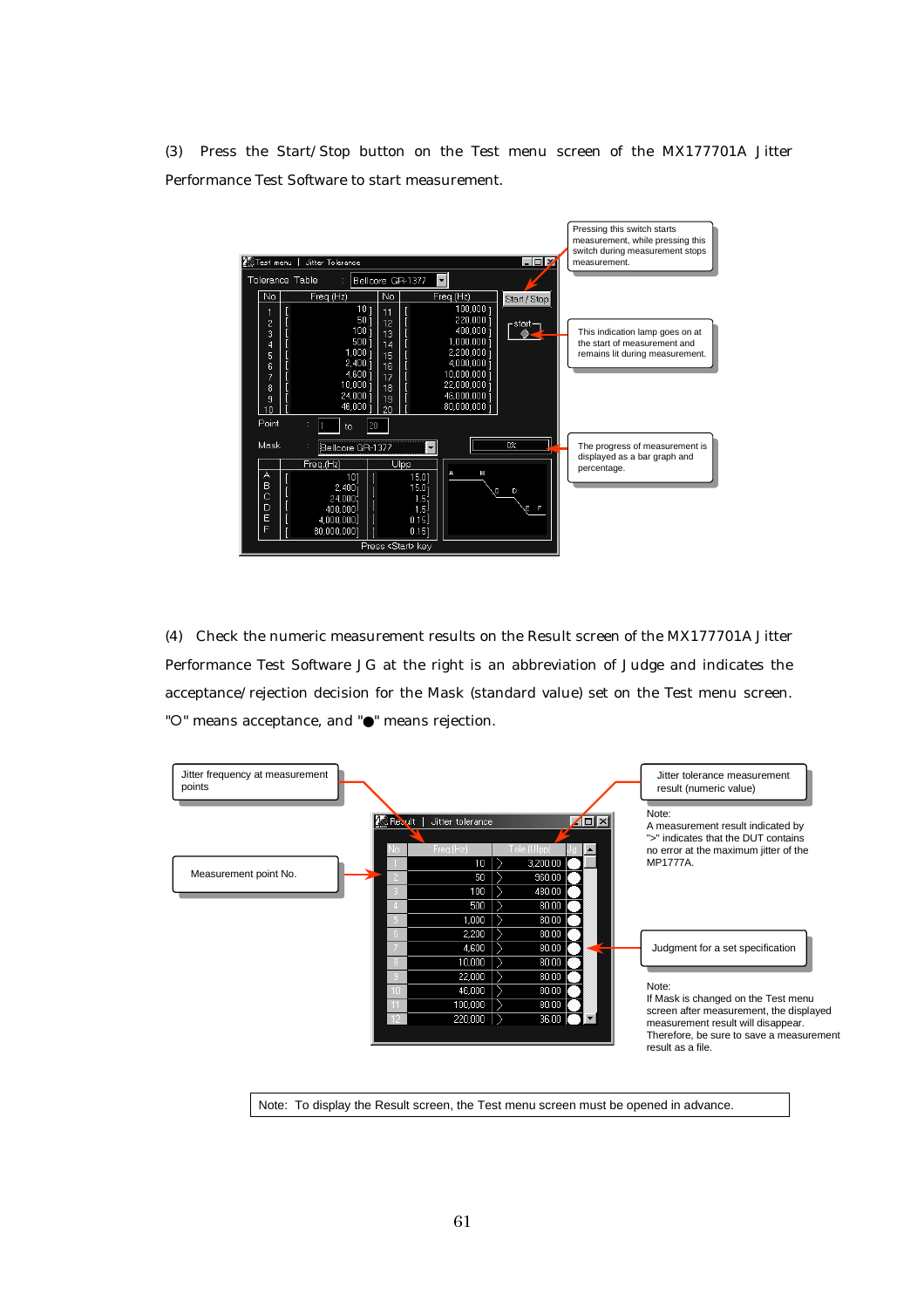(3) Press the Start/Stop button on the Test menu screen of the MX177701A Jitter Performance Test Software to start measurement.

![](_page_64_Figure_1.jpeg)

(4) Check the numeric measurement results on the Result screen of the MX177701A Jitter Performance Test Software JG at the right is an abbreviation of Judge and indicates the acceptance/rejection decision for the Mask (standard value) set on the Test menu screen. "O" means acceptance, and "●" means rejection.

![](_page_64_Figure_3.jpeg)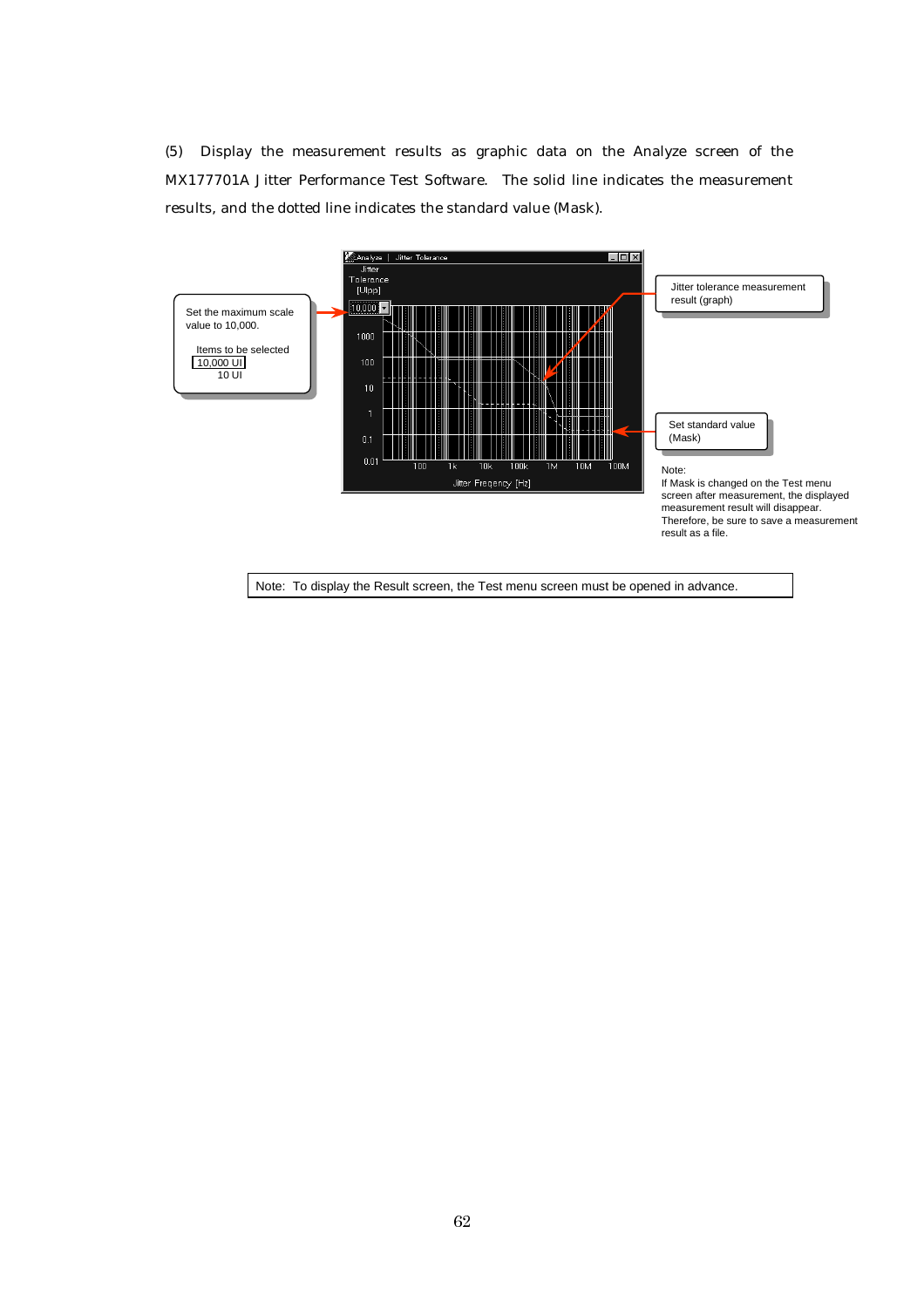(5) Display the measurement results as graphic data on the Analyze screen of the MX177701A Jitter Performance Test Software. The solid line indicates the measurement results, and the dotted line indicates the standard value (Mask).

![](_page_65_Figure_1.jpeg)